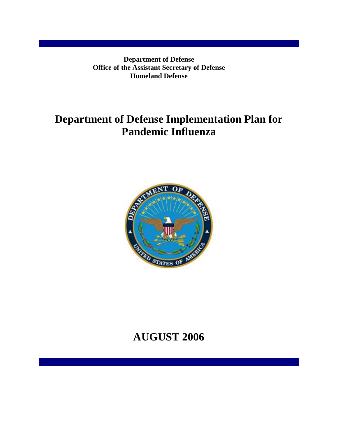**Department of Defense Office of the Assistant Secretary of Defense Homeland Defense** 

# **Department of Defense Implementation Plan for Pandemic Influenza**



# **AUGUST 2006**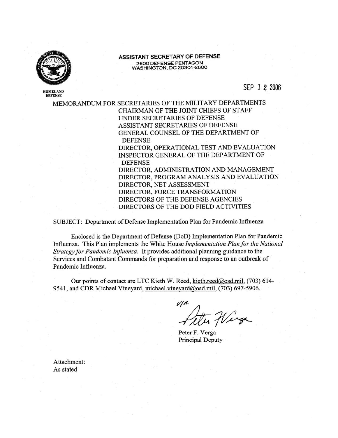

HOMEL AND **DEFENSE** 

ASSISTANT SECRETARY OF DEFENSE 2600 DEFENSE PENTAGON<br>WASHINGTON, DC 20301-2600

SEP 1 2 2006

MEMORANDUM FOR SECRETARIES OF THE MILITARY DEPARTMENTS CHAIRMAN OF THE JOINT CHIEFS OF STAFF UNDER SECRETARIES OF DEFENSE ASSISTANT SECRETARIES OF DEFENSE GENERAL COUNSEL OF THE DEPARTMENT OF **DEFENSE** DIRECTOR, OPERATIONAL TEST AND EVALUATION INSPECTOR GENERAL OF THE DEPARTMENT OF **DEFENSE** DIRECTOR, ADMINISTRATION AND MANAGEMENT DIRECTOR, PROGRAM ANALYSIS AND EVALUATION DIRECTOR, NET ASSESSMENT DIRECTOR, FORCE TRANSFORMATION DIRECTORS OF THE DEFENSE AGENCIES DIRECTORS OF THE DOD FIELD ACTIVITIES

SUBJECT: Department of Defense Implementation Plan for Pandemic Influenza

Enclosed is the Department of Defense (DoD) Implementation Plan for Pandemic Influenza. This Plan implements the White House Implementation Plan for the National Strategy for Pandemic Influenza. It provides additional planning guidance to the Services and Combatant Commands for preparation and response to an outbreak of Pandemic Influenza.

Our points of contact are LTC Kieth W. Reed, kieth.reed@osd.mil, (703) 614-9541, and CDR Michael Vineyard, michael.vineyard@osd.mil, (703) 697-5906.

 $V/A$ 

Peter F. Verga Principal Deputy

Attachment: As stated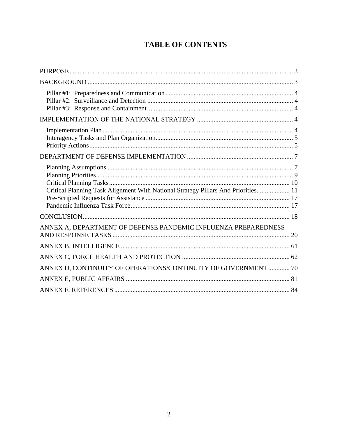# **TABLE OF CONTENTS**

| Critical Planning Task Alignment With National Strategy Pillars And Priorities 11 |  |
|-----------------------------------------------------------------------------------|--|
|                                                                                   |  |
| ANNEX A, DEPARTMENT OF DEFENSE PANDEMIC INFLUENZA PREPAREDNESS                    |  |
|                                                                                   |  |
|                                                                                   |  |
| ANNEX D, CONTINUITY OF OPERATIONS/CONTINUITY OF GOVERNMENT  70                    |  |
|                                                                                   |  |
|                                                                                   |  |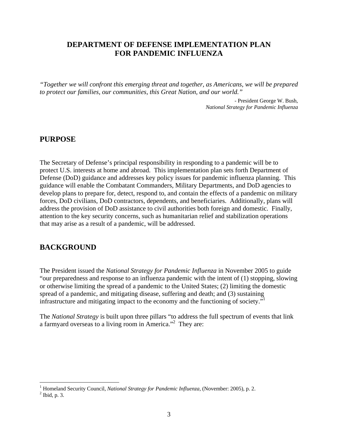## **DEPARTMENT OF DEFENSE IMPLEMENTATION PLAN FOR PANDEMIC INFLUENZA**

*"Together we will confront this emerging threat and together, as Americans, we will be prepared to protect our families, our communities, this Great Nation, and our world."* 

> - President George W. Bush, *National Strategy for Pandemic Influenza*

### **PURPOSE**

The Secretary of Defense's principal responsibility in responding to a pandemic will be to protect U.S. interests at home and abroad. This implementation plan sets forth Department of Defense (DoD) guidance and addresses key policy issues for pandemic influenza planning. This guidance will enable the Combatant Commanders, Military Departments, and DoD agencies to develop plans to prepare for, detect, respond to, and contain the effects of a pandemic on military forces, DoD civilians, DoD contractors, dependents, and beneficiaries. Additionally, plans will address the provision of DoD assistance to civil authorities both foreign and domestic. Finally, attention to the key security concerns, such as humanitarian relief and stabilization operations that may arise as a result of a pandemic, will be addressed.

## **BACKGROUND**

The President issued the *National Strategy for Pandemic Influenza* in November 2005 to guide "our preparedness and response to an influenza pandemic with the intent of (1) stopping, slowing or otherwise limiting the spread of a pandemic to the United States; (2) limiting the domestic spread of a pandemic, and mitigating disease, suffering and death; and (3) sustaining infrastructure and mitigating impact to the economy and the functioning of society."

The *National Strategy* is built upon three pillars "to address the full spectrum of events that link a farmyard overseas to a living room in America."<sup>2</sup> They are:

<sup>&</sup>lt;sup>1</sup> Homeland Security Council, *National Strategy for Pandemic Influenza*, (November: 2005), p. 2.

 $<sup>2</sup>$  Ibid, p. 3.</sup>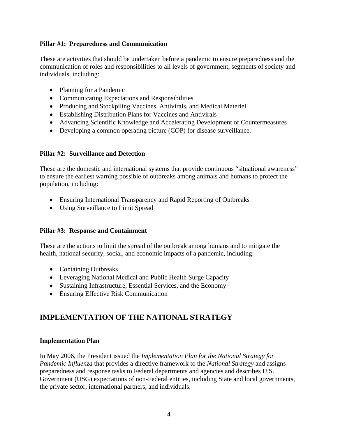#### **Pillar #1: Preparedness and Communication**

These are activities that should be undertaken before a pandemic to ensure preparedness and the communication of roles and responsibilities to all levels of government, segments of society and individuals, including:

- Planning for a Pandemic
- Communicating Expectations and Responsibilities
- Producing and Stockpiling Vaccines, Antivirals, and Medical Materiel
- Establishing Distribution Plans for Vaccines and Antivirals
- Advancing Scientific Knowledge and Accelerating Development of Countermeasures
- Developing a common operating picture (COP) for disease surveillance.

#### **Pillar #2: Surveillance and Detection**

These are the domestic and international systems that provide continuous "situational awareness" to ensure the earliest warning possible of outbreaks among animals and humans to protect the population, including:

- Ensuring International Transparency and Rapid Reporting of Outbreaks
- Using Surveillance to Limit Spread

#### **Pillar #3: Response and Containment**

These are the actions to limit the spread of the outbreak among humans and to mitigate the health, national security, social, and economic impacts of a pandemic, including:

- Containing Outbreaks
- Leveraging National Medical and Public Health Surge Capacity
- Sustaining Infrastructure, Essential Services, and the Economy
- Ensuring Effective Risk Communication

# **IMPLEMENTATION OF THE NATIONAL STRATEGY**

#### **Implementation Plan**

In May 2006, the President issued the *Implementation Plan for the National Strategy for Pandemic Influenza* that provides a directive framework to the *National Strategy* and assigns preparedness and response tasks to Federal departments and agencies and describes U.S. Government (USG) expectations of non-Federal entities, including State and local governments, the private sector, international partners, and individuals.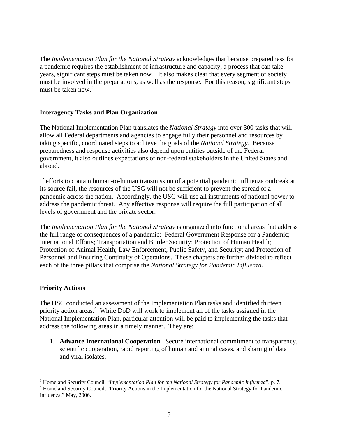The *Implementation Plan for the National Strategy* acknowledges that because preparedness for a pandemic requires the establishment of infrastructure and capacity, a process that can take years, significant steps must be taken now. It also makes clear that every segment of society must be involved in the preparations, as well as the response. For this reason, significant steps must be taken now. $3$ 

#### **Interagency Tasks and Plan Organization**

The National Implementation Plan translates the *National Strategy* into over 300 tasks that will allow all Federal departments and agencies to engage fully their personnel and resources by taking specific, coordinated steps to achieve the goals of the *National Strategy*. Because preparedness and response activities also depend upon entities outside of the Federal government, it also outlines expectations of non-federal stakeholders in the United States and abroad.

If efforts to contain human-to-human transmission of a potential pandemic influenza outbreak at its source fail, the resources of the USG will not be sufficient to prevent the spread of a pandemic across the nation. Accordingly, the USG will use all instruments of national power to address the pandemic threat. Any effective response will require the full participation of all levels of government and the private sector.

The *Implementation Plan for the National Strategy* is organized into functional areas that address the full range of consequences of a pandemic: Federal Government Response for a Pandemic; International Efforts; Transportation and Border Security; Protection of Human Health; Protection of Animal Health; Law Enforcement, Public Safety, and Security; and Protection of Personnel and Ensuring Continuity of Operations. These chapters are further divided to reflect each of the three pillars that comprise the *National Strategy for Pandemic Influenza*.

#### **Priority Actions**

 $\overline{a}$ 

The HSC conducted an assessment of the Implementation Plan tasks and identified thirteen priority action areas.<sup>4</sup> While DoD will work to implement all of the tasks assigned in the National Implementation Plan, particular attention will be paid to implementing the tasks that address the following areas in a timely manner. They are:

1. **Advance International Cooperation**. Secure international commitment to transparency, scientific cooperation, rapid reporting of human and animal cases, and sharing of data and viral isolates.

<sup>&</sup>lt;sup>3</sup> Homeland Security Council, "*Implementation Plan for the National Strategy for Pandemic Influenza*", p. 7.<br><sup>4</sup> Homeland Security Council, "Driggity Actions in the Implementation for the National Strategy for Pandemic

<sup>&</sup>lt;sup>4</sup> Homeland Security Council, "Priority Actions in the Implementation for the National Strategy for Pandemic Influenza," May, 2006.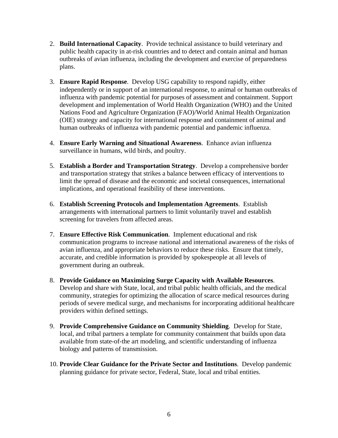- 2. **Build International Capacity**. Provide technical assistance to build veterinary and public health capacity in at-risk countries and to detect and contain animal and human outbreaks of avian influenza, including the development and exercise of preparedness plans.
- 3. **Ensure Rapid Response**. Develop USG capability to respond rapidly, either independently or in support of an international response, to animal or human outbreaks of influenza with pandemic potential for purposes of assessment and containment. Support development and implementation of World Health Organization (WHO) and the United Nations Food and Agriculture Organization (FAO)/World Animal Health Organization (OIE) strategy and capacity for international response and containment of animal and human outbreaks of influenza with pandemic potential and pandemic influenza.
- 4. **Ensure Early Warning and Situational Awareness**. Enhance avian influenza surveillance in humans, wild birds, and poultry.
- 5. **Establish a Border and Transportation Strategy**. Develop a comprehensive border and transportation strategy that strikes a balance between efficacy of interventions to limit the spread of disease and the economic and societal consequences, international implications, and operational feasibility of these interventions.
- 6. **Establish Screening Protocols and Implementation Agreements**. Establish arrangements with international partners to limit voluntarily travel and establish screening for travelers from affected areas.
- 7. **Ensure Effective Risk Communication**. Implement educational and risk communication programs to increase national and international awareness of the risks of avian influenza, and appropriate behaviors to reduce these risks. Ensure that timely, accurate, and credible information is provided by spokespeople at all levels of government during an outbreak.
- 8. **Provide Guidance on Maximizing Surge Capacity with Available Resources**. Develop and share with State, local, and tribal public health officials, and the medical community, strategies for optimizing the allocation of scarce medical resources during periods of severe medical surge, and mechanisms for incorporating additional healthcare providers within defined settings.
- 9. **Provide Comprehensive Guidance on Community Shielding**. Develop for State, local, and tribal partners a template for community containment that builds upon data available from state-of-the art modeling, and scientific understanding of influenza biology and patterns of transmission.
- 10. **Provide Clear Guidance for the Private Sector and Institutions**. Develop pandemic planning guidance for private sector, Federal, State, local and tribal entities.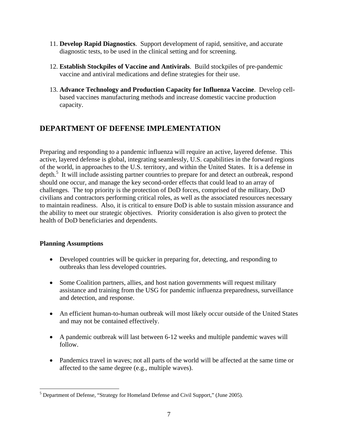- 11. **Develop Rapid Diagnostics**. Support development of rapid, sensitive, and accurate diagnostic tests, to be used in the clinical setting and for screening.
- 12. **Establish Stockpiles of Vaccine and Antivirals**. Build stockpiles of pre-pandemic vaccine and antiviral medications and define strategies for their use.
- 13. **Advance Technology and Production Capacity for Influenza Vaccine**. Develop cellbased vaccines manufacturing methods and increase domestic vaccine production capacity.

# **DEPARTMENT OF DEFENSE IMPLEMENTATION**

Preparing and responding to a pandemic influenza will require an active, layered defense. This active, layered defense is global, integrating seamlessly, U.S. capabilities in the forward regions of the world, in approaches to the U.S. territory, and within the United States. It is a defense in depth.<sup>5</sup> It will include assisting partner countries to prepare for and detect an outbreak, respond should one occur, and manage the key second-order effects that could lead to an array of challenges. The top priority is the protection of DoD forces, comprised of the military, DoD civilians and contractors performing critical roles, as well as the associated resources necessary to maintain readiness. Also, it is critical to ensure DoD is able to sustain mission assurance and the ability to meet our strategic objectives. Priority consideration is also given to protect the health of DoD beneficiaries and dependents.

#### **Planning Assumptions**

- Developed countries will be quicker in preparing for, detecting, and responding to outbreaks than less developed countries.
- Some Coalition partners, allies, and host nation governments will request military assistance and training from the USG for pandemic influenza preparedness, surveillance and detection, and response.
- An efficient human-to-human outbreak will most likely occur outside of the United States and may not be contained effectively.
- A pandemic outbreak will last between 6-12 weeks and multiple pandemic waves will follow.
- Pandemics travel in waves; not all parts of the world will be affected at the same time or affected to the same degree (e.g., multiple waves).

<sup>&</sup>lt;u>.</u>  $<sup>5</sup>$  Department of Defense, "Strategy for Homeland Defense and Civil Support," (June 2005).</sup>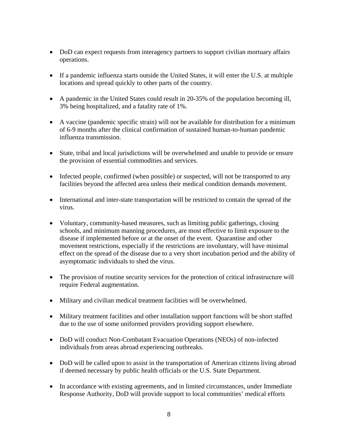- DoD can expect requests from interagency partners to support civilian mortuary affairs operations.
- If a pandemic influenza starts outside the United States, it will enter the U.S. at multiple locations and spread quickly to other parts of the country.
- A pandemic in the United States could result in 20-35% of the population becoming ill, 3% being hospitalized, and a fatality rate of 1%.
- A vaccine (pandemic specific strain) will not be available for distribution for a minimum of 6-9 months after the clinical confirmation of sustained human-to-human pandemic influenza transmission.
- State, tribal and local jurisdictions will be overwhelmed and unable to provide or ensure the provision of essential commodities and services.
- Infected people, confirmed (when possible) or suspected, will not be transported to any facilities beyond the affected area unless their medical condition demands movement.
- International and inter-state transportation will be restricted to contain the spread of the virus.
- Voluntary, community-based measures, such as limiting public gatherings, closing schools, and minimum manning procedures, are most effective to limit exposure to the disease if implemented before or at the onset of the event. Quarantine and other movement restrictions, especially if the restrictions are involuntary, will have minimal effect on the spread of the disease due to a very short incubation period and the ability of asymptomatic individuals to shed the virus.
- The provision of routine security services for the protection of critical infrastructure will require Federal augmentation.
- Military and civilian medical treatment facilities will be overwhelmed.
- Military treatment facilities and other installation support functions will be short staffed due to the use of some uniformed providers providing support elsewhere.
- DoD will conduct Non-Combatant Evacuation Operations (NEOs) of non-infected individuals from areas abroad experiencing outbreaks.
- DoD will be called upon to assist in the transportation of American citizens living abroad if deemed necessary by public health officials or the U.S. State Department.
- In accordance with existing agreements, and in limited circumstances, under Immediate Response Authority, DoD will provide support to local communities' medical efforts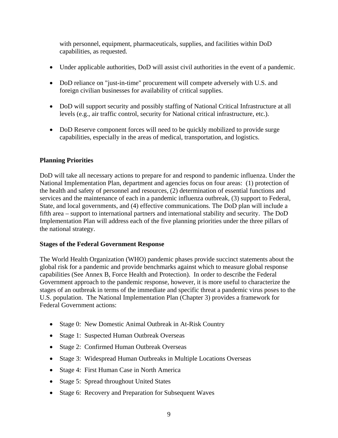with personnel, equipment, pharmaceuticals, supplies, and facilities within DoD capabilities, as requested.

- Under applicable authorities, DoD will assist civil authorities in the event of a pandemic.
- DoD reliance on "just-in-time" procurement will compete adversely with U.S. and foreign civilian businesses for availability of critical supplies.
- DoD will support security and possibly staffing of National Critical Infrastructure at all levels (e.g., air traffic control, security for National critical infrastructure, etc.).
- DoD Reserve component forces will need to be quickly mobilized to provide surge capabilities, especially in the areas of medical, transportation, and logistics.

#### **Planning Priorities**

DoD will take all necessary actions to prepare for and respond to pandemic influenza. Under the National Implementation Plan, department and agencies focus on four areas: (1) protection of the health and safety of personnel and resources, (2) determination of essential functions and services and the maintenance of each in a pandemic influenza outbreak, (3) support to Federal, State, and local governments, and (4) effective communications. The DoD plan will include a fifth area – support to international partners and international stability and security. The DoD Implementation Plan will address each of the five planning priorities under the three pillars of the national strategy.

#### **Stages of the Federal Government Response**

The World Health Organization (WHO) pandemic phases provide succinct statements about the global risk for a pandemic and provide benchmarks against which to measure global response capabilities (See Annex B, Force Health and Protection). In order to describe the Federal Government approach to the pandemic response, however, it is more useful to characterize the stages of an outbreak in terms of the immediate and specific threat a pandemic virus poses to the U.S. population. The National Implementation Plan (Chapter 3) provides a framework for Federal Government actions:

- Stage 0: New Domestic Animal Outbreak in At-Risk Country
- Stage 1: Suspected Human Outbreak Overseas
- Stage 2: Confirmed Human Outbreak Overseas
- Stage 3: Widespread Human Outbreaks in Multiple Locations Overseas
- Stage 4: First Human Case in North America
- Stage 5: Spread throughout United States
- Stage 6: Recovery and Preparation for Subsequent Waves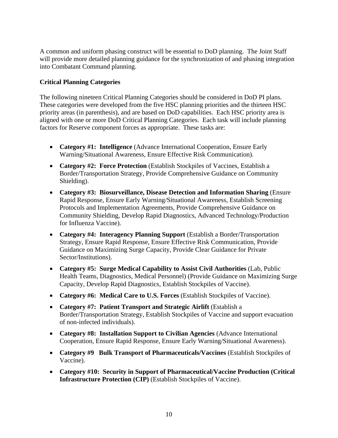A common and uniform phasing construct will be essential to DoD planning. The Joint Staff will provide more detailed planning guidance for the synchronization of and phasing integration into Combatant Command planning.

#### **Critical Planning Categories**

The following nineteen Critical Planning Categories should be considered in DoD PI plans. These categories were developed from the five HSC planning priorities and the thirteen HSC priority areas (in parenthesis), and are based on DoD capabilities. Each HSC priority area is aligned with one or more DoD Critical Planning Categories. Each task will include planning factors for Reserve component forces as appropriate. These tasks are:

- **Category #1: Intelligence** (Advance International Cooperation, Ensure Early Warning/Situational Awareness, Ensure Effective Risk Communication).
- **Category #2: Force Protection** (Establish Stockpiles of Vaccines, Establish a Border/Transportation Strategy, Provide Comprehensive Guidance on Community Shielding).
- **Category #3: Biosurveillance, Disease Detection and Information Sharing** (Ensure Rapid Response, Ensure Early Warning/Situational Awareness, Establish Screening Protocols and Implementation Agreements, Provide Comprehensive Guidance on Community Shielding, Develop Rapid Diagnostics, Advanced Technology/Production for Influenza Vaccine).
- **Category #4: Interagency Planning Support** (Establish a Border/Transportation Strategy, Ensure Rapid Response, Ensure Effective Risk Communication, Provide Guidance on Maximizing Surge Capacity, Provide Clear Guidance for Private Sector/Institutions).
- **Category #5: Surge Medical Capability to Assist Civil Authorities** (Lab, Public Health Teams, Diagnostics, Medical Personnel) (Provide Guidance on Maximizing Surge Capacity, Develop Rapid Diagnostics, Establish Stockpiles of Vaccine).
- **Category #6: Medical Care to U.S. Forces** (Establish Stockpiles of Vaccine).
- **Category #7: Patient Transport and Strategic Airlift** (Establish a Border/Transportation Strategy, Establish Stockpiles of Vaccine and support evacuation of non-infected individuals).
- **Category #8: Installation Support to Civilian Agencies** (Advance International Cooperation, Ensure Rapid Response, Ensure Early Warning/Situational Awareness).
- **Category #9 Bulk Transport of Pharmaceuticals/Vaccines** (Establish Stockpiles of Vaccine).
- **Category #10: Security in Support of Pharmaceutical/Vaccine Production (Critical Infrastructure Protection (CIP)** (Establish Stockpiles of Vaccine).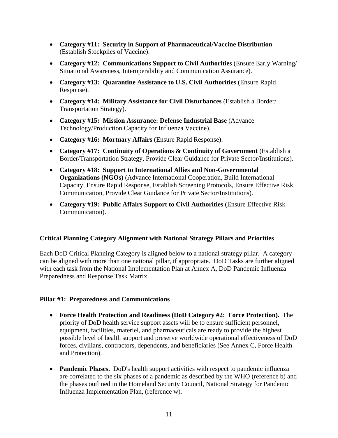- **Category #11: Security in Support of Pharmaceutical/Vaccine Distribution** (Establish Stockpiles of Vaccine).
- Category #12: Communications Support to Civil Authorities (Ensure Early Warning/ Situational Awareness, Interoperability and Communication Assurance).
- **Category #13: Quarantine Assistance to U.S. Civil Authorities** (Ensure Rapid Response).
- **Category #14: Military Assistance for Civil Disturbances** (Establish a Border/ Transportation Strategy).
- **Category #15: Mission Assurance: Defense Industrial Base** (Advance Technology/Production Capacity for Influenza Vaccine).
- **Category #16: Mortuary Affairs** (Ensure Rapid Response).
- **Category #17: Continuity of Operations & Continuity of Government** (Establish a Border/Transportation Strategy, Provide Clear Guidance for Private Sector/Institutions).
- **Category #18: Support to International Allies and Non-Governmental Organizations (NGOs)** (Advance International Cooperation, Build International Capacity, Ensure Rapid Response, Establish Screening Protocols, Ensure Effective Risk Communication, Provide Clear Guidance for Private Sector/Institutions).
- **Category #19: Public Affairs Support to Civil Authorities** (Ensure Effective Risk Communication).

#### **Critical Planning Category Alignment with National Strategy Pillars and Priorities**

Each DoD Critical Planning Category is aligned below to a national strategy pillar. A category can be aligned with more than one national pillar, if appropriate. DoD Tasks are further aligned with each task from the National Implementation Plan at Annex A, DoD Pandemic Influenza Preparedness and Response Task Matrix.

#### **Pillar #1: Preparedness and Communications**

- **Force Health Protection and Readiness (DoD Category #2: Force Protection).** The priority of DoD health service support assets will be to ensure sufficient personnel, equipment, facilities, materiel, and pharmaceuticals are ready to provide the highest possible level of health support and preserve worldwide operational effectiveness of DoD forces, civilians, contractors, dependents, and beneficiaries (See Annex C, Force Health and Protection).
- **Pandemic Phases.** DoD's health support activities with respect to pandemic influenza are correlated to the six phases of a pandemic as described by the WHO (reference b) and the phases outlined in the Homeland Security Council, National Strategy for Pandemic Influenza Implementation Plan, (reference w).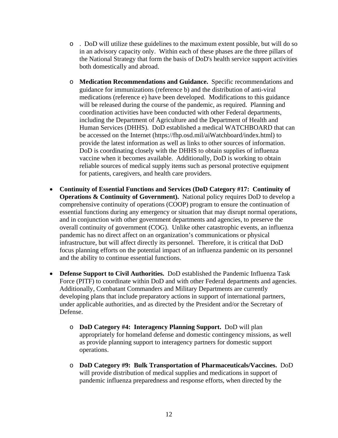- o . DoD will utilize these guidelines to the maximum extent possible, but will do so in an advisory capacity only. Within each of these phases are the three pillars of the National Strategy that form the basis of DoD's health service support activities both domestically and abroad.
- o **Medication Recommendations and Guidance.** Specific recommendations and guidance for immunizations (reference b) and the distribution of anti-viral medications (reference e) have been developed. Modifications to this guidance will be released during the course of the pandemic, as required. Planning and coordination activities have been conducted with other Federal departments, including the Department of Agriculture and the Department of Health and Human Services (DHHS). DoD established a medical WATCHBOARD that can be accessed on the Internet (https://fhp.osd.mil/aiWatchboard/index.html) to provide the latest information as well as links to other sources of information. DoD is coordinating closely with the DHHS to obtain supplies of influenza vaccine when it becomes available. Additionally, DoD is working to obtain reliable sources of medical supply items such as personal protective equipment for patients, caregivers, and health care providers.
- **Continuity of Essential Functions and Services (DoD Category #17: Continuity of Operations & Continuity of Government).** National policy requires DoD to develop a comprehensive continuity of operations (COOP) program to ensure the continuation of essential functions during any emergency or situation that may disrupt normal operations, and in conjunction with other government departments and agencies, to preserve the overall continuity of government (COG). Unlike other catastrophic events, an influenza pandemic has no direct affect on an organization's communications or physical infrastructure, but will affect directly its personnel. Therefore, it is critical that DoD focus planning efforts on the potential impact of an influenza pandemic on its personnel and the ability to continue essential functions.
- **Defense Support to Civil Authorities.** DoD established the Pandemic Influenza Task Force (PITF) to coordinate within DoD and with other Federal departments and agencies. Additionally, Combatant Commanders and Military Departments are currently developing plans that include preparatory actions in support of international partners, under applicable authorities, and as directed by the President and/or the Secretary of Defense.
	- o **DoD Category #4: Interagency Planning Support.** DoD will plan appropriately for homeland defense and domestic contingency missions, as well as provide planning support to interagency partners for domestic support operations.
	- o **DoD Category #9: Bulk Transportation of Pharmaceuticals/Vaccines.** DoD will provide distribution of medical supplies and medications in support of pandemic influenza preparedness and response efforts, when directed by the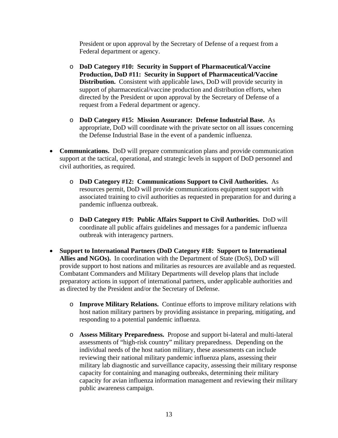President or upon approval by the Secretary of Defense of a request from a Federal department or agency.

- o **DoD Category #10: Security in Support of Pharmaceutical/Vaccine Production, DoD #11: Security in Support of Pharmaceutical/Vaccine Distribution.** Consistent with applicable laws, DoD will provide security in support of pharmaceutical/vaccine production and distribution efforts, when directed by the President or upon approval by the Secretary of Defense of a request from a Federal department or agency.
- o **DoD Category #15: Mission Assurance: Defense Industrial Base.** As appropriate, DoD will coordinate with the private sector on all issues concerning the Defense Industrial Base in the event of a pandemic influenza.
- **Communications.** DoD will prepare communication plans and provide communication support at the tactical, operational, and strategic levels in support of DoD personnel and civil authorities, as required.
	- o **DoD Category #12: Communications Support to Civil Authorities.** As resources permit, DoD will provide communications equipment support with associated training to civil authorities as requested in preparation for and during a pandemic influenza outbreak.
	- o **DoD Category #19: Public Affairs Support to Civil Authorities.** DoD will coordinate all public affairs guidelines and messages for a pandemic influenza outbreak with interagency partners.
- **Support to International Partners (DoD Category #18: Support to International Allies and NGOs).** In coordination with the Department of State (DoS), DoD will provide support to host nations and militaries as resources are available and as requested. Combatant Commanders and Military Departments will develop plans that include preparatory actions in support of international partners, under applicable authorities and as directed by the President and/or the Secretary of Defense.
	- o **Improve Military Relations.** Continue efforts to improve military relations with host nation military partners by providing assistance in preparing, mitigating, and responding to a potential pandemic influenza.
	- o **Assess Military Preparedness.** Propose and support bi-lateral and multi-lateral assessments of "high-risk country" military preparedness. Depending on the individual needs of the host nation military, these assessments can include reviewing their national military pandemic influenza plans, assessing their military lab diagnostic and surveillance capacity, assessing their military response capacity for containing and managing outbreaks, determining their military capacity for avian influenza information management and reviewing their military public awareness campaign.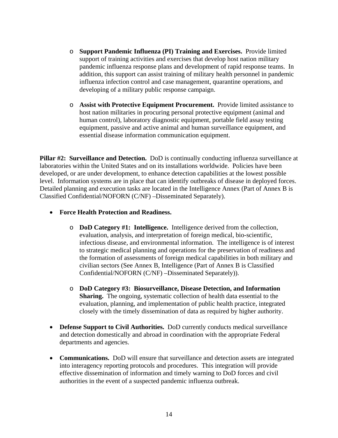- o **Support Pandemic Influenza (PI) Training and Exercises.** Provide limited support of training activities and exercises that develop host nation military pandemic influenza response plans and development of rapid response teams. In addition, this support can assist training of military health personnel in pandemic influenza infection control and case management, quarantine operations, and developing of a military public response campaign.
- o **Assist with Protective Equipment Procurement.** Provide limited assistance to host nation militaries in procuring personal protective equipment (animal and human control), laboratory diagnostic equipment, portable field assay testing equipment, passive and active animal and human surveillance equipment, and essential disease information communication equipment.

**Pillar #2: Surveillance and Detection.** DoD is continually conducting influenza surveillance at laboratories within the United States and on its installations worldwide. Policies have been developed, or are under development, to enhance detection capabilities at the lowest possible level. Information systems are in place that can identify outbreaks of disease in deployed forces. Detailed planning and execution tasks are located in the Intelligence Annex (Part of Annex B is Classified Confidential/NOFORN (C/NF) –Disseminated Separately).

- **Force Health Protection and Readiness.**
	- o **DoD Category #1: Intelligence.** Intelligence derived from the collection, evaluation, analysis, and interpretation of foreign medical, bio-scientific, infectious disease, and environmental information. The intelligence is of interest to strategic medical planning and operations for the preservation of readiness and the formation of assessments of foreign medical capabilities in both military and civilian sectors (See Annex B, Intelligence (Part of Annex B is Classified Confidential/NOFORN (C/NF) –Disseminated Separately)).
	- o **DoD Category #3: Biosurveillance, Disease Detection, and Information Sharing.** The ongoing, systematic collection of health data essential to the evaluation, planning, and implementation of public health practice, integrated closely with the timely dissemination of data as required by higher authority.
- **Defense Support to Civil Authorities.** DoD currently conducts medical surveillance and detection domestically and abroad in coordination with the appropriate Federal departments and agencies.
- **Communications.** DoD will ensure that surveillance and detection assets are integrated into interagency reporting protocols and procedures. This integration will provide effective dissemination of information and timely warning to DoD forces and civil authorities in the event of a suspected pandemic influenza outbreak.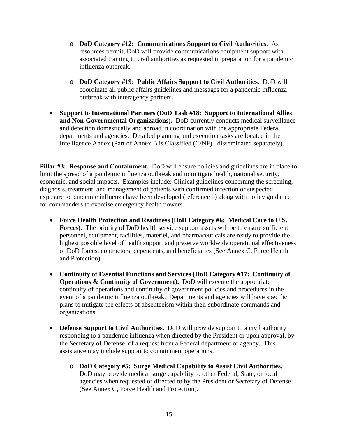- o **DoD Category #12: Communications Support to Civil Authorities.** As resources permit, DoD will provide communications equipment support with associated training to civil authorities as requested in preparation for a pandemic influenza outbreak.
- o **DoD Category #19: Public Affairs Support to Civil Authorities.** DoD will coordinate all public affairs guidelines and messages for a pandemic influenza outbreak with interagency partners.
- **Support to International Partners (DoD Task #18: Support to International Allies and Non-Governmental Organizations).** DoD currently conducts medical surveillance and detection domestically and abroad in coordination with the appropriate Federal departments and agencies. Detailed planning and execution tasks are located in the Intelligence Annex (Part of Annex B is Classified (C/NF) –disseminated separately).

**Pillar #3: Response and Containment.** DoD will ensure policies and guidelines are in place to limit the spread of a pandemic influenza outbreak and to mitigate health, national security, economic, and social impacts. Examples include: Clinical guidelines concerning the screening, diagnosis, treatment, and management of patients with confirmed infection or suspected exposure to pandemic influenza have been developed (reference b) along with policy guidance for commanders to exercise emergency health powers.

- **Force Health Protection and Readiness (DoD Category #6: Medical Care to U.S. Forces).** The priority of DoD health service support assets will be to ensure sufficient personnel, equipment, facilities, materiel, and pharmaceuticals are ready to provide the highest possible level of health support and preserve worldwide operational effectiveness of DoD forces, contractors, dependents, and beneficiaries (See Annex C, Force Health and Protection).
- **Continuity of Essential Functions and Services (DoD Category #17: Continuity of Operations & Continuity of Government).** DoD will execute the appropriate continuity of operations and continuity of government policies and procedures in the event of a pandemic influenza outbreak. Departments and agencies will have specific plans to mitigate the effects of absenteeism within their subordinate commands and organizations.
- **Defense Support to Civil Authorities.** DoD will provide support to a civil authority responding to a pandemic influenza when directed by the President or upon approval, by the Secretary of Defense, of a request from a Federal department or agency. This assistance may include support to containment operations.
	- o **DoD Category #5: Surge Medical Capability to Assist Civil Authorities.**  DoD may provide medical surge capability to other Federal, State, or local agencies when requested or directed to by the President or Secretary of Defense (See Annex C, Force Health and Protection).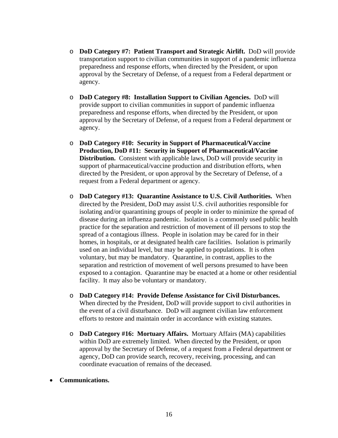- o **DoD Category #7: Patient Transport and Strategic Airlift.** DoD will provide transportation support to civilian communities in support of a pandemic influenza preparedness and response efforts, when directed by the President, or upon approval by the Secretary of Defense, of a request from a Federal department or agency.
- o **DoD Category #8: Installation Support to Civilian Agencies.** DoD will provide support to civilian communities in support of pandemic influenza preparedness and response efforts, when directed by the President, or upon approval by the Secretary of Defense, of a request from a Federal department or agency.
- o **DoD Category #10: Security in Support of Pharmaceutical/Vaccine Production, DoD #11: Security in Support of Pharmaceutical/Vaccine Distribution.** Consistent with applicable laws, DoD will provide security in support of pharmaceutical/vaccine production and distribution efforts, when directed by the President, or upon approval by the Secretary of Defense, of a request from a Federal department or agency.
- o **DoD Category #13: Quarantine Assistance to U.S. Civil Authorities.** When directed by the President, DoD may assist U.S. civil authorities responsible for isolating and/or quarantining groups of people in order to minimize the spread of disease during an influenza pandemic. Isolation is a commonly used public health practice for the separation and restriction of movement of ill persons to stop the spread of a contagious illness. People in isolation may be cared for in their homes, in hospitals, or at designated health care facilities. Isolation is primarily used on an individual level, but may be applied to populations. It is often voluntary, but may be mandatory. Quarantine, in contrast, applies to the separation and restriction of movement of well persons presumed to have been exposed to a contagion. Quarantine may be enacted at a home or other residential facility. It may also be voluntary or mandatory.
- o **DoD Category #14: Provide Defense Assistance for Civil Disturbances.**  When directed by the President, DoD will provide support to civil authorities in the event of a civil disturbance. DoD will augment civilian law enforcement efforts to restore and maintain order in accordance with existing statutes.
- o **DoD Category #16: Mortuary Affairs.** Mortuary Affairs (MA) capabilities within DoD are extremely limited. When directed by the President, or upon approval by the Secretary of Defense, of a request from a Federal department or agency, DoD can provide search, recovery, receiving, processing, and can coordinate evacuation of remains of the deceased.
- **Communications.**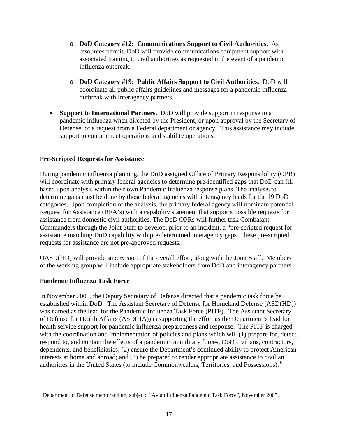- o **DoD Category #12: Communications Support to Civil Authorities.** As resources permit, DoD will provide communications equipment support with associated training to civil authorities as requested in the event of a pandemic influenza outbreak.
- o **DoD Category #19: Public Affairs Support to Civil Authorities.** DoD will coordinate all public affairs guidelines and messages for a pandemic influenza outbreak with Interagency partners.
- **Support to International Partners.** DoD will provide support in response to a pandemic influenza when directed by the President, or upon approval by the Secretary of Defense, of a request from a Federal department or agency. This assistance may include support to containment operations and stability operations.

#### **Pre-Scripted Requests for Assistance**

During pandemic influenza planning, the DoD assigned Office of Primary Responsibility (OPR) will coordinate with primary federal agencies to determine pre-identified gaps that DoD can fill based upon analysis within their own Pandemic Influenza response plans. The analysis to determine gaps must be done by those federal agencies with interagency leads for the 19 DoD categories. Upon completion of the analysis, the primary federal agency will nominate potential Request for Assistance (RFA's) with a capability statement that supports possible requests for assistance from domestic civil authorities. The DoD OPRs will further task Combatant Commanders through the Joint Staff to develop, prior to an incident, a "pre-scripted request for assistance matching DoD capability with pre-determined interagency gaps. These pre-scripted requests for assistance are not pre-approved requests.

OASD(HD) will provide supervision of the overall effort, along with the Joint Staff. Members of the working group will include appropriate stakeholders from DoD and interagency partners.

#### **Pandemic Influenza Task Force**

<u>.</u>

In November 2005, the Deputy Secretary of Defense directed that a pandemic task force be established within DoD. The Assistant Secretary of Defense for Homeland Defense (ASD(HD)) was named as the lead for the Pandemic Influenza Task Force (PITF). The Assistant Secretary of Defense for Health Affairs (ASD(HA)) is supporting the effort as the Department's lead for health service support for pandemic influenza preparedness and response. The PITF is charged with the coordination and implementation of policies and plans which will (1) prepare for, detect, respond to, and contain the effects of a pandemic on military forces, DoD civilians, contractors, dependents, and beneficiaries; (2) ensure the Department's continued ability to protect American interests at home and abroad; and (3) be prepared to render appropriate assistance to civilian authorities in the United States (to include Commonwealths, Territories, and Possessions). 6

<sup>&</sup>lt;sup>6</sup> Department of Defense memorandum, subject: "Avian Influenza Pandemic Task Force", November 2005.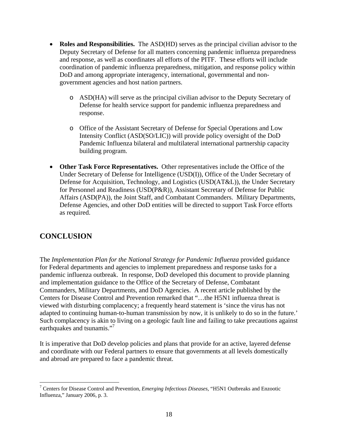- **Roles and Responsibilities.** The ASD(HD) serves as the principal civilian advisor to the Deputy Secretary of Defense for all matters concerning pandemic influenza preparedness and response, as well as coordinates all efforts of the PITF. These efforts will include coordination of pandemic influenza preparedness, mitigation, and response policy within DoD and among appropriate interagency, international, governmental and nongovernment agencies and host nation partners.
	- o ASD(HA) will serve as the principal civilian advisor to the Deputy Secretary of Defense for health service support for pandemic influenza preparedness and response.
	- o Office of the Assistant Secretary of Defense for Special Operations and Low Intensity Conflict (ASD(SO/LIC)) will provide policy oversight of the DoD Pandemic Influenza bilateral and multilateral international partnership capacity building program.
- **Other Task Force Representatives.** Other representatives include the Office of the Under Secretary of Defense for Intelligence (USD(I)), Office of the Under Secretary of Defense for Acquisition, Technology, and Logistics (USD(AT&L)), the Under Secretary for Personnel and Readiness (USD(P&R)), Assistant Secretary of Defense for Public Affairs (ASD(PA)), the Joint Staff, and Combatant Commanders. Military Departments, Defense Agencies, and other DoD entities will be directed to support Task Force efforts as required.

# **CONCLUSION**

The *Implementation Plan for the National Strategy for Pandemic Influenza* provided guidance for Federal departments and agencies to implement preparedness and response tasks for a pandemic influenza outbreak. In response, DoD developed this document to provide planning and implementation guidance to the Office of the Secretary of Defense, Combatant Commanders, Military Departments, and DoD Agencies. A recent article published by the Centers for Disease Control and Prevention remarked that "…the H5N1 influenza threat is viewed with disturbing complacency; a frequently heard statement is 'since the virus has not adapted to continuing human-to-human transmission by now, it is unlikely to do so in the future.' Such complacency is akin to living on a geologic fault line and failing to take precautions against earthquakes and tsunamis."<sup>7</sup>

It is imperative that DoD develop policies and plans that provide for an active, layered defense and coordinate with our Federal partners to ensure that governments at all levels domestically and abroad are prepared to face a pandemic threat.

 7 Centers for Disease Control and Prevention, *Emerging Infectious Diseases*, "H5N1 Outbreaks and Enzootic Influenza," January 2006, p. 3.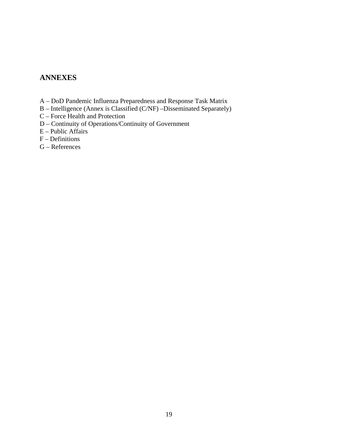# **ANNEXES**

- A DoD Pandemic Influenza Preparedness and Response Task Matrix
- B Intelligence (Annex is Classified (C/NF) –Disseminated Separately)
- C Force Health and Protection
- D Continuity of Operations/Continuity of Government
- $E$  Public Affairs
- F Definitions
- G References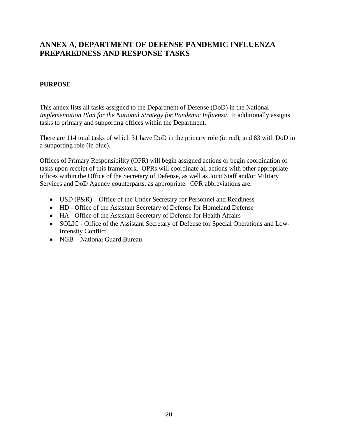# **ANNEX A, DEPARTMENT OF DEFENSE PANDEMIC INFLUENZA PREPAREDNESS AND RESPONSE TASKS**

#### **PURPOSE**

This annex lists all tasks assigned to the Department of Defense (DoD) in the National *Implementation Plan for the National Strategy for Pandemic Influenza*. It additionally assigns tasks to primary and supporting offices within the Department.

There are 114 total tasks of which 31 have DoD in the primary role (in red), and 83 with DoD in a supporting role (in blue).

Offices of Primary Responsibility (OPR) will begin assigned actions or begin coordination of tasks upon receipt of this framework. OPRs will coordinate all actions with other appropriate offices within the Office of the Secretary of Defense, as well as Joint Staff and/or Military Services and DoD Agency counterparts, as appropriate. OPR abbreviations are:

- USD (P&R) Office of the Under Secretary for Personnel and Readiness
- HD Office of the Assistant Secretary of Defense for Homeland Defense
- HA Office of the Assistant Secretary of Defense for Health Affairs
- SOLIC Office of the Assistant Secretary of Defense for Special Operations and Low-Intensity Conflict
- NGB National Guard Bureau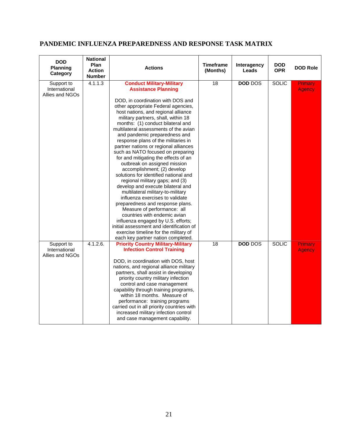# **PANDEMIC INFLUENZA PREPAREDNESS AND RESPONSE TASK MATRIX**

| <b>DOD</b><br><b>Planning</b><br>Category      | <b>National</b><br>Plan<br><b>Action</b><br><b>Number</b> | <b>Actions</b>                                                                                                                                                                                                                                                                                                                                                                                                                                                                                                                                                                                                                                                                                                                                                                                                                                                                                                                                    | <b>Timeframe</b><br>(Months) | Interagency<br>Leads | <b>DOD</b><br><b>OPR</b> | <b>DOD Role</b>          |
|------------------------------------------------|-----------------------------------------------------------|---------------------------------------------------------------------------------------------------------------------------------------------------------------------------------------------------------------------------------------------------------------------------------------------------------------------------------------------------------------------------------------------------------------------------------------------------------------------------------------------------------------------------------------------------------------------------------------------------------------------------------------------------------------------------------------------------------------------------------------------------------------------------------------------------------------------------------------------------------------------------------------------------------------------------------------------------|------------------------------|----------------------|--------------------------|--------------------------|
| Support to<br>International<br>Allies and NGOs | 4.1.1.3                                                   | <b>Conduct Military-Military</b><br><b>Assistance Planning</b><br>DOD, in coordination with DOS and<br>other appropriate Federal agencies,<br>host nations, and regional alliance<br>military partners, shall, within 18<br>months: (1) conduct bilateral and<br>multilateral assessments of the avian<br>and pandemic preparedness and<br>response plans of the militaries in<br>partner nations or regional alliances<br>such as NATO focused on preparing<br>for and mitigating the effects of an<br>outbreak on assigned mission<br>accomplishment; (2) develop<br>solutions for identified national and<br>regional military gaps; and (3)<br>develop and execute bilateral and<br>multilateral military-to-military<br>influenza exercises to validate<br>preparedness and response plans.<br>Measure of performance: all<br>countries with endemic avian<br>influenza engaged by U.S. efforts;<br>initial assessment and identification of | 18                           | <b>DOD DOS</b>       | <b>SOLIC</b>             | Primary<br><b>Agency</b> |
|                                                |                                                           | exercise timeline for the military of<br>each key partner nation completed.                                                                                                                                                                                                                                                                                                                                                                                                                                                                                                                                                                                                                                                                                                                                                                                                                                                                       |                              |                      |                          |                          |
| Support to<br>International<br>Allies and NGOs | 4.1.2.6.                                                  | <b>Priority Country Military-Military</b><br><b>Infection Control Training</b><br>DOD, in coordination with DOS, host<br>nations, and regional alliance military<br>partners, shall assist in developing<br>priority country military infection<br>control and case management<br>capability through training programs,<br>within 18 months. Measure of<br>performance: training programs<br>carried out in all priority countries with<br>increased military infection control<br>and case management capability.                                                                                                                                                                                                                                                                                                                                                                                                                                | 18                           | <b>DOD DOS</b>       | <b>SOLIC</b>             | Primary<br><b>Agency</b> |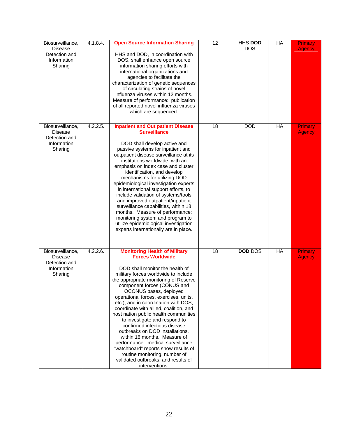| Biosurveillance,<br><b>Disease</b><br>Detection and<br>Information<br>Sharing | 4.1.8.4. | <b>Open Source Information Sharing</b><br>HHS and DOD, in coordination with<br>DOS, shall enhance open source<br>information sharing efforts with<br>international organizations and<br>agencies to facilitate the<br>characterization of genetic sequences<br>of circulating strains of novel<br>influenza viruses within 12 months.<br>Measure of performance: publication<br>of all reported novel influenza viruses<br>which are sequenced.                                                                                                                                                                                                                                                                             | 12 | HHS DOD<br><b>DOS</b> | HA | Primary<br><b>Agency</b> |
|-------------------------------------------------------------------------------|----------|-----------------------------------------------------------------------------------------------------------------------------------------------------------------------------------------------------------------------------------------------------------------------------------------------------------------------------------------------------------------------------------------------------------------------------------------------------------------------------------------------------------------------------------------------------------------------------------------------------------------------------------------------------------------------------------------------------------------------------|----|-----------------------|----|--------------------------|
| Biosurveillance,<br><b>Disease</b><br>Detection and<br>Information<br>Sharing | 4.2.2.5. | <b>Inpatient and Out patient Disease</b><br><b>Surveillance</b><br>DOD shall develop active and<br>passive systems for inpatient and<br>outpatient disease surveillance at its<br>institutions worldwide, with an<br>emphasis on index case and cluster<br>identification, and develop<br>mechanisms for utilizing DOD<br>epidemiological investigation experts<br>in international support efforts, to<br>include validation of systems/tools<br>and improved outpatient/inpatient<br>surveillance capabilities, within 18<br>months. Measure of performance:<br>monitoring system and program to<br>utilize epidemiological investigation<br>experts internationally are in place.                                        | 18 | <b>DOD</b>            | HA | Primary<br><b>Agency</b> |
| Biosurveillance,<br><b>Disease</b><br>Detection and<br>Information<br>Sharing | 4.2.2.6. | <b>Monitoring Health of Military</b><br><b>Forces Worldwide</b><br>DOD shall monitor the health of<br>military forces worldwide to include<br>the appropriate monitoring of Reserve<br>component forces (CONUS and<br>OCONUS bases, deployed<br>operational forces, exercises, units,<br>etc.), and in coordination with DOS,<br>coordinate with allied, coalition, and<br>host nation public health communities<br>to investigate and respond to<br>confirmed infectious disease<br>outbreaks on DOD installations,<br>within 18 months. Measure of<br>performance: medical surveillance<br>"watchboard" reports show results of<br>routine monitoring, number of<br>validated outbreaks, and results of<br>interventions. | 18 | <b>DOD DOS</b>        | HA | Primary<br><b>Agency</b> |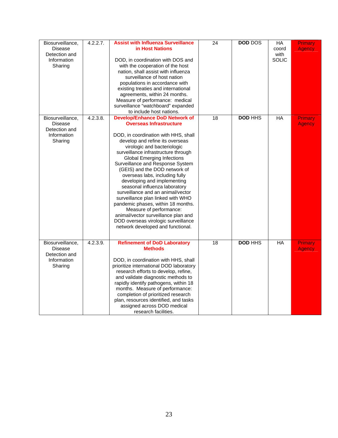| Biosurveillance,<br><b>Disease</b><br>Detection and<br>Information<br>Sharing | 4.2.2.7. | <b>Assist with Influenza Surveillance</b><br>in Host Nations<br>DOD, in coordination with DOS and<br>with the cooperation of the host<br>nation, shall assist with influenza<br>surveillance of host nation<br>populations in accordance with<br>existing treaties and international<br>agreements, within 24 months.<br>Measure of performance: medical<br>surveillance "watchboard" expanded<br>to include host nations.                                                                                                                                                                                                                                                                         | 24              | <b>DOD DOS</b> | $H$ A<br>coord<br>with<br><b>SOLIC</b> | <b>Primary</b><br><b>Agency</b> |
|-------------------------------------------------------------------------------|----------|----------------------------------------------------------------------------------------------------------------------------------------------------------------------------------------------------------------------------------------------------------------------------------------------------------------------------------------------------------------------------------------------------------------------------------------------------------------------------------------------------------------------------------------------------------------------------------------------------------------------------------------------------------------------------------------------------|-----------------|----------------|----------------------------------------|---------------------------------|
| Biosurveillance,<br><b>Disease</b><br>Detection and<br>Information<br>Sharing | 4.2.3.8. | <b>Develop/Enhance DoD Network of</b><br><b>Overseas Infrastructure</b><br>DOD, in coordination with HHS, shall<br>develop and refine its overseas<br>virologic and bacteriologic<br>surveillance infrastructure through<br><b>Global Emerging Infections</b><br>Surveillance and Response System<br>(GEIS) and the DOD network of<br>overseas labs, including fully<br>developing and implementing<br>seasonal influenza laboratory<br>surveillance and an animal/vector<br>surveillance plan linked with WHO<br>pandemic phases, within 18 months.<br>Measure of performance:<br>animal/vector surveillance plan and<br>DOD overseas virologic surveillance<br>network developed and functional. | $\overline{18}$ | <b>DOD HHS</b> | $H$ A                                  | <b>Primary</b><br><b>Agency</b> |
| Biosurveillance,<br><b>Disease</b><br>Detection and<br>Information<br>Sharing | 4.2.3.9. | <b>Refinement of DoD Laboratory</b><br><b>Methods</b><br>DOD, in coordination with HHS, shall<br>prioritize international DOD laboratory<br>research efforts to develop, refine,<br>and validate diagnostic methods to<br>rapidly identify pathogens, within 18<br>months. Measure of performance:<br>completion of prioritized research<br>plan, resources identified, and tasks<br>assigned across DOD medical<br>research facilities.                                                                                                                                                                                                                                                           | 18              | <b>DOD HHS</b> | <b>HA</b>                              | Primary<br><b>Agency</b>        |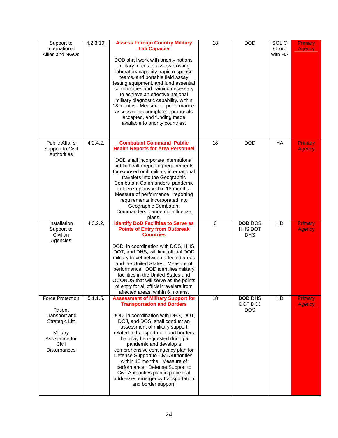| Support to<br>International<br>Allies and NGOs                                                                                             | 4.2.3.10. | <b>Assess Foreign Country Military</b><br><b>Lab Capacity</b><br>DOD shall work with priority nations'<br>military forces to assess existing<br>laboratory capacity, rapid response<br>teams, and portable field assay<br>testing equipment, and fund essential<br>commodities and training necessary<br>to achieve an effective national<br>military diagnostic capability, within<br>18 months. Measure of performance:<br>assessments completed, proposals<br>accepted, and funding made<br>available to priority countries.                       | 18 | <b>DOD</b>                              | <b>SOLIC</b><br>Coord<br>with HA | Primary<br><b>Agency</b>        |
|--------------------------------------------------------------------------------------------------------------------------------------------|-----------|-------------------------------------------------------------------------------------------------------------------------------------------------------------------------------------------------------------------------------------------------------------------------------------------------------------------------------------------------------------------------------------------------------------------------------------------------------------------------------------------------------------------------------------------------------|----|-----------------------------------------|----------------------------------|---------------------------------|
| <b>Public Affairs</b><br>Support to Civil<br>Authorities                                                                                   | 4.2.4.2.  | <b>Combatant Command Public</b><br><b>Health Reports for Area Personnel</b><br>DOD shall incorporate international<br>public health reporting requirements<br>for exposed or ill military international<br>travelers into the Geographic<br>Combatant Commanders' pandemic<br>influenza plans within 18 months.<br>Measure of performance: reporting<br>requirements incorporated into<br>Geographic Combatant<br>Commanders' pandemic influenza<br>plans.                                                                                            | 18 | <b>DOD</b>                              | HA                               | <b>Primary</b><br><b>Agency</b> |
| Installation<br>Support to<br>Civilian<br>Agencies                                                                                         | 4.3.2.2.  | <b>Identify DoD Facilities to Serve as</b><br><b>Points of Entry from Outbreak</b><br><b>Countries</b><br>DOD, in coordination with DOS, HHS,<br>DOT, and DHS, will limit official DOD<br>military travel between affected areas<br>and the United States. Measure of<br>performance: DOD identifies military<br>facilities in the United States and<br>OCONUS that will serve as the points<br>of entry for all official travelers from<br>affected areas, within 6 months.                                                                          | 6  | <b>DOD DOS</b><br>HHS DOT<br><b>DHS</b> | HD                               | <b>Primary</b><br><b>Agency</b> |
| <b>Force Protection</b><br>Patient<br>Transport and<br><b>Strategic Lift</b><br>Military<br>Assistance for<br>Civil<br><b>Disturbances</b> | 5.1.1.5.  | <b>Assessment of Military Support for</b><br><b>Transportation and Borders</b><br>DOD, in coordination with DHS, DOT,<br>DOJ, and DOS, shall conduct an<br>assessment of military support<br>related to transportation and borders<br>that may be requested during a<br>pandemic and develop a<br>comprehensive contingency plan for<br>Defense Support to Civil Authorities,<br>within 18 months. Measure of<br>performance: Defense Support to<br>Civil Authorities plan in place that<br>addresses emergency transportation<br>and border support. | 18 | <b>DOD DHS</b><br>DOT DOJ<br><b>DOS</b> | HD                               | Primary<br><b>Agency</b>        |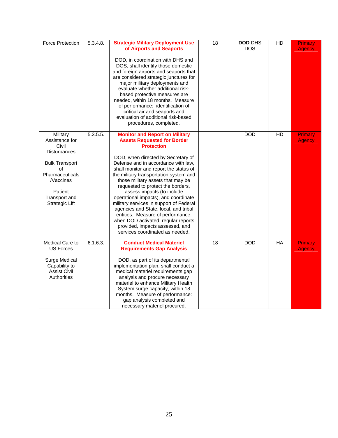| <b>Force Protection</b>                                                                                                                                                       | 5.3.4.8. | <b>Strategic Military Deployment Use</b><br>of Airports and Seaports<br>DOD, in coordination with DHS and<br>DOS, shall identify those domestic<br>and foreign airports and seaports that<br>are considered strategic junctures for<br>major military deployments and<br>evaluate whether additional risk-<br>based protective measures are<br>needed, within 18 months. Measure<br>of performance: identification of<br>critical air and seaports and<br>evaluation of additional risk-based<br>procedures, completed.                                                                                                                                 | $\overline{18}$ | <b>DOD DHS</b><br><b>DOS</b> | $\overline{HD}$ | Primary<br><b>Agency</b> |
|-------------------------------------------------------------------------------------------------------------------------------------------------------------------------------|----------|---------------------------------------------------------------------------------------------------------------------------------------------------------------------------------------------------------------------------------------------------------------------------------------------------------------------------------------------------------------------------------------------------------------------------------------------------------------------------------------------------------------------------------------------------------------------------------------------------------------------------------------------------------|-----------------|------------------------------|-----------------|--------------------------|
| Military<br>Assistance for<br>Civil<br><b>Disturbances</b><br><b>Bulk Transport</b><br>οf<br>Pharmaceuticals<br><b>Naccines</b><br>Patient<br>Transport and<br>Strategic Lift | 5.3.5.5. | <b>Monitor and Report on Military</b><br><b>Assets Requested for Border</b><br><b>Protection</b><br>DOD, when directed by Secretary of<br>Defense and in accordance with law,<br>shall monitor and report the status of<br>the military transportation system and<br>those military assets that may be<br>requested to protect the borders,<br>assess impacts (to include<br>operational impacts), and coordinate<br>military services in support of Federal<br>agencies and State, local, and tribal<br>entities. Measure of performance:<br>when DOD activated, regular reports<br>provided, impacts assessed, and<br>services coordinated as needed. |                 | <b>DOD</b>                   | HD              | Primary<br><b>Agency</b> |
| Medical Care to<br>US Forces<br>Surge Medical<br>Capability to<br><b>Assist Civil</b><br><b>Authorities</b>                                                                   | 6.1.6.3. | <b>Conduct Medical Materiel</b><br><b>Requirements Gap Analysis</b><br>DOD, as part of its departmental<br>implementation plan, shall conduct a<br>medical materiel requirements gap<br>analysis and procure necessary<br>materiel to enhance Military Health<br>System surge capacity, within 18<br>months. Measure of performance:<br>gap analysis completed and<br>necessary materiel procured.                                                                                                                                                                                                                                                      | $\overline{18}$ | <b>DOD</b>                   | $H$ A           | Primary<br>Agency        |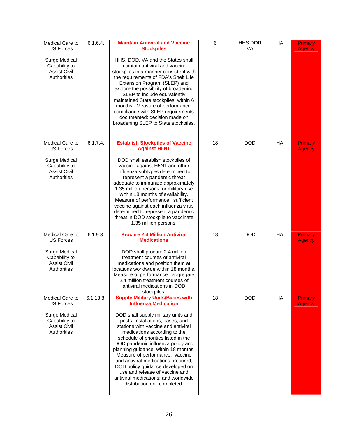| Medical Care to<br><b>US Forces</b>                                  | 6.1.6.4.              | <b>Maintain Antiviral and Vaccine</b><br><b>Stockpiles</b>                                                                                                                                                                                                                                                                                                                                                                                                                                   | 6  | HHS DOD<br><b>VA</b> | HA        | <b>Primary</b><br><b>Agency</b> |
|----------------------------------------------------------------------|-----------------------|----------------------------------------------------------------------------------------------------------------------------------------------------------------------------------------------------------------------------------------------------------------------------------------------------------------------------------------------------------------------------------------------------------------------------------------------------------------------------------------------|----|----------------------|-----------|---------------------------------|
| Surge Medical<br>Capability to<br><b>Assist Civil</b><br>Authorities |                       | HHS, DOD, VA and the States shall<br>maintain antiviral and vaccine<br>stockpiles in a manner consistent with<br>the requirements of FDA's Shelf Life<br>Extension Program (SLEP) and<br>explore the possibility of broadening<br>SLEP to include equivalently<br>maintained State stockpiles, within 6<br>months. Measure of performance:<br>compliance with SLEP requirements<br>documented; decision made on<br>broadening SLEP to State stockpiles.                                      |    |                      |           |                                 |
| Medical Care to<br><b>US Forces</b>                                  | 6.1.7.4.              | <b>Establish Stockpiles of Vaccine</b><br><b>Against H5N1</b>                                                                                                                                                                                                                                                                                                                                                                                                                                | 18 | <b>DOD</b>           | HA        | Primary<br><b>Agency</b>        |
| Surge Medical<br>Capability to<br><b>Assist Civil</b><br>Authorities |                       | DOD shall establish stockpiles of<br>vaccine against H5N1 and other<br>influenza subtypes determined to<br>represent a pandemic threat<br>adequate to immunize approximately<br>1.35 million persons for military use<br>within 18 months of availability.<br>Measure of performance: sufficient<br>vaccine against each influenza virus<br>determined to represent a pandemic<br>threat in DOD stockpile to vaccinate<br>1.35 million persons.                                              |    |                      |           |                                 |
| Medical Care to<br><b>US Forces</b>                                  | $6.1.9.\overline{3.}$ | <b>Procure 2.4 Million Antiviral</b><br><b>Medications</b>                                                                                                                                                                                                                                                                                                                                                                                                                                   | 18 | <b>DOD</b>           | <b>HA</b> | <b>Primary</b><br><b>Agency</b> |
| Surge Medical<br>Capability to<br><b>Assist Civil</b><br>Authorities |                       | DOD shall procure 2.4 million<br>treatment courses of antiviral<br>medications and position them at<br>locations worldwide within 18 months.<br>Measure of performance: aggregate<br>2.4 million treatment courses of<br>antiviral medications in DOD<br>stockpiles.                                                                                                                                                                                                                         |    |                      |           |                                 |
| Medical Care to<br><b>US Forces</b>                                  | 6.1.13.8.             | <b>Supply Military Units/Bases with</b><br><b>Influenza Medication</b>                                                                                                                                                                                                                                                                                                                                                                                                                       | 18 | <b>DOD</b>           | HA        | <b>Primary</b><br>Agency        |
| Surge Medical<br>Capability to<br><b>Assist Civil</b><br>Authorities |                       | DOD shall supply military units and<br>posts, installations, bases, and<br>stations with vaccine and antiviral<br>medications according to the<br>schedule of priorities listed in the<br>DOD pandemic influenza policy and<br>planning guidance, within 18 months.<br>Measure of performance: vaccine<br>and antiviral medications procured;<br>DOD policy guidance developed on<br>use and release of vaccine and<br>antiviral medications; and worldwide<br>distribution drill completed. |    |                      |           |                                 |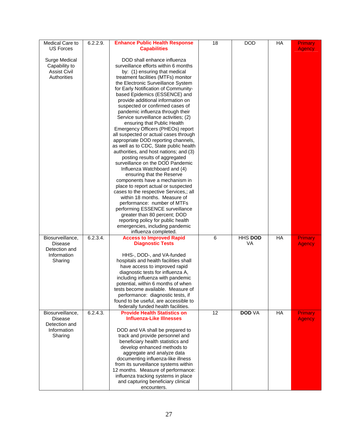| Medical Care to<br><b>US Forces</b>                                           | 6.2.2.9. | <b>Enhance Public Health Response</b><br><b>Capabilities</b>                                                                                                                                                                                                                                                                                                                                                                                                                                                                                                                                                                                                                                                                                                                                                                                                                                                                                                                                                                                                                                                                                   | 18 | <b>DOD</b>           | HA | <b>Primary</b><br><b>Agency</b> |
|-------------------------------------------------------------------------------|----------|------------------------------------------------------------------------------------------------------------------------------------------------------------------------------------------------------------------------------------------------------------------------------------------------------------------------------------------------------------------------------------------------------------------------------------------------------------------------------------------------------------------------------------------------------------------------------------------------------------------------------------------------------------------------------------------------------------------------------------------------------------------------------------------------------------------------------------------------------------------------------------------------------------------------------------------------------------------------------------------------------------------------------------------------------------------------------------------------------------------------------------------------|----|----------------------|----|---------------------------------|
| Surge Medical<br>Capability to<br><b>Assist Civil</b><br>Authorities          |          | DOD shall enhance influenza<br>surveillance efforts within 6 months<br>by: (1) ensuring that medical<br>treatment facilities (MTFs) monitor<br>the Electronic Surveillance System<br>for Early Notification of Community-<br>based Epidemics (ESSENCE) and<br>provide additional information on<br>suspected or confirmed cases of<br>pandemic influenza through their<br>Service surveillance activities; (2)<br>ensuring that Public Health<br>Emergency Officers (PHEOs) report<br>all suspected or actual cases through<br>appropriate DOD reporting channels,<br>as well as to CDC, State public health<br>authorities, and host nations; and (3)<br>posting results of aggregated<br>surveillance on the DOD Pandemic<br>Influenza Watchboard and (4)<br>ensuring that the Reserve<br>components have a mechanism in<br>place to report actual or suspected<br>cases to the respective Services,; all<br>within 18 months. Measure of<br>performance: number of MTFs<br>performing ESSENCE surveillance<br>greater than 80 percent; DOD<br>reporting policy for public health<br>emergencies, including pandemic<br>influenza completed. |    |                      |    |                                 |
| Biosurveillance,<br><b>Disease</b><br>Detection and<br>Information<br>Sharing | 6.2.3.4. | <b>Access to Improved Rapid</b><br><b>Diagnostic Tests</b><br>HHS-, DOD-, and VA-funded<br>hospitals and health facilities shall<br>have access to improved rapid<br>diagnostic tests for influenza A,<br>including influenza with pandemic<br>potential, within 6 months of when<br>tests become available. Measure of<br>performance: diagnostic tests, if<br>found to be useful, are accessible to                                                                                                                                                                                                                                                                                                                                                                                                                                                                                                                                                                                                                                                                                                                                          | 6  | HHS DOD<br><b>VA</b> | HA | <b>Primary</b><br><b>Agency</b> |
| Biosurveillance,<br><b>Disease</b><br>Detection and<br>Information<br>Sharing | 6.2.4.3. | federally funded health facilities.<br><b>Provide Health Statistics on</b><br><b>Influenza-Like Illnesses</b><br>DOD and VA shall be prepared to<br>track and provide personnel and<br>beneficiary health statistics and<br>develop enhanced methods to<br>aggregate and analyze data<br>documenting influenza-like illness<br>from its surveillance systems within<br>12 months. Measure of performance:<br>influenza tracking systems in place<br>and capturing beneficiary clinical<br>encounters.                                                                                                                                                                                                                                                                                                                                                                                                                                                                                                                                                                                                                                          | 12 | <b>DOD VA</b>        | HA | Primary<br><b>Agency</b>        |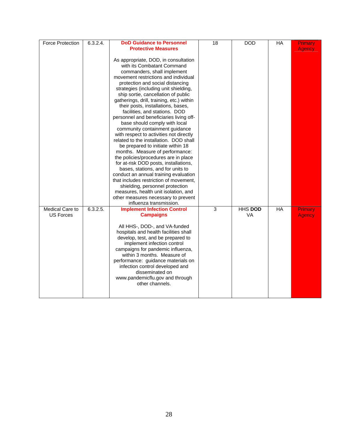| <b>Force Protection</b> | 6.3.2.4. | <b>DoD Guidance to Personnel</b>                                                                                                                                                                                                                                                                                                                                                                                                                                                                                                                                                                                                                                                                                                                                                                                                                                                                                                                                                                                      | 18 | <b>DOD</b>     | HA    | Primary       |
|-------------------------|----------|-----------------------------------------------------------------------------------------------------------------------------------------------------------------------------------------------------------------------------------------------------------------------------------------------------------------------------------------------------------------------------------------------------------------------------------------------------------------------------------------------------------------------------------------------------------------------------------------------------------------------------------------------------------------------------------------------------------------------------------------------------------------------------------------------------------------------------------------------------------------------------------------------------------------------------------------------------------------------------------------------------------------------|----|----------------|-------|---------------|
|                         |          | <b>Protective Measures</b><br>As appropriate, DOD, in consultation<br>with its Combatant Command<br>commanders, shall implement<br>movement restrictions and individual<br>protection and social distancing<br>strategies (including unit shielding,<br>ship sortie, cancellation of public<br>gatherings, drill, training, etc.) within<br>their posts, installations, bases,<br>facilities, and stations. DOD<br>personnel and beneficiaries living off-<br>base should comply with local<br>community containment guidance<br>with respect to activities not directly<br>related to the installation. DOD shall<br>be prepared to initiate within 18<br>months. Measure of performance:<br>the policies/procedures are in place<br>for at-risk DOD posts, installations,<br>bases, stations, and for units to<br>conduct an annual training evaluation<br>that includes restriction of movement,<br>shielding, personnel protection<br>measures, health unit isolation, and<br>other measures necessary to prevent |    |                |       | <b>Agency</b> |
| Medical Care to         | 6.3.2.5. | influenza transmission.<br><b>Implement Infection Control</b>                                                                                                                                                                                                                                                                                                                                                                                                                                                                                                                                                                                                                                                                                                                                                                                                                                                                                                                                                         | 3  | <b>HHS DOD</b> | $H$ A | Primary       |
| <b>US Forces</b>        |          | <b>Campaigns</b><br>All HHS-, DOD-, and VA-funded<br>hospitals and health facilities shall<br>develop, test, and be prepared to<br>implement infection control<br>campaigns for pandemic influenza,<br>within 3 months. Measure of<br>performance: guidance materials on<br>infection control developed and<br>disseminated on<br>www.pandemicflu.gov and through<br>other channels.                                                                                                                                                                                                                                                                                                                                                                                                                                                                                                                                                                                                                                  |    | <b>VA</b>      |       | <b>Agency</b> |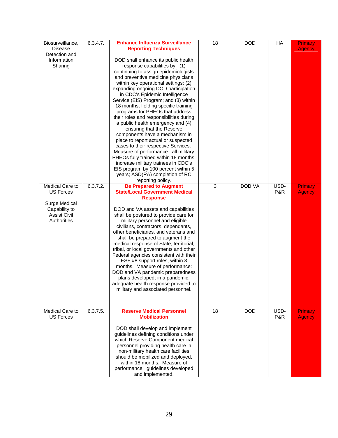| Biosurveillance,<br><b>Disease</b><br>Detection and<br>Information<br>Sharing                               | 6.3.4.7. | <b>Enhance Influenza Surveillance</b><br><b>Reporting Techniques</b><br>DOD shall enhance its public health<br>response capabilities by: (1)<br>continuing to assign epidemiologists<br>and preventive medicine physicians<br>within key operational settings; (2)<br>expanding ongoing DOD participation<br>in CDC's Epidemic Intelligence<br>Service (EIS) Program; and (3) within<br>18 months, fielding specific training<br>programs for PHEOs that address<br>their roles and responsibilities during<br>a public health emergency and (4)<br>ensuring that the Reserve<br>components have a mechanism in<br>place to report actual or suspected<br>cases to their respective Services.<br>Measure of performance: all military<br>PHEOs fully trained within 18 months;<br>increase military trainees in CDC's<br>EIS program by 100 percent within 5<br>years; ASD(RA) completion of RC<br>reporting policy. | 18 | <b>DOD</b>    | HA          | <b>Primary</b><br><b>Agency</b> |
|-------------------------------------------------------------------------------------------------------------|----------|----------------------------------------------------------------------------------------------------------------------------------------------------------------------------------------------------------------------------------------------------------------------------------------------------------------------------------------------------------------------------------------------------------------------------------------------------------------------------------------------------------------------------------------------------------------------------------------------------------------------------------------------------------------------------------------------------------------------------------------------------------------------------------------------------------------------------------------------------------------------------------------------------------------------|----|---------------|-------------|---------------------------------|
| Medical Care to<br><b>US Forces</b><br>Surge Medical<br>Capability to<br><b>Assist Civil</b><br>Authorities | 6.3.7.2. | <b>Be Prepared to Augment</b><br><b>State/Local Government Medical</b><br><b>Response</b><br>DOD and VA assets and capabilities<br>shall be postured to provide care for<br>military personnel and eligible<br>civilians, contractors, dependants,<br>other beneficiaries, and veterans and<br>shall be prepared to augment the<br>medical response of State, territorial,<br>tribal, or local governments and other<br>Federal agencies consistent with their<br>ESF #8 support roles, within 3<br>months. Measure of performance:<br>DOD and VA pandemic preparedness<br>plans developed; in a pandemic,<br>adequate health response provided to<br>military and associated personnel.                                                                                                                                                                                                                             | 3  | <b>DOD VA</b> | USD-<br>P&R | Primary<br><b>Agency</b>        |
| Medical Care to<br><b>US Forces</b>                                                                         | 6.3.7.5. | <b>Reserve Medical Personnel</b><br><b>Mobilization</b><br>DOD shall develop and implement<br>guidelines defining conditions under<br>which Reserve Component medical<br>personnel providing health care in<br>non-military health care facilities<br>should be mobilized and deployed,<br>within 18 months. Measure of<br>performance: guidelines developed<br>and implemented.                                                                                                                                                                                                                                                                                                                                                                                                                                                                                                                                     | 18 | <b>DOD</b>    | USD-<br>P&R | <b>Primary</b><br><b>Agency</b> |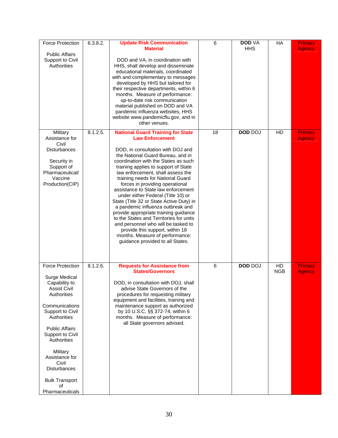| <b>Force Protection</b><br><b>Public Affairs</b><br>Support to Civil<br>Authorities                                                                                                                                                                                                                                | 6.3.8.2. | <b>Update Risk Communication</b><br><b>Material</b><br>DOD and VA, in coordination with<br>HHS, shall develop and disseminate<br>educational materials, coordinated<br>with and complementary to messages<br>developed by HHS but tailored for<br>their respective departments, within 6<br>months. Measure of performance:<br>up-to-date risk communication<br>material published on DOD and VA<br>pandemic influenza websites, HHS<br>website www.pandemicflu.gov, and in<br>other venues.                                                                                                                                                                                                                                                 | 6  | <b>DOD VA</b><br><b>HHS</b> | HA               | Primary<br><b>Agency</b> |
|--------------------------------------------------------------------------------------------------------------------------------------------------------------------------------------------------------------------------------------------------------------------------------------------------------------------|----------|----------------------------------------------------------------------------------------------------------------------------------------------------------------------------------------------------------------------------------------------------------------------------------------------------------------------------------------------------------------------------------------------------------------------------------------------------------------------------------------------------------------------------------------------------------------------------------------------------------------------------------------------------------------------------------------------------------------------------------------------|----|-----------------------------|------------------|--------------------------|
| Military<br>Assistance for<br>Civil<br>Disturbances<br>Security in<br>Support of<br>Pharmaceutical/<br>Vaccine<br>Production(CIP)                                                                                                                                                                                  | 8.1.2.5. | <b>National Guard Training for State</b><br><b>Law Enforcement</b><br>DOD, in consultation with DOJ and<br>the National Guard Bureau, and in<br>coordination with the States as such<br>training applies to support of State<br>law enforcement, shall assess the<br>training needs for National Guard<br>forces in providing operational<br>assistance to State law enforcement<br>under either Federal (Title 10) or<br>State (Title 32 or State Active Duty) in<br>a pandemic influenza outbreak and<br>provide appropriate training guidance<br>to the States and Territories for units<br>and personnel who will be tasked to<br>provide this support, within 18<br>months. Measure of performance:<br>guidance provided to all States. | 18 | <b>DOD DOJ</b>              | HD               | Primary<br><b>Agency</b> |
| <b>Force Protection</b><br>Surge Medical<br>Capability to<br>Assist Civil<br>Authorities<br>Communications<br>Support to Civil<br>Authorities<br><b>Public Affairs</b><br>Support to Civil<br>Authorities<br>Military<br>Assistance for<br>Civil<br>Disturbances<br><b>Bulk Transport</b><br>of<br>Pharmaceuticals | 8.1.2.6. | <b>Requests for Assistance from</b><br><b>States/Governors</b><br>DOD, in consultation with DOJ, shall<br>advise State Governors of the<br>procedures for requesting military<br>equipment and facilities, training and<br>maintenance support as authorized<br>by 10 U.S.C. §§ 372-74, within 6<br>months. Measure of performance:<br>all State governors advised.                                                                                                                                                                                                                                                                                                                                                                          | 6  | <b>DOD DOJ</b>              | HD<br><b>NGB</b> | Primary<br><b>Agency</b> |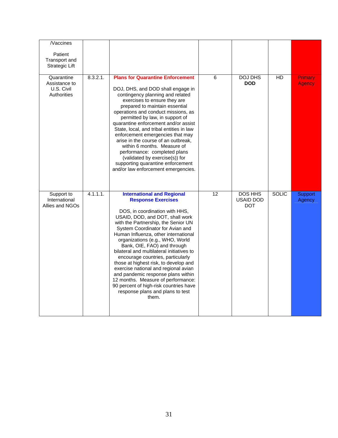| $\overline{\mathcal{N}}$ accines<br>Patient<br>Transport and<br><b>Strategic Lift</b> |          |                                                                                                                                                                                                                                                                                                                                                                                                                                                                                                                                                                                                                                                                |    |                                           |              |                          |
|---------------------------------------------------------------------------------------|----------|----------------------------------------------------------------------------------------------------------------------------------------------------------------------------------------------------------------------------------------------------------------------------------------------------------------------------------------------------------------------------------------------------------------------------------------------------------------------------------------------------------------------------------------------------------------------------------------------------------------------------------------------------------------|----|-------------------------------------------|--------------|--------------------------|
| Quarantine<br>Assistance to<br>U.S. Civil<br>Authorities                              | 8.3.2.1. | <b>Plans for Quarantine Enforcement</b><br>DOJ, DHS, and DOD shall engage in<br>contingency planning and related<br>exercises to ensure they are<br>prepared to maintain essential<br>operations and conduct missions, as<br>permitted by law, in support of<br>quarantine enforcement and/or assist<br>State, local, and tribal entities in law<br>enforcement emergencies that may<br>arise in the course of an outbreak,<br>within 6 months. Measure of<br>performance: completed plans<br>(validated by exercise(s)) for<br>supporting quarantine enforcement<br>and/or law enforcement emergencies.                                                       | 6  | <b>DOJ DHS</b><br><b>DOD</b>              | HD           | Primary<br><b>Agency</b> |
| Support to<br>International<br>Allies and NGOs                                        | 4.1.1.1. | <b>International and Regional</b><br><b>Response Exercises</b><br>DOS, in coordination with HHS,<br>USAID, DOD, and DOT, shall work<br>with the Partnership, the Senior UN<br>System Coordinator for Avian and<br>Human Influenza, other international<br>organizations (e.g., WHO, World<br>Bank, OIE, FAO) and through<br>bilateral and multilateral initiatives to<br>encourage countries, particularly<br>those at highest risk, to develop and<br>exercise national and regional avian<br>and pandemic response plans within<br>12 months. Measure of performance:<br>90 percent of high-risk countries have<br>response plans and plans to test<br>them. | 12 | DOS HHS<br><b>USAID DOD</b><br><b>DOT</b> | <b>SOLIC</b> | <b>Support</b><br>Agency |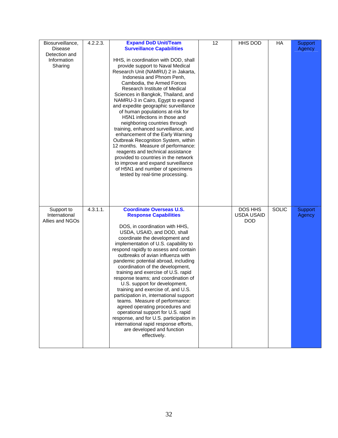| Biosurveillance,<br><b>Disease</b><br>Detection and<br>Information<br>Sharing | 4.2.2.3. | <b>Expand DoD Unit/Team</b><br><b>Surveillance Capabilities</b><br>HHS, in coordination with DOD, shall<br>provide support to Naval Medical<br>Research Unit (NAMRU) 2 in Jakarta,<br>Indonesia and Phnom Penh,<br>Cambodia, the Armed Forces<br>Research Institute of Medical<br>Sciences in Bangkok, Thailand, and<br>NAMRU-3 in Cairo, Egypt to expand<br>and expedite geographic surveillance<br>of human populations at-risk for<br>H5N1 infections in those and<br>neighboring countries through<br>training, enhanced surveillance, and<br>enhancement of the Early Warning<br>Outbreak Recognition System, within<br>12 months. Measure of performance:<br>reagents and technical assistance<br>provided to countries in the network<br>to improve and expand surveillance<br>of H5N1 and number of specimens<br>tested by real-time processing. | 12 | HHS DOD                                    | HA           | Support<br>Agency        |
|-------------------------------------------------------------------------------|----------|----------------------------------------------------------------------------------------------------------------------------------------------------------------------------------------------------------------------------------------------------------------------------------------------------------------------------------------------------------------------------------------------------------------------------------------------------------------------------------------------------------------------------------------------------------------------------------------------------------------------------------------------------------------------------------------------------------------------------------------------------------------------------------------------------------------------------------------------------------|----|--------------------------------------------|--------------|--------------------------|
| Support to<br>International<br>Allies and NGOs                                | 4.3.1.1. | <b>Coordinate Overseas U.S.</b><br><b>Response Capabilities</b><br>DOS, in coordination with HHS,<br>USDA, USAID, and DOD, shall<br>coordinate the development and<br>implementation of U.S. capability to<br>respond rapidly to assess and contain<br>outbreaks of avian influenza with<br>pandemic potential abroad, including<br>coordination of the development,<br>training and exercise of U.S. rapid<br>response teams; and coordination of<br>U.S. support for development,<br>training and exercise of, and U.S.<br>participation in, international support<br>teams. Measure of performance:<br>agreed operating procedures and<br>operational support for U.S. rapid<br>response, and for U.S. participation in<br>international rapid response efforts,<br>are developed and function<br>effectively.                                        |    | DOS HHS<br><b>USDA USAID</b><br><b>DOD</b> | <b>SOLIC</b> | <b>Support</b><br>Agency |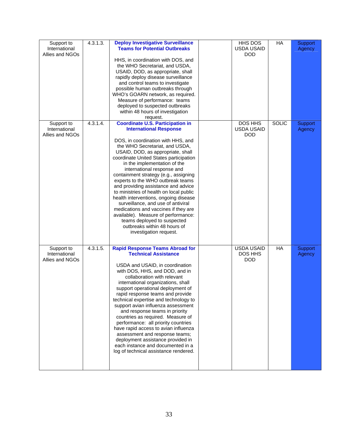| Support to<br>International<br>Allies and NGOs | $4.\overline{3}.1.\overline{3}.$ | <b>Deploy Investigative Surveillance</b><br><b>Teams for Potential Outbreaks</b><br>HHS, in coordination with DOS, and<br>the WHO Secretariat, and USDA,<br>USAID, DOD, as appropriate, shall<br>rapidly deploy disease surveillance<br>and control teams to investigate<br>possible human outbreaks through<br>WHO's GOARN network, as required.<br>Measure of performance: teams<br>deployed to suspected outbreaks<br>within 48 hours of investigation<br>request.                                                                                                                                                                                                                                                | <b>HHS DOS</b><br><b>USDA USAID</b><br><b>DOD</b> | HA           | Support<br>Agency        |
|------------------------------------------------|----------------------------------|----------------------------------------------------------------------------------------------------------------------------------------------------------------------------------------------------------------------------------------------------------------------------------------------------------------------------------------------------------------------------------------------------------------------------------------------------------------------------------------------------------------------------------------------------------------------------------------------------------------------------------------------------------------------------------------------------------------------|---------------------------------------------------|--------------|--------------------------|
| Support to<br>International<br>Allies and NGOs | 4.3.1.4.                         | <b>Coordinate U.S. Participation in</b><br><b>International Response</b><br>DOS, in coordination with HHS, and<br>the WHO Secretariat, and USDA,<br>USAID, DOD, as appropriate, shall<br>coordinate United States participation<br>in the implementation of the<br>international response and<br>containment strategy (e.g., assigning<br>experts to the WHO outbreak teams<br>and providing assistance and advice<br>to ministries of health on local public<br>health interventions, ongoing disease<br>surveillance, and use of antiviral<br>medications and vaccines if they are<br>available). Measure of performance:<br>teams deployed to suspected<br>outbreaks within 48 hours of<br>investigation request. | DOS HHS<br><b>USDA USAID</b><br><b>DOD</b>        | <b>SOLIC</b> | <b>Support</b><br>Agency |
| Support to<br>International<br>Allies and NGOs | 4.3.1.5.                         | <b>Rapid Response Teams Abroad for</b><br><b>Technical Assistance</b><br>USDA and USAID, in coordination<br>with DOS, HHS, and DOD, and in<br>collaboration with relevant<br>international organizations, shall<br>support operational deployment of<br>rapid response teams and provide<br>technical expertise and technology to<br>support avian influenza assessment<br>and response teams in priority<br>countries as required. Measure of<br>performance: all priority countries<br>have rapid access to avian influenza<br>assessment and response teams;<br>deployment assistance provided in<br>each instance and documented in a<br>log of technical assistance rendered.                                   | <b>USDA USAID</b><br>DOS HHS<br><b>DOD</b>        | $H$ A        | Support<br>Agency        |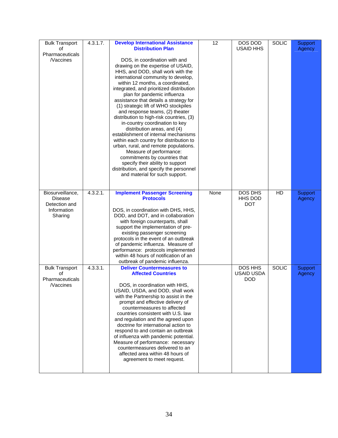| <b>Bulk Transport</b><br>of<br>Pharmaceuticals<br><b>Naccines</b>             | 4.3.1.7. | <b>Develop International Assistance</b><br><b>Distribution Plan</b><br>DOS, in coordination with and<br>drawing on the expertise of USAID,<br>HHS, and DOD, shall work with the<br>international community to develop,<br>within 12 months, a coordinated,<br>integrated, and prioritized distribution<br>plan for pandemic influenza<br>assistance that details a strategy for<br>(1) strategic lift of WHO stockpiles<br>and response teams, (2) theater<br>distribution to high-risk countries, (3)<br>in-country coordination to key<br>distribution areas, and (4)<br>establishment of internal mechanisms<br>within each country for distribution to<br>urban, rural, and remote populations.<br>Measure of performance:<br>commitments by countries that<br>specify their ability to support<br>distribution, and specify the personnel<br>and material for such support. | 12   | DOS DOD<br><b>USAID HHS</b>                | <b>SOLIC</b> | Support<br>Agency |
|-------------------------------------------------------------------------------|----------|----------------------------------------------------------------------------------------------------------------------------------------------------------------------------------------------------------------------------------------------------------------------------------------------------------------------------------------------------------------------------------------------------------------------------------------------------------------------------------------------------------------------------------------------------------------------------------------------------------------------------------------------------------------------------------------------------------------------------------------------------------------------------------------------------------------------------------------------------------------------------------|------|--------------------------------------------|--------------|-------------------|
| Biosurveillance,<br><b>Disease</b><br>Detection and<br>Information<br>Sharing | 4.3.2.1. | <b>Implement Passenger Screening</b><br><b>Protocols</b><br>DOS, in coordination with DHS, HHS,<br>DOD, and DOT, and in collaboration<br>with foreign counterparts, shall<br>support the implementation of pre-<br>existing passenger screening<br>protocols in the event of an outbreak<br>of pandemic influenza. Measure of<br>performance: protocols implemented<br>within 48 hours of notification of an<br>outbreak of pandemic influenza.                                                                                                                                                                                                                                                                                                                                                                                                                                  | None | DOS DHS<br>HHS DOD<br><b>DOT</b>           | HD           | Support<br>Agency |
| <b>Bulk Transport</b><br>οf<br>Pharmaceuticals<br><i>Naccines</i>             | 4.3.3.1. | <b>Deliver Countermeasures to</b><br><b>Affected Countries</b><br>DOS, in coordination with HHS,<br>USAID, USDA, and DOD, shall work<br>with the Partnership to assist in the<br>prompt and effective delivery of<br>countermeasures to affected<br>countries consistent with U.S. law<br>and regulation and the agreed upon<br>doctrine for international action to<br>respond to and contain an outbreak<br>of influenza with pandemic potential.<br>Measure of performance: necessary<br>countermeasures delivered to an<br>affected area within 48 hours of<br>agreement to meet request.                                                                                                                                                                                                                                                                                    |      | DOS HHS<br><b>USAID USDA</b><br><b>DOD</b> | <b>SOLIC</b> | Support<br>Agency |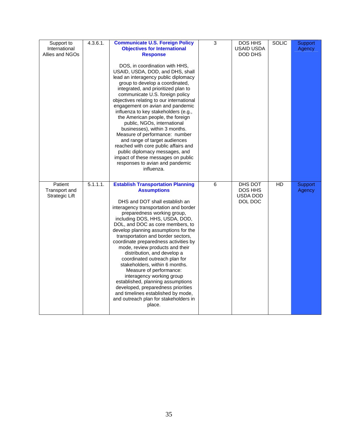| Support to<br>International<br>Allies and NGOs | 4.3.6.1. | <b>Communicate U.S. Foreign Policy</b><br><b>Objectives for International</b><br><b>Response</b><br>DOS, in coordination with HHS,<br>USAID, USDA, DOD, and DHS, shall<br>lead an interagency public diplomacy<br>group to develop a coordinated,<br>integrated, and prioritized plan to<br>communicate U.S. foreign policy<br>objectives relating to our international<br>engagement on avian and pandemic<br>influenza to key stakeholders (e.g.,<br>the American people, the foreign<br>public, NGOs, international<br>businesses), within 3 months.<br>Measure of performance: number<br>and range of target audiences<br>reached with core public affairs and<br>public diplomacy messages, and<br>impact of these messages on public<br>responses to avian and pandemic<br>influenza. | $\overline{3}$ | <b>DOS HHS</b><br><b>USAID USDA</b><br>DOD DHS | <b>SOLIC</b> | Support<br>Agency |
|------------------------------------------------|----------|---------------------------------------------------------------------------------------------------------------------------------------------------------------------------------------------------------------------------------------------------------------------------------------------------------------------------------------------------------------------------------------------------------------------------------------------------------------------------------------------------------------------------------------------------------------------------------------------------------------------------------------------------------------------------------------------------------------------------------------------------------------------------------------------|----------------|------------------------------------------------|--------------|-------------------|
| Patient<br>Transport and<br>Strategic Lift     | 5.1.1.1. | <b>Establish Transportation Planning</b><br><b>Assumptions</b><br>DHS and DOT shall establish an<br>interagency transportation and border<br>preparedness working group,<br>including DOS, HHS, USDA, DOD,<br>DOL, and DOC as core members, to<br>develop planning assumptions for the<br>transportation and border sectors,<br>coordinate preparedness activities by<br>mode, review products and their<br>distribution, and develop a<br>coordinated outreach plan for<br>stakeholders, within 6 months.<br>Measure of performance:<br>interagency working group<br>established, planning assumptions<br>developed, preparedness priorities<br>and timelines established by mode,<br>and outreach plan for stakeholders in<br>place.                                                      | $\overline{6}$ | DHS DOT<br>DOS HHS<br>USDA DOD<br>DOL DOC      | HD           | Support<br>Agency |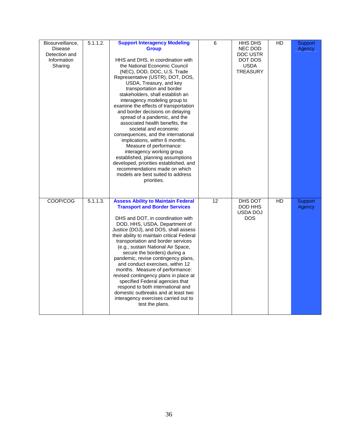| Biosurveillance,<br><b>Disease</b><br>Detection and<br>Information<br>Sharing | 5.1.1.2. | <b>Support Interagency Modeling</b><br><b>Group</b><br>HHS and DHS, in coordination with<br>the National Economic Council<br>(NEC), DOD, DOC, U.S. Trade<br>Representative (USTR), DOT, DOS,<br>USDA, Treasury, and key<br>transportation and border<br>stakeholders, shall establish an<br>interagency modeling group to<br>examine the effects of transportation<br>and border decisions on delaying<br>spread of a pandemic, and the<br>associated health benefits, the<br>societal and economic<br>consequences, and the international<br>implications, within 6 months.<br>Measure of performance:<br>interagency working group<br>established, planning assumptions<br>developed, priorities established, and<br>recommendations made on which<br>models are best suited to address<br>priorities. | 6  | <b>HHS DHS</b><br>NEC DOD<br>DOC USTR<br>DOT DOS<br><b>USDA</b><br><b>TREASURY</b> | $\overline{HD}$ | <b>Support</b><br>Agency |
|-------------------------------------------------------------------------------|----------|----------------------------------------------------------------------------------------------------------------------------------------------------------------------------------------------------------------------------------------------------------------------------------------------------------------------------------------------------------------------------------------------------------------------------------------------------------------------------------------------------------------------------------------------------------------------------------------------------------------------------------------------------------------------------------------------------------------------------------------------------------------------------------------------------------|----|------------------------------------------------------------------------------------|-----------------|--------------------------|
| COOP/COG                                                                      | 5.1.1.3. | <b>Assess Ability to Maintain Federal</b><br><b>Transport and Border Services</b><br>DHS and DOT, in coordination with<br>DOD, HHS, USDA, Department of<br>Justice (DOJ), and DOS, shall assess<br>their ability to maintain critical Federal<br>transportation and border services<br>(e.g., sustain National Air Space,<br>secure the borders) during a<br>pandemic, revise contingency plans,<br>and conduct exercises, within 12<br>months. Measure of performance:<br>revised contingency plans in place at<br>specified Federal agencies that<br>respond to both international and<br>domestic outbreaks and at least two<br>interagency exercises carried out to<br>test the plans.                                                                                                               | 12 | DHS DOT<br>DOD HHS<br>USDA DOJ<br><b>DOS</b>                                       | HD              | Support<br>Agency        |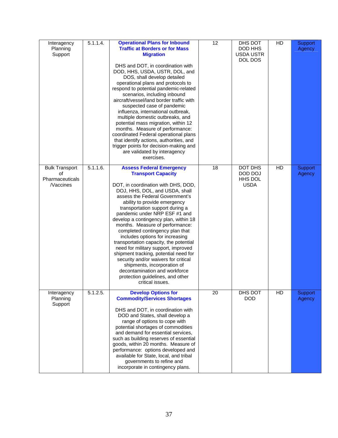| Interagency<br>Planning<br>Support                                | 5.1.1.4. | <b>Operational Plans for Inbound</b><br><b>Traffic at Borders or for Mass</b><br><b>Migration</b><br>DHS and DOT, in coordination with<br>DOD, HHS, USDA, USTR, DOL, and<br>DOS, shall develop detailed<br>operational plans and protocols to<br>respond to potential pandemic-related<br>scenarios, including inbound<br>aircraft/vessel/land border traffic with<br>suspected case of pandemic<br>influenza, international outbreak,<br>multiple domestic outbreaks, and<br>potential mass migration, within 12<br>months. Measure of performance:<br>coordinated Federal operational plans<br>that identify actions, authorities, and<br>trigger points for decision-making and<br>are validated by interagency<br>exercises. | 12 | DHS DOT<br>DOD HHS<br><b>USDA USTR</b><br>DOL DOS   | HD | Support<br>Agency |
|-------------------------------------------------------------------|----------|----------------------------------------------------------------------------------------------------------------------------------------------------------------------------------------------------------------------------------------------------------------------------------------------------------------------------------------------------------------------------------------------------------------------------------------------------------------------------------------------------------------------------------------------------------------------------------------------------------------------------------------------------------------------------------------------------------------------------------|----|-----------------------------------------------------|----|-------------------|
| <b>Bulk Transport</b><br>οf<br>Pharmaceuticals<br><b>Naccines</b> | 5.1.1.6. | <b>Assess Federal Emergency</b><br><b>Transport Capacity</b><br>DOT, in coordination with DHS, DOD,<br>DOJ, HHS, DOL, and USDA, shall<br>assess the Federal Government's<br>ability to provide emergency<br>transportation support during a<br>pandemic under NRP ESF #1 and<br>develop a contingency plan, within 18<br>months. Measure of performance:<br>completed contingency plan that<br>includes options for increasing<br>transportation capacity, the potential<br>need for military support, improved<br>shipment tracking, potential need for<br>security and/or waivers for critical<br>shipments, incorporation of<br>decontamination and workforce<br>protection guidelines, and other<br>critical issues.         | 18 | <b>DOT DHS</b><br>DOD DOJ<br>HHS DOL<br><b>USDA</b> | HD | Support<br>Agency |
| Interagency<br>Planning<br>Support                                | 5.1.2.5. | <b>Develop Options for</b><br><b>Commodity/Services Shortages</b><br>DHS and DOT, in coordination with<br>DOD and States, shall develop a<br>range of options to cope with<br>potential shortages of commodities<br>and demand for essential services,<br>such as building reserves of essential<br>goods, within 20 months. Measure of<br>performance: options developed and<br>available for State, local, and tribal<br>governments to refine and<br>incorporate in contingency plans.                                                                                                                                                                                                                                        | 20 | DHS DOT<br><b>DOD</b>                               | HD | Support<br>Agency |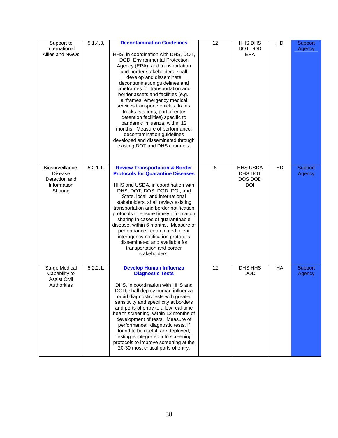| Support to<br>International<br>Allies and NGOs                         | 5.1.4.3.    | <b>Decontamination Guidelines</b><br>HHS, in coordination with DHS, DOT,<br>DOD, Environmental Protection<br>Agency (EPA), and transportation<br>and border stakeholders, shall<br>develop and disseminate<br>decontamination guidelines and<br>timeframes for transportation and<br>border assets and facilities (e.g.,<br>airframes, emergency medical<br>services transport vehicles, trains,<br>trucks, stations, port of entry<br>detention facilities) specific to<br>pandemic influenza, within 12<br>months. Measure of performance:<br>decontamination guidelines<br>developed and disseminated through<br>existing DOT and DHS channels. | 12 | HHS DHS<br>DOT DOD<br><b>EPA</b>                    | HD        | Support<br>Agency |
|------------------------------------------------------------------------|-------------|----------------------------------------------------------------------------------------------------------------------------------------------------------------------------------------------------------------------------------------------------------------------------------------------------------------------------------------------------------------------------------------------------------------------------------------------------------------------------------------------------------------------------------------------------------------------------------------------------------------------------------------------------|----|-----------------------------------------------------|-----------|-------------------|
| Biosurveillance,<br>Disease<br>Detection and<br>Information<br>Sharing | $5.2.1.1$ . | <b>Review Transportation &amp; Border</b><br><b>Protocols for Quarantine Diseases</b><br>HHS and USDA, in coordination with<br>DHS, DOT, DOS, DOD, DOI, and<br>State, local, and international<br>stakeholders, shall review existing<br>transportation and border notification<br>protocols to ensure timely information<br>sharing in cases of quarantinable<br>disease, within 6 months. Measure of<br>performance: coordinated, clear<br>interagency notification protocols<br>disseminated and available for<br>transportation and border<br>stakeholders.                                                                                    | 6  | <b>HHS USDA</b><br>DHS DOT<br>DOS DOD<br><b>DOI</b> | HD        | Support<br>Agency |
| Surge Medical<br>Capability to<br><b>Assist Civil</b><br>Authorities   | 5.2.2.1.    | <b>Develop Human Influenza</b><br><b>Diagnostic Tests</b><br>DHS, in coordination with HHS and<br>DOD, shall deploy human influenza<br>rapid diagnostic tests with greater<br>sensitivity and specificity at borders<br>and ports of entry to allow real-time<br>health screening, within 12 months of<br>development of tests. Measure of<br>performance: diagnostic tests, if<br>found to be useful, are deployed;<br>testing is integrated into screening<br>protocols to improve screening at the<br>20-30 most critical ports of entry.                                                                                                       | 12 | DHS HHS<br><b>DOD</b>                               | <b>HA</b> | Support<br>Agency |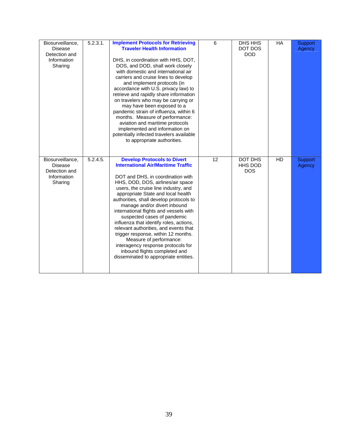| Biosurveillance,<br><b>Disease</b><br>Detection and<br>Information<br>Sharing | 5.2.3.1. | <b>Implement Protocols for Retrieving</b><br><b>Traveler Health Information</b><br>DHS, in coordination with HHS, DOT,<br>DOS, and DOD, shall work closely<br>with domestic and international air<br>carriers and cruise lines to develop<br>and implement protocols (in<br>accordance with U.S. privacy law) to<br>retrieve and rapidly share information<br>on travelers who may be carrying or<br>may have been exposed to a<br>pandemic strain of influenza, within 6<br>months. Measure of performance:<br>aviation and maritime protocols<br>implemented and information on<br>potentially infected travelers available<br>to appropriate authorities.      | 6               | DHS HHS<br>DOT DOS<br><b>DOD</b>        | <b>HA</b> | Support<br>Agency        |
|-------------------------------------------------------------------------------|----------|-------------------------------------------------------------------------------------------------------------------------------------------------------------------------------------------------------------------------------------------------------------------------------------------------------------------------------------------------------------------------------------------------------------------------------------------------------------------------------------------------------------------------------------------------------------------------------------------------------------------------------------------------------------------|-----------------|-----------------------------------------|-----------|--------------------------|
| Biosurveillance,<br><b>Disease</b><br>Detection and<br>Information<br>Sharing | 5.2.4.5. | <b>Develop Protocols to Divert</b><br><b>International Air/Maritime Traffic</b><br>DOT and DHS, in coordination with<br>HHS, DOD, DOS, airlines/air space<br>users, the cruise line industry, and<br>appropriate State and local health<br>authorities, shall develop protocols to<br>manage and/or divert inbound<br>international flights and vessels with<br>suspected cases of pandemic<br>influenza that identify roles, actions,<br>relevant authorities, and events that<br>trigger response, within 12 months.<br>Measure of performance:<br>interagency response protocols for<br>inbound flights completed and<br>disseminated to appropriate entities. | $\overline{12}$ | <b>DOT DHS</b><br>HHS DOD<br><b>DOS</b> | HD        | <b>Support</b><br>Agency |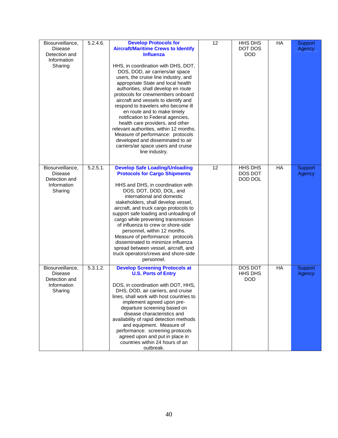| Biosurveillance,<br><b>Disease</b><br>Detection and<br>Information<br>Sharing | 5.2.4.6. | <b>Develop Protocols for</b><br><b>Aircraft/Maritime Crews to Identify</b><br><b>Influenza</b><br>HHS, in coordination with DHS, DOT,<br>DOS, DOD, air carriers/air space<br>users, the cruise line industry, and<br>appropriate State and local health<br>authorities, shall develop en route<br>protocols for crewmembers onboard<br>aircraft and vessels to identify and<br>respond to travelers who become ill<br>en route and to make timely<br>notification to Federal agencies,<br>health care providers, and other<br>relevant authorities, within 12 months.<br>Measure of performance: protocols<br>developed and disseminated to air<br>carriers/air space users and cruise<br>line industry. | 12 | HHS DHS<br>DOT DOS<br><b>DOD</b>        | HA        | Support<br>Agency        |
|-------------------------------------------------------------------------------|----------|----------------------------------------------------------------------------------------------------------------------------------------------------------------------------------------------------------------------------------------------------------------------------------------------------------------------------------------------------------------------------------------------------------------------------------------------------------------------------------------------------------------------------------------------------------------------------------------------------------------------------------------------------------------------------------------------------------|----|-----------------------------------------|-----------|--------------------------|
| Biosurveillance,<br><b>Disease</b><br>Detection and<br>Information<br>Sharing | 5.2.5.1. | <b>Develop Safe Loading/Unloading</b><br><b>Protocols for Cargo Shipments</b><br>HHS and DHS, in coordination with<br>DOS, DOT, DOD, DOL, and<br>international and domestic<br>stakeholders, shall develop vessel,<br>aircraft, and truck cargo protocols to<br>support safe loading and unloading of<br>cargo while preventing transmission<br>of influenza to crew or shore-side<br>personnel, within 12 months.<br>Measure of performance: protocols<br>disseminated to minimize influenza<br>spread between vessel, aircraft, and<br>truck operators/crews and shore-side<br>personnel.                                                                                                              | 12 | <b>HHS DHS</b><br>DOS DOT<br>DOD DOL    | HA        | <b>Support</b><br>Agency |
| Biosurveillance,<br>Disease<br>Detection and<br>Information<br>Sharing        | 5.3.1.2. | <b>Develop Screening Protocols at</b><br><b>U.S. Ports of Entry</b><br>DOS, in coordination with DOT, HHS,<br>DHS, DOD, air carriers, and cruise<br>lines, shall work with host countries to<br>implement agreed upon pre-<br>departure screening based on<br>disease characteristics and<br>availability of rapid detection methods<br>and equipment. Measure of<br>performance: screening protocols<br>agreed upon and put in place in<br>countries within 24 hours of an<br>outbreak.                                                                                                                                                                                                                 |    | <b>DOS DOT</b><br>HHS DHS<br><b>DOD</b> | <b>HA</b> | Support<br>Agency        |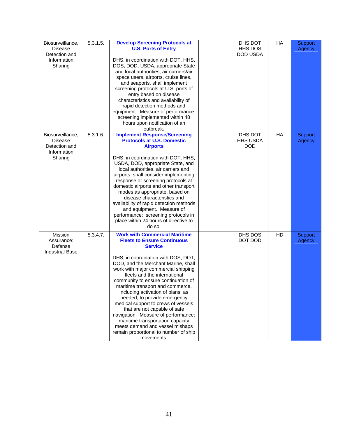| Biosurveillance,<br><b>Disease</b><br>Detection and<br>Information<br>Sharing | 5.3.1.5. | <b>Develop Screening Protocols at</b><br><b>U.S. Ports of Entry</b><br>DHS, in coordination with DOT, HHS,<br>DOS, DOD, USDA, appropriate State<br>and local authorities, air carriers/air<br>space users, airports, cruise lines,<br>and seaports, shall implement<br>screening protocols at U.S. ports of<br>entry based on disease<br>characteristics and availability of<br>rapid detection methods and<br>equipment. Measure of performance:<br>screening implemented within 48<br>hours upon notification of an<br>outbreak.                                                                                                            | DHS DOT<br>HHS DOS<br>DOD USDA           | HA | Support<br>Agency |
|-------------------------------------------------------------------------------|----------|-----------------------------------------------------------------------------------------------------------------------------------------------------------------------------------------------------------------------------------------------------------------------------------------------------------------------------------------------------------------------------------------------------------------------------------------------------------------------------------------------------------------------------------------------------------------------------------------------------------------------------------------------|------------------------------------------|----|-------------------|
| Biosurveillance,<br><b>Disease</b><br>Detection and<br>Information<br>Sharing | 5.3.1.6. | <b>Implement Response/Screening</b><br><b>Protocols at U.S. Domestic</b><br><b>Airports</b><br>DHS, in coordination with DOT, HHS,<br>USDA, DOD, appropriate State, and<br>local authorities, air carriers and<br>airports, shall consider implementing<br>response or screening protocols at<br>domestic airports and other transport<br>modes as appropriate, based on<br>disease characteristics and<br>availability of rapid detection methods<br>and equipment. Measure of<br>performance: screening protocols in<br>place within 24 hours of directive to<br>do so.                                                                     | DHS DOT<br><b>HHS USDA</b><br><b>DOD</b> | HA | Support<br>Agency |
| Mission<br>Assurance:<br>Defense<br><b>Industrial Base</b>                    | 5.3.4.7. | <b>Work with Commercial Maritime</b><br><b>Fleets to Ensure Continuous</b><br><b>Service</b><br>DHS, in coordination with DOS, DOT,<br>DOD, and the Merchant Marine, shall<br>work with major commercial shipping<br>fleets and the international<br>community to ensure continuation of<br>maritime transport and commerce,<br>including activation of plans, as<br>needed, to provide emergency<br>medical support to crews of vessels<br>that are not capable of safe<br>navigation. Measure of performance:<br>maritime transportation capacity<br>meets demand and vessel mishaps<br>remain proportional to number of ship<br>movements. | DHS DOS<br>DOT DOD                       | HD | Support<br>Agency |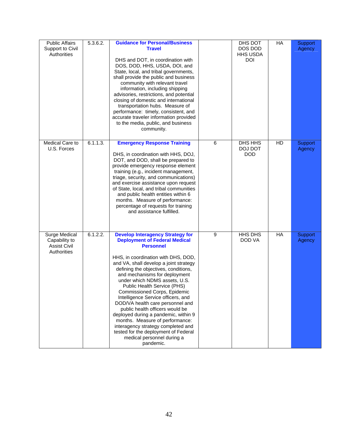| <b>Public Affairs</b><br>Support to Civil<br>Authorities             | 5.3.6.2. | <b>Guidance for Personal/Business</b><br><b>Travel</b><br>DHS and DOT, in coordination with<br>DOS, DOD, HHS, USDA, DOI, and<br>State, local, and tribal governments,<br>shall provide the public and business<br>community with relevant travel<br>information, including shipping<br>advisories, restrictions, and potential<br>closing of domestic and international<br>transportation hubs. Measure of<br>performance: timely, consistent, and<br>accurate traveler information provided<br>to the media, public, and business<br>community.                                                                                                                               |   | DHS DOT<br>DOS DOD<br><b>HHS USDA</b><br><b>DOI</b> | HA | Support<br>Agency |
|----------------------------------------------------------------------|----------|--------------------------------------------------------------------------------------------------------------------------------------------------------------------------------------------------------------------------------------------------------------------------------------------------------------------------------------------------------------------------------------------------------------------------------------------------------------------------------------------------------------------------------------------------------------------------------------------------------------------------------------------------------------------------------|---|-----------------------------------------------------|----|-------------------|
| Medical Care to<br>U.S. Forces                                       | 6.1.1.3. | <b>Emergency Response Training</b><br>DHS, in coordination with HHS, DOJ,<br>DOT, and DOD, shall be prepared to<br>provide emergency response element<br>training (e.g., incident management,<br>triage, security, and communications)<br>and exercise assistance upon request<br>of State, local, and tribal communities<br>and public health entities within 6<br>months. Measure of performance:<br>percentage of requests for training<br>and assistance fulfilled.                                                                                                                                                                                                        | 6 | DHS HHS<br>DOJ DOT<br><b>DOD</b>                    | HD | Support<br>Agency |
| Surge Medical<br>Capability to<br><b>Assist Civil</b><br>Authorities | 6.1.2.2. | <b>Develop Interagency Strategy for</b><br><b>Deployment of Federal Medical</b><br><b>Personnel</b><br>HHS, in coordination with DHS, DOD,<br>and VA, shall develop a joint strategy<br>defining the objectives, conditions,<br>and mechanisms for deployment<br>under which NDMS assets, U.S.<br>Public Health Service (PHS)<br>Commissioned Corps, Epidemic<br>Intelligence Service officers, and<br>DOD/VA health care personnel and<br>public health officers would be<br>deployed during a pandemic, within 9<br>months. Measure of performance:<br>interagency strategy completed and<br>tested for the deployment of Federal<br>medical personnel during a<br>pandemic. | 9 | HHS DHS<br>DOD VA                                   | HA | Support<br>Agency |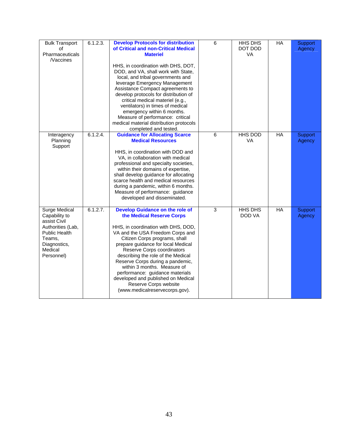| <b>Bulk Transport</b><br>οf<br>Pharmaceuticals<br><b>Naccines</b>                                                                              | 6.1.2.3.    | <b>Develop Protocols for distribution</b><br>of Critical and non-Critical Medical<br><b>Materiel</b><br>HHS, in coordination with DHS, DOT,<br>DOD, and VA, shall work with State,<br>local, and tribal governments and<br>leverage Emergency Management<br>Assistance Compact agreements to<br>develop protocols for distribution of<br>critical medical materiel (e.g.,<br>ventilators) in times of medical<br>emergency within 6 months.<br>Measure of performance: critical<br>medical material distribution protocols | 6 | HHS DHS<br>DOT DOD<br>VA | HA        | <b>Support</b><br>Agency |
|------------------------------------------------------------------------------------------------------------------------------------------------|-------------|----------------------------------------------------------------------------------------------------------------------------------------------------------------------------------------------------------------------------------------------------------------------------------------------------------------------------------------------------------------------------------------------------------------------------------------------------------------------------------------------------------------------------|---|--------------------------|-----------|--------------------------|
| Interagency<br>Planning<br>Support                                                                                                             | $6.1.2.4$ . | completed and tested.<br><b>Guidance for Allocating Scarce</b><br><b>Medical Resources</b><br>HHS, in coordination with DOD and<br>VA, in collaboration with medical<br>professional and specialty societies,<br>within their domains of expertise,<br>shall develop guidance for allocating<br>scarce health and medical resources<br>during a pandemic, within 6 months.<br>Measure of performance: guidance<br>developed and disseminated.                                                                              | 6 | <b>HHS DOD</b><br>VA     | <b>HA</b> | Support<br>Agency        |
| <b>Surge Medical</b><br>Capability to<br>assist Civil<br>Authorities (Lab,<br>Public Health<br>Teams,<br>Diagnostics,<br>Medical<br>Personnel) | 6.1.2.7.    | <b>Develop Guidance on the role of</b><br>the Medical Reserve Corps<br>HHS, in coordination with DHS, DOD,<br>VA and the USA Freedom Corps and<br>Citizen Corps programs, shall<br>prepare guidance for local Medical<br>Reserve Corps coordinators<br>describing the role of the Medical<br>Reserve Corps during a pandemic,<br>within 3 months. Measure of<br>performance: guidance materials<br>developed and published on Medical<br>Reserve Corps website<br>(www.medicalreservecorps.gov).                           | 3 | <b>HHS DHS</b><br>DOD VA | HA        | <b>Support</b><br>Agency |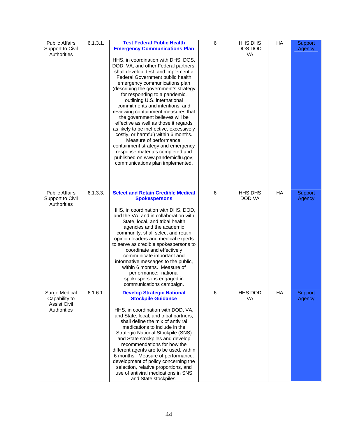| <b>Public Affairs</b><br>Support to Civil<br>Authorities             | 6.1.3.1. | <b>Test Federal Public Health</b><br><b>Emergency Communications Plan</b><br>HHS, in coordination with DHS, DOS,<br>DOD, VA, and other Federal partners,<br>shall develop, test, and implement a<br>Federal Government public health<br>emergency communications plan<br>(describing the government's strategy<br>for responding to a pandemic,<br>outlining U.S. international<br>commitments and intentions, and<br>reviewing containment measures that<br>the government believes will be<br>effective as well as those it regards<br>as likely to be ineffective, excessively<br>costly, or harmful) within 6 months.<br>Measure of performance:<br>containment strategy and emergency<br>response materials completed and<br>published on www.pandemicflu.gov;<br>communications plan implemented. | 6 | HHS DHS<br>DOS DOD<br>VA | HA | Support<br>Agency |
|----------------------------------------------------------------------|----------|---------------------------------------------------------------------------------------------------------------------------------------------------------------------------------------------------------------------------------------------------------------------------------------------------------------------------------------------------------------------------------------------------------------------------------------------------------------------------------------------------------------------------------------------------------------------------------------------------------------------------------------------------------------------------------------------------------------------------------------------------------------------------------------------------------|---|--------------------------|----|-------------------|
| <b>Public Affairs</b><br>Support to Civil<br>Authorities             | 6.1.3.3. | <b>Select and Retain Credible Medical</b><br><b>Spokespersons</b><br>HHS, in coordination with DHS, DOD,<br>and the VA, and in collaboration with<br>State, local, and tribal health<br>agencies and the academic<br>community, shall select and retain<br>opinion leaders and medical experts<br>to serve as credible spokespersons to<br>coordinate and effectively<br>communicate important and<br>informative messages to the public,<br>within 6 months. Measure of<br>performance: national<br>spokespersons engaged in<br>communications campaign.                                                                                                                                                                                                                                               | 6 | HHS DHS<br>DOD VA        | HA | Support<br>Agency |
| Surge Medical<br>Capability to<br><b>Assist Civil</b><br>Authorities | 6.1.6.1. | <b>Develop Strategic National</b><br><b>Stockpile Guidance</b><br>HHS, in coordination with DOD, VA,<br>and State, local, and tribal partners,<br>shall define the mix of antiviral<br>medications to include in the<br><b>Strategic National Stockpile (SNS)</b><br>and State stockpiles and develop<br>recommendations for how the<br>different agents are to be used, within<br>6 months. Measure of performance:<br>development of policy concerning the<br>selection, relative proportions, and<br>use of antiviral medications in SNS<br>and State stockpiles.                                                                                                                                                                                                                                    | 6 | HHS DOD<br>VA            | HA | Support<br>Agency |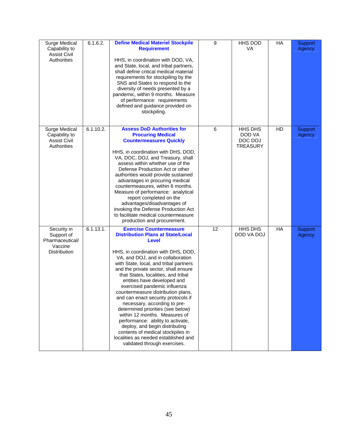| Surge Medical<br>Capability to<br><b>Assist Civil</b><br>Authorities    | 6.1.6.2.  | <b>Define Medical Materiel Stockpile</b><br><b>Requirement</b><br>HHS, in coordination with DOD, VA,<br>and State, local, and tribal partners,<br>shall define critical medical material<br>requirements for stockpiling by the<br>SNS and States to respond to the<br>diversity of needs presented by a<br>pandemic, within 9 months. Measure<br>of performance: requirements<br>defined and guidance provided on<br>stockpiling.                                                                                                                                                                                                                                                                                                    | 9  | HHS DOD<br><b>VA</b>                            | HA        | <b>Support</b><br>Agency |
|-------------------------------------------------------------------------|-----------|---------------------------------------------------------------------------------------------------------------------------------------------------------------------------------------------------------------------------------------------------------------------------------------------------------------------------------------------------------------------------------------------------------------------------------------------------------------------------------------------------------------------------------------------------------------------------------------------------------------------------------------------------------------------------------------------------------------------------------------|----|-------------------------------------------------|-----------|--------------------------|
| Surge Medical<br>Capability to<br><b>Assist Civil</b><br>Authorities    | 6.1.10.2. | <b>Assess DoD Authorities for</b><br><b>Procuring Medical</b><br><b>Countermeasures Quickly</b><br>HHS, in coordination with DHS, DOD,<br>VA, DOC, DOJ, and Treasury, shall<br>assess within whether use of the<br>Defense Production Act or other<br>authorities would provide sustained<br>advantages in procuring medical<br>countermeasures, within 6 months.<br>Measure of performance: analytical<br>report completed on the<br>advantages/disadvantages of<br>invoking the Defense Production Act<br>to facilitate medical countermeasure<br>production and procurement.                                                                                                                                                       | 6  | HHS DHS<br>DOD VA<br>DOC DOJ<br><b>TREASURY</b> | HD        | Support<br>Agency        |
| Security in<br>Support of<br>Pharmaceutical/<br>Vaccine<br>Distribution | 6.1.13.1. | <b>Exercise Countermeasure</b><br><b>Distribution Plans at State/Local</b><br><b>Level</b><br>HHS, in coordination with DHS, DOD,<br>VA, and DOJ, and in collaboration<br>with State, local, and tribal partners<br>and the private sector, shall ensure<br>that States, localities, and tribal<br>entities have developed and<br>exercised pandemic influenza<br>countermeasure distribution plans,<br>and can enact security protocols if<br>necessary, according to pre-<br>determined priorities (see below)<br>within 12 months. Measures of<br>performance: ability to activate,<br>deploy, and begin distributing<br>contents of medical stockpiles in<br>localities as needed established and<br>validated through exercises. | 12 | HHS DHS<br>DOD VA DOJ                           | <b>HA</b> | Support<br>Agency        |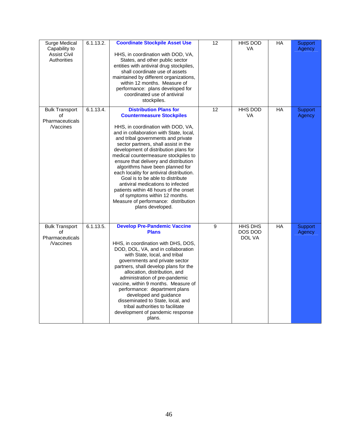| Surge Medical<br>Capability to<br><b>Assist Civil</b><br><b>Authorities</b> | 6.1.13.2. | <b>Coordinate Stockpile Asset Use</b><br>HHS, in coordination with DOD, VA,<br>States, and other public sector<br>entities with antiviral drug stockpiles,<br>shall coordinate use of assets<br>maintained by different organizations,<br>within 12 months. Measure of<br>performance: plans developed for<br>coordinated use of antiviral<br>stockpiles.                                                                                                                                                                                                                                                                                                  | 12 | HHS DOD<br><b>VA</b>                | <b>HA</b> | Support<br>Agency        |
|-----------------------------------------------------------------------------|-----------|------------------------------------------------------------------------------------------------------------------------------------------------------------------------------------------------------------------------------------------------------------------------------------------------------------------------------------------------------------------------------------------------------------------------------------------------------------------------------------------------------------------------------------------------------------------------------------------------------------------------------------------------------------|----|-------------------------------------|-----------|--------------------------|
| <b>Bulk Transport</b><br>οf<br>Pharmaceuticals<br><b>Naccines</b>           | 6.1.13.4. | <b>Distribution Plans for</b><br><b>Countermeasure Stockpiles</b><br>HHS, in coordination with DOD, VA,<br>and in collaboration with State, local,<br>and tribal governments and private<br>sector partners, shall assist in the<br>development of distribution plans for<br>medical countermeasure stockpiles to<br>ensure that delivery and distribution<br>algorithms have been planned for<br>each locality for antiviral distribution.<br>Goal is to be able to distribute<br>antiviral medications to infected<br>patients within 48 hours of the onset<br>of symptoms within 12 months.<br>Measure of performance: distribution<br>plans developed. | 12 | <b>HHS DOD</b><br>VA                | HA        | <b>Support</b><br>Agency |
| <b>Bulk Transport</b><br>οf<br>Pharmaceuticals<br><b>Naccines</b>           | 6.1.13.5. | <b>Develop Pre-Pandemic Vaccine</b><br><b>Plans</b><br>HHS, in coordination with DHS, DOS,<br>DOD, DOL, VA, and in collaboration<br>with State, local, and tribal<br>governments and private sector<br>partners, shall develop plans for the<br>allocation, distribution, and<br>administration of pre-pandemic<br>vaccine, within 9 months. Measure of<br>performance: department plans<br>developed and guidance<br>disseminated to State, local, and<br>tribal authorities to facilitate<br>development of pandemic response<br>plans.                                                                                                                  | 9  | <b>HHS DHS</b><br>DOS DOD<br>DOL VA | <b>HA</b> | Support<br>Agency        |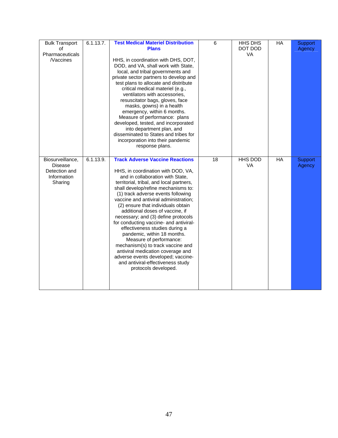| <b>Bulk Transport</b><br>of<br>Pharmaceuticals<br><b>Naccines</b>             | 6.1.13.7. | <b>Test Medical Materiel Distribution</b><br><b>Plans</b><br>HHS, in coordination with DHS, DOT,<br>DOD, and VA, shall work with State,<br>local, and tribal governments and<br>private sector partners to develop and<br>test plans to allocate and distribute<br>critical medical materiel (e.g.,<br>ventilators with accessories,<br>resuscitator bags, gloves, face<br>masks, gowns) in a health<br>emergency, within 6 months.<br>Measure of performance: plans<br>developed, tested, and incorporated<br>into department plan, and<br>disseminated to States and tribes for<br>incorporation into their pandemic<br>response plans.                                                                             | 6  | HHS DHS<br>DOT DOD<br>VA    | HA              | <b>Support</b><br>Agency |
|-------------------------------------------------------------------------------|-----------|-----------------------------------------------------------------------------------------------------------------------------------------------------------------------------------------------------------------------------------------------------------------------------------------------------------------------------------------------------------------------------------------------------------------------------------------------------------------------------------------------------------------------------------------------------------------------------------------------------------------------------------------------------------------------------------------------------------------------|----|-----------------------------|-----------------|--------------------------|
| Biosurveillance,<br><b>Disease</b><br>Detection and<br>Information<br>Sharing | 6.1.13.9. | <b>Track Adverse Vaccine Reactions</b><br>HHS, in coordination with DOD, VA,<br>and in collaboration with State,<br>territorial, tribal, and local partners,<br>shall develop/refine mechanisms to:<br>(1) track adverse events following<br>vaccine and antiviral administration;<br>(2) ensure that individuals obtain<br>additional doses of vaccine, if<br>necessary; and (3) define protocols<br>for conducting vaccine- and antiviral-<br>effectiveness studies during a<br>pandemic, within 18 months.<br>Measure of performance:<br>mechanism(s) to track vaccine and<br>antiviral medication coverage and<br>adverse events developed; vaccine-<br>and antiviral-effectiveness study<br>protocols developed. | 18 | <b>HHS DOD</b><br><b>VA</b> | $\overline{HA}$ | Support<br>Agency        |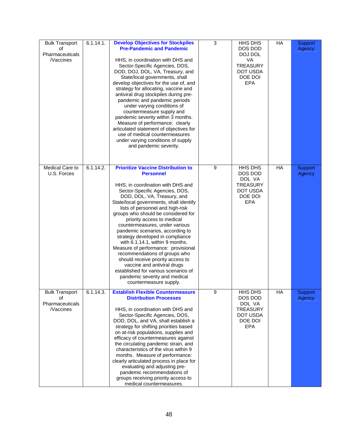| <b>Bulk Transport</b><br>οf<br>Pharmaceuticals<br><b>Naccines</b> | 6.1.14.1. | <b>Develop Objectives for Stockpiles</b><br><b>Pre-Pandemic and Pandemic</b><br>HHS, in coordination with DHS and<br>Sector-Specific Agencies, DOS,<br>DOD, DOJ, DOL, VA, Treasury, and<br>State/local governments, shall<br>develop objectives for the use of, and<br>strategy for allocating, vaccine and<br>antiviral drug stockpiles during pre-<br>pandemic and pandemic periods<br>under varying conditions of<br>countermeasure supply and<br>pandemic severity within 3 months.<br>Measure of performance: clearly<br>articulated statement of objectives for<br>use of medical countermeasures<br>under varying conditions of supply<br>and pandemic severity.                                             | 3 | HHS DHS<br>DOS DOD<br>DOJ DOL<br>VA<br><b>TREASURY</b><br>DOT USDA<br>DOE DOI<br><b>EPA</b> | HA | Support<br>Agency |
|-------------------------------------------------------------------|-----------|---------------------------------------------------------------------------------------------------------------------------------------------------------------------------------------------------------------------------------------------------------------------------------------------------------------------------------------------------------------------------------------------------------------------------------------------------------------------------------------------------------------------------------------------------------------------------------------------------------------------------------------------------------------------------------------------------------------------|---|---------------------------------------------------------------------------------------------|----|-------------------|
| Medical Care to<br>U.S. Forces                                    | 6.1.14.2. | <b>Prioritize Vaccine Distribution to</b><br><b>Personnel</b><br>HHS, in coordination with DHS and<br>Sector-Specific Agencies, DOS,<br>DOD, DOL, VA, Treasury, and<br>State/local governments, shall identify<br>lists of personnel and high-risk<br>groups who should be considered for<br>priority access to medical<br>countermeasures, under various<br>pandemic scenarios, according to<br>strategy developed in compliance<br>with 6.1.14.1, within 9 months.<br>Measure of performance: provisional<br>recommendations of groups who<br>should receive priority access to<br>vaccine and antiviral drugs<br>established for various scenarios of<br>pandemic severity and medical<br>countermeasure supply. | 9 | HHS DHS<br>DOS DOD<br>DOL VA<br><b>TREASURY</b><br>DOT USDA<br>DOE DOI<br><b>EPA</b>        | HA | Support<br>Agency |
| <b>Bulk Transport</b><br>οf<br>Pharmaceuticals<br><b>Naccines</b> | 6.1.14.3. | <b>Establish Flexible Countermeasure</b><br><b>Distribution Processes</b><br>HHS, in coordination with DHS and<br>Sector-Specific Agencies, DOS,<br>DOD, DOL, and VA, shall establish a<br>strategy for shifting priorities based<br>on at-risk populations, supplies and<br>efficacy of countermeasures against<br>the circulating pandemic strain, and<br>characteristics of the virus within 9<br>months. Measure of performance:<br>clearly articulated process in place for<br>evaluating and adjusting pre-<br>pandemic recommendations of<br>groups receiving priority access to<br>medical countermeasures.                                                                                                 | 9 | HHS DHS<br>DOS DOD<br>DOL VA<br><b>TREASURY</b><br>DOT USDA<br>DOE DOI<br><b>EPA</b>        | HA | Support<br>Agency |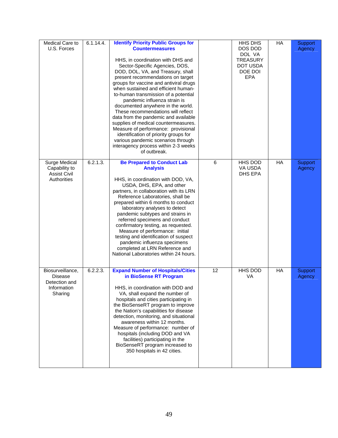| Medical Care to<br>U.S. Forces                                                | 6.1.14.4. | <b>Identify Priority Public Groups for</b><br><b>Countermeasures</b><br>HHS, in coordination with DHS and<br>Sector-Specific Agencies, DOS,<br>DOD, DOL, VA, and Treasury, shall<br>present recommendations on target<br>groups for vaccine and antiviral drugs<br>when sustained and efficient human-<br>to-human transmission of a potential<br>pandemic influenza strain is<br>documented anywhere in the world.<br>These recommendations will reflect<br>data from the pandemic and available<br>supplies of medical countermeasures.<br>Measure of performance: provisional<br>identification of priority groups for<br>various pandemic scenarios through<br>interagency process within 2-3 weeks<br>of outbreak. |    | <b>HHS DHS</b><br>DOS DOD<br>DOL VA<br><b>TREASURY</b><br>DOT USDA<br>DOE DOI<br><b>EPA</b> | HA | Support<br>Agency |
|-------------------------------------------------------------------------------|-----------|-------------------------------------------------------------------------------------------------------------------------------------------------------------------------------------------------------------------------------------------------------------------------------------------------------------------------------------------------------------------------------------------------------------------------------------------------------------------------------------------------------------------------------------------------------------------------------------------------------------------------------------------------------------------------------------------------------------------------|----|---------------------------------------------------------------------------------------------|----|-------------------|
| Surge Medical<br>Capability to<br><b>Assist Civil</b><br>Authorities          | 6.2.1.3.  | <b>Be Prepared to Conduct Lab</b><br><b>Analysis</b><br>HHS, in coordination with DOD, VA,<br>USDA, DHS, EPA, and other<br>partners, in collaboration with its LRN<br>Reference Laboratories, shall be<br>prepared within 6 months to conduct<br>laboratory analyses to detect<br>pandemic subtypes and strains in<br>referred specimens and conduct<br>confirmatory testing, as requested.<br>Measure of performance: initial<br>testing and identification of suspect<br>pandemic influenza specimens<br>completed at LRN Reference and<br>National Laboratories within 24 hours.                                                                                                                                     | 6  | HHS DOD<br>VA USDA<br>DHS EPA                                                               | HA | Support<br>Agency |
| Biosurveillance,<br><b>Disease</b><br>Detection and<br>Information<br>Sharing | 6.2.2.3.  | <b>Expand Number of Hospitals/Cities</b><br>in BioSense RT Program<br>HHS, in coordination with DOD and<br>VA, shall expand the number of<br>hospitals and cities participating in<br>the BioSenseRT program to improve<br>the Nation's capabilities for disease<br>detection, monitoring, and situational<br>awareness within 12 months.<br>Measure of performance: number of<br>hospitals (including DOD and VA<br>facilities) participating in the<br>BioSenseRT program increased to<br>350 hospitals in 42 cities.                                                                                                                                                                                                 | 12 | HHS DOD<br>VA                                                                               | HA | Support<br>Agency |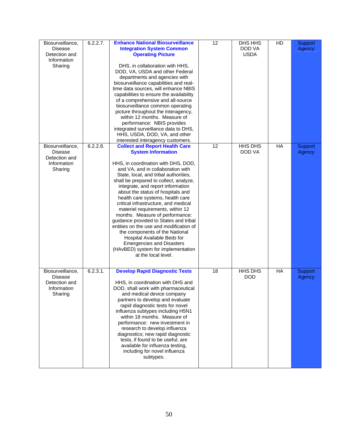| Biosurveillance,<br><b>Disease</b><br>Detection and<br>Information<br>Sharing | 6.2.2.7. | <b>Enhance National Biosurveillance</b><br><b>Integration System Common</b><br><b>Operating Picture</b><br>DHS, in collaboration with HHS,<br>DOD, VA, USDA and other Federal<br>departments and agencies with<br>biosurveillance capabilities and real-<br>time data sources, will enhance NBIS<br>capabilities to ensure the availability<br>of a comprehensive and all-source<br>biosurveillance common operating<br>picture throughout the Interagency,<br>within 12 months. Measure of<br>performance: NBIS provides<br>integrated surveillance data to DHS,<br>HHS, USDA, DOD, VA, and other<br>interested interagency customers.                                                                               | 12 | DHS HHS<br>DOD VA<br><b>USDA</b> | HD | Support<br>Agency |
|-------------------------------------------------------------------------------|----------|-----------------------------------------------------------------------------------------------------------------------------------------------------------------------------------------------------------------------------------------------------------------------------------------------------------------------------------------------------------------------------------------------------------------------------------------------------------------------------------------------------------------------------------------------------------------------------------------------------------------------------------------------------------------------------------------------------------------------|----|----------------------------------|----|-------------------|
| Biosurveillance,<br>Disease<br>Detection and<br>Information<br>Sharing        | 6.2.2.8. | <b>Collect and Report Health Care</b><br><b>System Information</b><br>HHS, in coordination with DHS, DOD,<br>and VA, and in collaboration with<br>State, local, and tribal authorities,<br>shall be prepared to collect, analyze,<br>integrate, and report information<br>about the status of hospitals and<br>health care systems, health care<br>critical infrastructure, and medical<br>materiel requirements, within 12<br>months. Measure of performance:<br>guidance provided to States and tribal<br>entities on the use and modification of<br>the components of the National<br>Hospital Available Beds for<br><b>Emergencies and Disasters</b><br>(HAvBED) system for implementation<br>at the local level. | 12 | HHS DHS<br>DOD VA                | HA | Support<br>Agency |
| Biosurveillance,<br><b>Disease</b><br>Detection and<br>Information<br>Sharing | 6.2.3.1. | <b>Develop Rapid Diagnostic Tests</b><br>HHS, in coordination with DHS and<br>DOD, shall work with pharmaceutical<br>and medical device company<br>partners to develop and evaluate<br>rapid diagnostic tests for novel<br>influenza subtypes including H5N1<br>within 18 months. Measure of<br>performance: new investment in<br>research to develop influenza<br>diagnostics; new rapid diagnostic<br>tests, if found to be useful, are<br>available for influenza testing,<br>including for novel influenza<br>subtypes.                                                                                                                                                                                           | 18 | HHS DHS<br><b>DOD</b>            | HA | Support<br>Agency |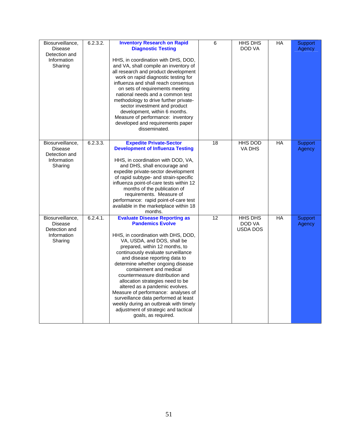| Biosurveillance,<br>Disease<br>Detection and<br>Information<br>Sharing        | 6.2.3.2. | <b>Inventory Research on Rapid</b><br><b>Diagnostic Testing</b><br>HHS, in coordination with DHS, DOD,<br>and VA, shall compile an inventory of<br>all research and product development<br>work on rapid diagnostic testing for<br>influenza and shall reach consensus<br>on sets of requirements meeting<br>national needs and a common test<br>methodology to drive further private-<br>sector investment and product<br>development, within 6 months.<br>Measure of performance: inventory<br>developed and requirements paper<br>disseminated.                                                             | 6  | HHS DHS<br>DOD VA                    | <b>HA</b> | Support<br>Agency |
|-------------------------------------------------------------------------------|----------|----------------------------------------------------------------------------------------------------------------------------------------------------------------------------------------------------------------------------------------------------------------------------------------------------------------------------------------------------------------------------------------------------------------------------------------------------------------------------------------------------------------------------------------------------------------------------------------------------------------|----|--------------------------------------|-----------|-------------------|
| Biosurveillance,<br><b>Disease</b><br>Detection and<br>Information<br>Sharing | 6.2.3.3. | <b>Expedite Private-Sector</b><br><b>Development of Influenza Testing</b><br>HHS, in coordination with DOD, VA,<br>and DHS, shall encourage and<br>expedite private-sector development<br>of rapid subtype- and strain-specific<br>influenza point-of-care tests within 12<br>months of the publication of<br>requirements. Measure of<br>performance: rapid point-of-care test<br>available in the marketplace within 18<br>months.                                                                                                                                                                           | 18 | <b>HHS DOD</b><br>VA DHS             | <b>HA</b> | Support<br>Agency |
| Biosurveillance,<br><b>Disease</b><br>Detection and<br>Information<br>Sharing | 6.2.4.1. | <b>Evaluate Disease Reporting as</b><br><b>Pandemics Evolve</b><br>HHS, in coordination with DHS, DOD,<br>VA, USDA, and DOS, shall be<br>prepared, within 12 months, to<br>continuously evaluate surveillance<br>and disease reporting data to<br>determine whether ongoing disease<br>containment and medical<br>countermeasure distribution and<br>allocation strategies need to be<br>altered as a pandemic evolves.<br>Measure of performance: analyses of<br>surveillance data performed at least<br>weekly during an outbreak with timely<br>adjustment of strategic and tactical<br>goals, as required. | 12 | <b>HHS DHS</b><br>DOD VA<br>USDA DOS | <b>HA</b> | Support<br>Agency |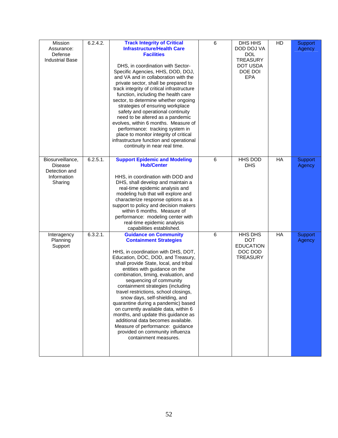| Mission<br>Assurance:<br>Defense<br><b>Industrial Base</b>                    | 6.2.4.2. | <b>Track Integrity of Critical</b><br><b>Infrastructure/Health Care</b><br><b>Facilities</b><br>DHS, in coordination with Sector-<br>Specific Agencies, HHS, DOD, DOJ,<br>and VA and in collaboration with the<br>private sector, shall be prepared to<br>track integrity of critical infrastructure<br>function, including the health care<br>sector, to determine whether ongoing<br>strategies of ensuring workplace<br>safety and operational continuity<br>need to be altered as a pandemic<br>evolves, within 6 months. Measure of<br>performance: tracking system in<br>place to monitor integrity of critical<br>infrastructure function and operational<br>continuity in near real time. | 6 | DHS HHS<br>DOD DOJ VA<br><b>DOL</b><br><b>TREASURY</b><br>DOT USDA<br>DOE DOI<br><b>EPA</b> | HD | Support<br>Agency |
|-------------------------------------------------------------------------------|----------|---------------------------------------------------------------------------------------------------------------------------------------------------------------------------------------------------------------------------------------------------------------------------------------------------------------------------------------------------------------------------------------------------------------------------------------------------------------------------------------------------------------------------------------------------------------------------------------------------------------------------------------------------------------------------------------------------|---|---------------------------------------------------------------------------------------------|----|-------------------|
| Biosurveillance,<br><b>Disease</b><br>Detection and<br>Information<br>Sharing | 6.2.5.1. | <b>Support Epidemic and Modeling</b><br><b>Hub/Center</b><br>HHS, in coordination with DOD and<br>DHS, shall develop and maintain a<br>real-time epidemic analysis and<br>modeling hub that will explore and<br>characterize response options as a<br>support to policy and decision makers<br>within 6 months. Measure of<br>performance: modeling center with<br>real-time epidemic analysis<br>capabilities established.                                                                                                                                                                                                                                                                       | 6 | <b>HHS DOD</b><br><b>DHS</b>                                                                | HA | Support<br>Agency |
| Interagency<br>Planning<br>Support                                            | 6.3.2.1. | <b>Guidance on Community</b><br><b>Containment Strategies</b><br>HHS, in coordination with DHS, DOT,<br>Education, DOC, DOD, and Treasury,<br>shall provide State, local, and tribal<br>entities with guidance on the<br>combination, timing, evaluation, and<br>sequencing of community<br>containment strategies (including<br>travel restrictions, school closings,<br>snow days, self-shielding, and<br>quarantine during a pandemic) based<br>on currently available data, within 6<br>months, and update this guidance as<br>additional data becomes available.<br>Measure of performance: guidance<br>provided on community influenza<br>containment measures.                             | 6 | <b>HHS DHS</b><br><b>DOT</b><br><b>EDUCATION</b><br>DOC DOD<br><b>TREASURY</b>              | HA | Support<br>Agency |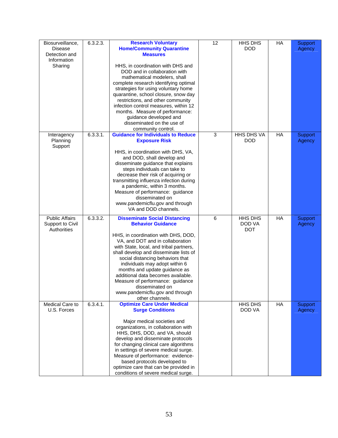| Biosurveillance,<br><b>Disease</b><br>Detection and<br>Information<br>Sharing | 6.3.2.3. | <b>Research Voluntary</b><br><b>Home/Community Quarantine</b><br><b>Measures</b><br>HHS, in coordination with DHS and<br>DOD and in collaboration with<br>mathematical modelers, shall<br>complete research identifying optimal<br>strategies for using voluntary home<br>quarantine, school closure, snow day<br>restrictions, and other community<br>infection control measures, within 12<br>months. Measure of performance:<br>guidance developed and<br>disseminated on the use of<br>community control. | 12 | HHS DHS<br><b>DOD</b>           | HA | Support<br>Agency        |
|-------------------------------------------------------------------------------|----------|---------------------------------------------------------------------------------------------------------------------------------------------------------------------------------------------------------------------------------------------------------------------------------------------------------------------------------------------------------------------------------------------------------------------------------------------------------------------------------------------------------------|----|---------------------------------|----|--------------------------|
| Interagency<br>Planning<br>Support                                            | 6.3.3.1. | <b>Guidance for Individuals to Reduce</b><br><b>Exposure Risk</b><br>HHS, in coordination with DHS, VA,<br>and DOD, shall develop and<br>disseminate guidance that explains<br>steps individuals can take to<br>decrease their risk of acquiring or<br>transmitting influenza infection during<br>a pandemic, within 3 months.<br>Measure of performance: guidance<br>disseminated on<br>www.pandemicflu.gov and through<br>VA and DOD channels.                                                              | 3  | <b>HHS DHS VA</b><br><b>DOD</b> | HA | <b>Support</b><br>Agency |
| <b>Public Affairs</b><br>Support to Civil<br>Authorities                      | 6.3.3.2. | <b>Disseminate Social Distancing</b><br><b>Behavior Guidance</b><br>HHS, in coordination with DHS, DOD,<br>VA, and DOT and in collaboration<br>with State, local, and tribal partners,<br>shall develop and disseminate lists of<br>social distancing behaviors that<br>individuals may adopt within 6<br>months and update guidance as<br>additional data becomes available.<br>Measure of performance: guidance<br>disseminated on<br>www.pandemicflu.gov and through<br>other channels.                    | 6  | HHS DHS<br>DOD VA<br><b>DOT</b> | HA | Support<br>Agency        |
| Medical Care to<br>U.S. Forces                                                | 6.3.4.1. | <b>Optimize Care Under Medical</b><br><b>Surge Conditions</b><br>Major medical societies and<br>organizations, in collaboration with<br>HHS, DHS, DOD, and VA, should<br>develop and disseminate protocols<br>for changing clinical care algorithms<br>in settings of severe medical surge.<br>Measure of performance: evidence-<br>based protocols developed to<br>optimize care that can be provided in<br>conditions of severe medical surge.                                                              |    | HHS DHS<br>DOD VA               | HA | Support<br>Agency        |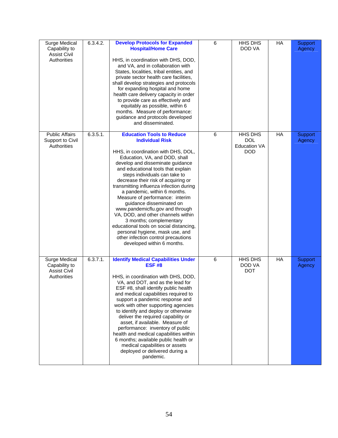| Surge Medical<br>Capability to<br><b>Assist Civil</b><br>Authorities | 6.3.4.2. | <b>Develop Protocols for Expanded</b><br><b>Hospital/Home Care</b><br>HHS, in coordination with DHS, DOD,<br>and VA, and in collaboration with<br>States, localities, tribal entities, and<br>private sector health care facilities,<br>shall develop strategies and protocols<br>for expanding hospital and home<br>health care delivery capacity in order<br>to provide care as effectively and<br>equitably as possible, within 6<br>months. Measure of performance:<br>guidance and protocols developed<br>and disseminated.                                                                                                                                                      | 6 | HHS DHS<br>DOD VA                                                 | HA    | Support<br>Agency |
|----------------------------------------------------------------------|----------|---------------------------------------------------------------------------------------------------------------------------------------------------------------------------------------------------------------------------------------------------------------------------------------------------------------------------------------------------------------------------------------------------------------------------------------------------------------------------------------------------------------------------------------------------------------------------------------------------------------------------------------------------------------------------------------|---|-------------------------------------------------------------------|-------|-------------------|
| <b>Public Affairs</b><br>Support to Civil<br>Authorities             | 6.3.5.1. | <b>Education Tools to Reduce</b><br><b>Individual Risk</b><br>HHS, in coordination with DHS, DOL,<br>Education, VA, and DOD, shall<br>develop and disseminate guidance<br>and educational tools that explain<br>steps individuals can take to<br>decrease their risk of acquiring or<br>transmitting influenza infection during<br>a pandemic, within 6 months.<br>Measure of performance: interim<br>guidance disseminated on<br>www.pandemicflu.gov and through<br>VA, DOD, and other channels within<br>3 months; complementary<br>educational tools on social distancing,<br>personal hygiene, mask use, and<br>other infection control precautions<br>developed within 6 months. | 6 | <b>HHS DHS</b><br><b>DOL</b><br><b>Education VA</b><br><b>DOD</b> | $H$ A | Support<br>Agency |
| Surge Medical<br>Capability to<br><b>Assist Civil</b><br>Authorities | 6.3.7.1. | <b>Identify Medical Capabilities Under</b><br><b>ESF #8</b><br>HHS, in coordination with DHS, DOD,<br>VA, and DOT, and as the lead for<br>ESF #8, shall identify public health<br>and medical capabilities required to<br>support a pandemic response and<br>work with other supporting agencies<br>to identify and deploy or otherwise<br>deliver the required capability or<br>asset, if available. Measure of<br>performance: inventory of public<br>health and medical capabilities within<br>6 months; available public health or<br>medical capabilities or assets<br>deployed or delivered during a<br>pandemic.                                                               | 6 | HHS DHS<br>DOD VA<br><b>DOT</b>                                   | HA    | Support<br>Agency |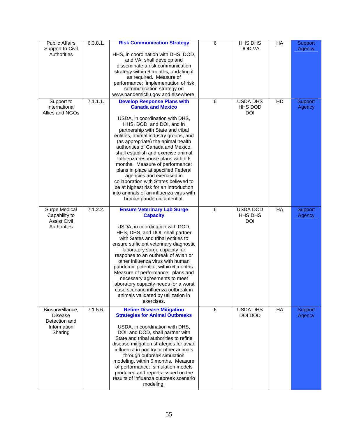| <b>Public Affairs</b>              | 6.3.8.1. | <b>Risk Communication Strategy</b>                                               | 6 | HHS DHS         | HA    | Support |
|------------------------------------|----------|----------------------------------------------------------------------------------|---|-----------------|-------|---------|
| Support to Civil<br>Authorities    |          |                                                                                  |   | DOD VA          |       | Agency  |
|                                    |          | HHS, in coordination with DHS, DOD,<br>and VA, shall develop and                 |   |                 |       |         |
|                                    |          | disseminate a risk communication                                                 |   |                 |       |         |
|                                    |          | strategy within 6 months, updating it                                            |   |                 |       |         |
|                                    |          | as required. Measure of                                                          |   |                 |       |         |
|                                    |          | performance: implementation of risk<br>communication strategy on                 |   |                 |       |         |
|                                    |          | www.pandemicflu.gov and elsewhere.                                               |   |                 |       |         |
| Support to                         | 7.1.1.1. | <b>Develop Response Plans with</b>                                               | 6 | <b>USDA DHS</b> | HD    | Support |
| International                      |          | <b>Canada and Mexico</b>                                                         |   | <b>HHS DOD</b>  |       | Agency  |
| Allies and NGOs                    |          |                                                                                  |   | <b>DOI</b>      |       |         |
|                                    |          | USDA, in coordination with DHS,<br>HHS, DOD, and DOI, and in                     |   |                 |       |         |
|                                    |          | partnership with State and tribal                                                |   |                 |       |         |
|                                    |          | entities, animal industry groups, and                                            |   |                 |       |         |
|                                    |          | (as appropriate) the animal health                                               |   |                 |       |         |
|                                    |          | authorities of Canada and Mexico,<br>shall establish and exercise animal         |   |                 |       |         |
|                                    |          | influenza response plans within 6                                                |   |                 |       |         |
|                                    |          | months. Measure of performance:                                                  |   |                 |       |         |
|                                    |          | plans in place at specified Federal                                              |   |                 |       |         |
|                                    |          | agencies and exercised in<br>collaboration with States believed to               |   |                 |       |         |
|                                    |          | be at highest risk for an introduction                                           |   |                 |       |         |
|                                    |          | into animals of an influenza virus with                                          |   |                 |       |         |
|                                    |          | human pandemic potential.                                                        |   |                 |       |         |
| Surge Medical                      | 7.1.2.2. | <b>Ensure Veterinary Lab Surge</b>                                               | 6 | USDA DOD        | HA    | Support |
| Capability to                      |          | <b>Capacity</b>                                                                  |   | HHS DHS         |       | Agency  |
| <b>Assist Civil</b><br>Authorities |          | USDA, in coordination with DOD,                                                  |   | <b>DOI</b>      |       |         |
|                                    |          | HHS, DHS, and DOI, shall partner                                                 |   |                 |       |         |
|                                    |          | with States and tribal entities to                                               |   |                 |       |         |
|                                    |          | ensure sufficient veterinary diagnostic                                          |   |                 |       |         |
|                                    |          | laboratory surge capacity for<br>response to an outbreak of avian or             |   |                 |       |         |
|                                    |          | other influenza virus with human                                                 |   |                 |       |         |
|                                    |          | pandemic potential, within 6 months.                                             |   |                 |       |         |
|                                    |          | Measure of performance: plans and                                                |   |                 |       |         |
|                                    |          | necessary agreements to meet                                                     |   |                 |       |         |
|                                    |          | laboratory capacity needs for a worst<br>case scenario influenza outbreak in     |   |                 |       |         |
|                                    |          | animals validated by utilization in                                              |   |                 |       |         |
|                                    |          | exercises.                                                                       |   |                 |       |         |
| Biosurveillance,                   | 7.1.5.6. | <b>Refine Disease Mitigation</b>                                                 | 6 | <b>USDA DHS</b> | $H$ A | Support |
| Disease<br>Detection and           |          | <b>Strategies for Animal Outbreaks</b>                                           |   | DOI DOD         |       | Agency  |
| Information                        |          | USDA, in coordination with DHS,                                                  |   |                 |       |         |
| Sharing                            |          | DOI, and DOD, shall partner with                                                 |   |                 |       |         |
|                                    |          | State and tribal authorities to refine                                           |   |                 |       |         |
|                                    |          | disease mitigation strategies for avian<br>influenza in poultry or other animals |   |                 |       |         |
|                                    |          | through outbreak simulation                                                      |   |                 |       |         |
|                                    |          | modeling, within 6 months. Measure                                               |   |                 |       |         |
|                                    |          | of performance: simulation models                                                |   |                 |       |         |
|                                    |          | produced and reports issued on the<br>results of influenza outbreak scenario     |   |                 |       |         |
|                                    |          | modeling.                                                                        |   |                 |       |         |
|                                    |          |                                                                                  |   |                 |       |         |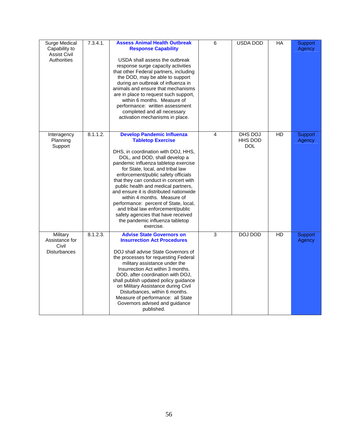| Surge Medical<br>Capability to<br><b>Assist Civil</b><br><b>Authorities</b> | 7.3.4.1. | <b>Assess Animal Health Outbreak</b><br><b>Response Capability</b><br>USDA shall assess the outbreak<br>response surge capacity activities<br>that other Federal partners, including<br>the DOD, may be able to support<br>during an outbreak of influenza in<br>animals and ensure that mechanisms<br>are in place to request such support,<br>within 6 months. Measure of<br>performance: written assessment<br>completed and all necessary<br>activation mechanisms in place.                                                                                                       | 6 | USDA DOD                                | НA | <b>Support</b><br>Agency |
|-----------------------------------------------------------------------------|----------|----------------------------------------------------------------------------------------------------------------------------------------------------------------------------------------------------------------------------------------------------------------------------------------------------------------------------------------------------------------------------------------------------------------------------------------------------------------------------------------------------------------------------------------------------------------------------------------|---|-----------------------------------------|----|--------------------------|
| Interagency<br>Planning<br>Support                                          | 8.1.1.2. | <b>Develop Pandemic Influenza</b><br><b>Tabletop Exercise</b><br>DHS, in coordination with DOJ, HHS,<br>DOL, and DOD, shall develop a<br>pandemic influenza tabletop exercise<br>for State, local, and tribal law<br>enforcement/public safety officials<br>that they can conduct in concert with<br>public health and medical partners,<br>and ensure it is distributed nationwide<br>within 4 months. Measure of<br>performance: percent of State, local,<br>and tribal law enforcement/public<br>safety agencies that have received<br>the pandemic influenza tabletop<br>exercise. | 4 | DHS DOJ<br><b>HHS DOD</b><br><b>DOL</b> | HD | Support<br>Agency        |
| Military<br>Assistance for<br>Civil<br><b>Disturbances</b>                  | 8.1.2.3. | <b>Advise State Governors on</b><br><b>Insurrection Act Procedures</b><br>DOJ shall advise State Governors of<br>the processes for requesting Federal<br>military assistance under the<br>Insurrection Act within 3 months.<br>DOD, after coordination with DOJ,<br>shall publish updated policy guidance<br>on Military Assistance during Civil<br>Disturbances, within 6 months.<br>Measure of performance: all State<br>Governors advised and guidance<br>published.                                                                                                                | 3 | DOJ DOD                                 | HD | Support<br>Agency        |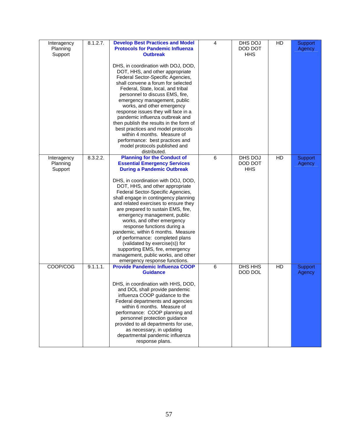| Interagency<br>Planning<br>Support | 8.1.2.7. | <b>Develop Best Practices and Model</b><br><b>Protocols for Pandemic Influenza</b><br><b>Outbreak</b><br>DHS, in coordination with DOJ, DOD,<br>DOT, HHS, and other appropriate<br>Federal Sector-Specific Agencies,<br>shall convene a forum for selected<br>Federal, State, local, and tribal<br>personnel to discuss EMS, fire,<br>emergency management, public<br>works, and other emergency<br>response issues they will face in a<br>pandemic influenza outbreak and<br>then publish the results in the form of<br>best practices and model protocols<br>within 4 months. Measure of<br>performance: best practices and<br>model protocols published and<br>distributed. | 4 | DHS DOJ<br>DOD DOT<br><b>HHS</b> | HD | Support<br>Agency        |
|------------------------------------|----------|--------------------------------------------------------------------------------------------------------------------------------------------------------------------------------------------------------------------------------------------------------------------------------------------------------------------------------------------------------------------------------------------------------------------------------------------------------------------------------------------------------------------------------------------------------------------------------------------------------------------------------------------------------------------------------|---|----------------------------------|----|--------------------------|
| Interagency<br>Planning<br>Support | 8.3.2.2. | <b>Planning for the Conduct of</b><br><b>Essential Emergency Services</b><br><b>During a Pandemic Outbreak</b><br>DHS, in coordination with DOJ, DOD,<br>DOT, HHS, and other appropriate<br>Federal Sector-Specific Agencies,<br>shall engage in contingency planning<br>and related exercises to ensure they<br>are prepared to sustain EMS, fire,<br>emergency management, public<br>works, and other emergency<br>response functions during a<br>pandemic, within 6 months. Measure<br>of performance: completed plans<br>(validated by exercise(s)) for<br>supporting EMS, fire, emergency<br>management, public works, and other<br>emergency response functions.         | 6 | DHS DOJ<br>DOD DOT<br><b>HHS</b> | HD | <b>Support</b><br>Agency |
| COOP/COG                           | 9.1.1.1. | <b>Provide Pandemic Influenza COOP</b><br><b>Guidance</b><br>DHS, in coordination with HHS, DOD,<br>and DOL shall provide pandemic<br>influenza COOP guidance to the<br>Federal departments and agencies<br>within 6 months. Measure of<br>performance: COOP planning and<br>personnel protection guidance<br>provided to all departments for use,<br>as necessary, in updating<br>departmental pandemic influenza<br>response plans.                                                                                                                                                                                                                                          | 6 | DHS HHS<br>DOD DOL               | HD | Support<br>Agency        |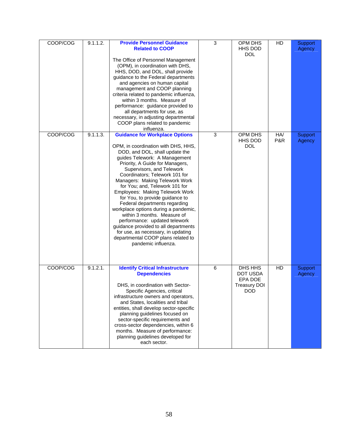| COOP/COG | 9.1.1.2. | <b>Provide Personnel Guidance</b><br><b>Related to COOP</b><br>The Office of Personnel Management<br>(OPM), in coordination with DHS,<br>HHS, DOD, and DOL, shall provide<br>guidance to the Federal departments<br>and agencies on human capital<br>management and COOP planning<br>criteria related to pandemic influenza,<br>within 3 months. Measure of<br>performance: guidance provided to<br>all departments for use, as<br>necessary, in adjusting departmental<br>COOP plans related to pandemic<br>influenza.                                                                                                                                                         | 3 | OPM DHS<br>HHS DOD<br><b>DOL</b>                             | HD         | Support<br>Agency |
|----------|----------|---------------------------------------------------------------------------------------------------------------------------------------------------------------------------------------------------------------------------------------------------------------------------------------------------------------------------------------------------------------------------------------------------------------------------------------------------------------------------------------------------------------------------------------------------------------------------------------------------------------------------------------------------------------------------------|---|--------------------------------------------------------------|------------|-------------------|
| COOP/COG | 9.1.1.3. | <b>Guidance for Workplace Options</b><br>OPM, in coordination with DHS, HHS,<br>DOD, and DOL, shall update the<br>guides Telework: A Management<br>Priority, A Guide for Managers,<br>Supervisors, and Telework<br>Coordinators; Telework 101 for<br>Managers: Making Telework Work<br>for You; and, Telework 101 for<br>Employees: Making Telework Work<br>for You, to provide guidance to<br>Federal departments regarding<br>workplace options during a pandemic,<br>within 3 months. Measure of<br>performance: updated telework<br>guidance provided to all departments<br>for use, as necessary, in updating<br>departmental COOP plans related to<br>pandemic influenza. | 3 | OPM DHS<br>HHS DOD<br><b>DOL</b>                             | HA/<br>P&R | Support<br>Agency |
| COOP/COG | 9.1.2.1. | <b>Identify Critical Infrastructure</b><br><b>Dependencies</b><br>DHS, in coordination with Sector-<br>Specific Agencies, critical<br>infrastructure owners and operators,<br>and States, localities and tribal<br>entities, shall develop sector-specific<br>planning guidelines focused on<br>sector-specific requirements and<br>cross-sector dependencies, within 6<br>months. Measure of performance:<br>planning guidelines developed for<br>each sector.                                                                                                                                                                                                                 | 6 | DHS HHS<br>DOT USDA<br>EPA DOE<br>Treasurv DOI<br><b>DOD</b> | HD         | Support<br>Agency |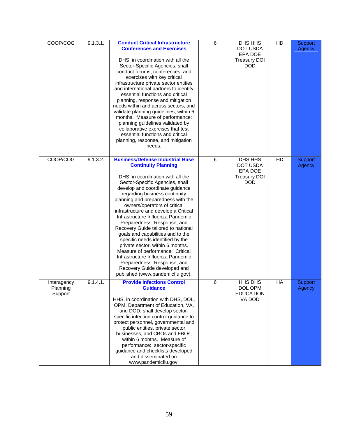| COOP/COG                           | 9.1.3.1. | <b>Conduct Critical Infrastructure</b><br><b>Conferences and Exercises</b><br>DHS, in coordination with all the<br>Sector-Specific Agencies, shall<br>conduct forums, conferences, and<br>exercises with key critical<br>infrastructure private sector entities<br>and international partners to identify<br>essential functions and critical<br>planning, response and mitigation<br>needs within and across sectors, and<br>validate planning guidelines, within 6<br>months. Measure of performance:<br>planning guidelines validated by<br>collaborative exercises that test<br>essential functions and critical<br>planning, response, and mitigation<br>needs.                                                                 | 6 | DHS HHS<br>DOT USDA<br>EPA DOE<br><b>Treasury DOI</b><br><b>DOD</b> | HD | Support<br>Agency        |
|------------------------------------|----------|--------------------------------------------------------------------------------------------------------------------------------------------------------------------------------------------------------------------------------------------------------------------------------------------------------------------------------------------------------------------------------------------------------------------------------------------------------------------------------------------------------------------------------------------------------------------------------------------------------------------------------------------------------------------------------------------------------------------------------------|---|---------------------------------------------------------------------|----|--------------------------|
| COOP/COG                           | 9.1.3.2. | <b>Business/Defense Industrial Base</b><br><b>Continuity Planning</b><br>DHS, in coordination with all the<br>Sector-Specific Agencies, shall<br>develop and coordinate guidance<br>regarding business continuity<br>planning and preparedness with the<br>owners/operators of critical<br>infrastructure and develop a Critical<br>Infrastructure Influenza Pandemic<br>Preparedness, Response, and<br>Recovery Guide tailored to national<br>goals and capabilities and to the<br>specific needs identified by the<br>private sector, within 6 months.<br>Measure of performance: Critical<br>Infrastructure Influenza Pandemic<br>Preparedness, Response, and<br>Recovery Guide developed and<br>published (www.pandemicflu.gov). | 6 | DHS HHS<br>DOT USDA<br>EPA DOE<br><b>Treasury DOI</b><br><b>DOD</b> | HD | Support<br>Agency        |
| Interagency<br>Planning<br>Support | 9.1.4.1. | <b>Provide Infections Control</b><br><b>Guidance</b><br>HHS, in coordination with DHS, DOL,<br>OPM, Department of Education, VA,<br>and DOD, shall develop sector-<br>specific infection control guidance to<br>protect personnel, governmental and<br>public entities, private sector<br>businesses, and CBOs and FBOs,<br>within 6 months. Measure of<br>performance: sector-specific<br>guidance and checklists developed<br>and disseminated on<br>www.pandemicflu.gov.                                                                                                                                                                                                                                                          | 6 | <b>HHS DHS</b><br>DOL OPM<br><b>EDUCATION</b><br>VA DOD             | HA | <b>Support</b><br>Agency |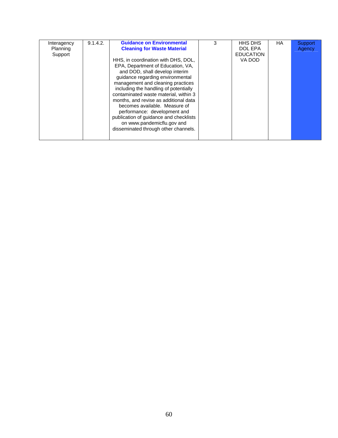| Interagency | 9.1.4.2. | <b>Guidance on Environmental</b>       | 3 | <b>HHS DHS</b>   | HA. | Support |
|-------------|----------|----------------------------------------|---|------------------|-----|---------|
| Planning    |          | <b>Cleaning for Waste Material</b>     |   | DOL EPA          |     | Agency  |
| Support     |          |                                        |   | <b>EDUCATION</b> |     |         |
|             |          | HHS, in coordination with DHS, DOL,    |   | VA DOD           |     |         |
|             |          | EPA, Department of Education, VA,      |   |                  |     |         |
|             |          | and DOD, shall develop interim         |   |                  |     |         |
|             |          | guidance regarding environmental       |   |                  |     |         |
|             |          | management and cleaning practices      |   |                  |     |         |
|             |          | including the handling of potentially  |   |                  |     |         |
|             |          | contaminated waste material, within 3  |   |                  |     |         |
|             |          | months, and revise as additional data  |   |                  |     |         |
|             |          | becomes available. Measure of          |   |                  |     |         |
|             |          | performance: development and           |   |                  |     |         |
|             |          | publication of guidance and checklists |   |                  |     |         |
|             |          | on www.pandemicflu.gov and             |   |                  |     |         |
|             |          |                                        |   |                  |     |         |
|             |          | disseminated through other channels.   |   |                  |     |         |
|             |          |                                        |   |                  |     |         |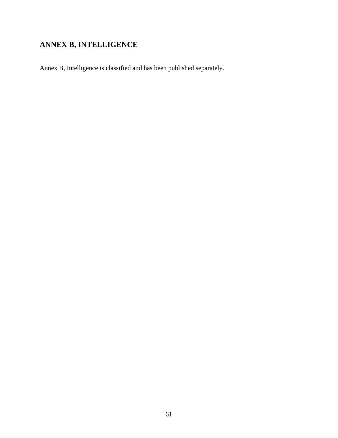# **ANNEX B, INTELLIGENCE**

Annex B, Intelligence is classified and has been published separately.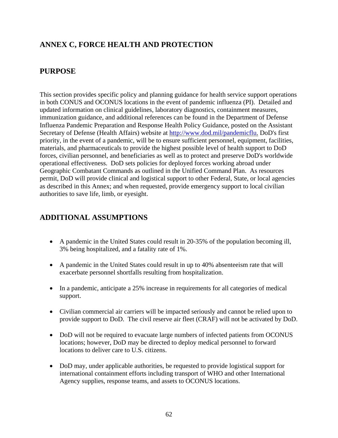# **ANNEX C, FORCE HEALTH AND PROTECTION**

### **PURPOSE**

This section provides specific policy and planning guidance for health service support operations in both CONUS and OCONUS locations in the event of pandemic influenza (PI). Detailed and updated information on clinical guidelines, laboratory diagnostics, containment measures, immunization guidance, and additional references can be found in the Department of Defense Influenza Pandemic Preparation and Response Health Policy Guidance, posted on the Assistant Secretary of Defense (Health Affairs) website at http://www.dod.mil/pandemicflu. DoD's first priority, in the event of a pandemic, will be to ensure sufficient personnel, equipment, facilities, materials, and pharmaceuticals to provide the highest possible level of health support to DoD forces, civilian personnel, and beneficiaries as well as to protect and preserve DoD's worldwide operational effectiveness. DoD sets policies for deployed forces working abroad under Geographic Combatant Commands as outlined in the Unified Command Plan. As resources permit, DoD will provide clinical and logistical support to other Federal, State, or local agencies as described in this Annex; and when requested, provide emergency support to local civilian authorities to save life, limb, or eyesight.

### **ADDITIONAL ASSUMPTIONS**

- A pandemic in the United States could result in 20-35% of the population becoming ill, 3% being hospitalized, and a fatality rate of 1%.
- A pandemic in the United States could result in up to 40% absenteeism rate that will exacerbate personnel shortfalls resulting from hospitalization.
- In a pandemic, anticipate a 25% increase in requirements for all categories of medical support.
- Civilian commercial air carriers will be impacted seriously and cannot be relied upon to provide support to DoD. The civil reserve air fleet (CRAF) will not be activated by DoD.
- DoD will not be required to evacuate large numbers of infected patients from OCONUS locations; however, DoD may be directed to deploy medical personnel to forward locations to deliver care to U.S. citizens.
- DoD may, under applicable authorities, be requested to provide logistical support for international containment efforts including transport of WHO and other International Agency supplies, response teams, and assets to OCONUS locations.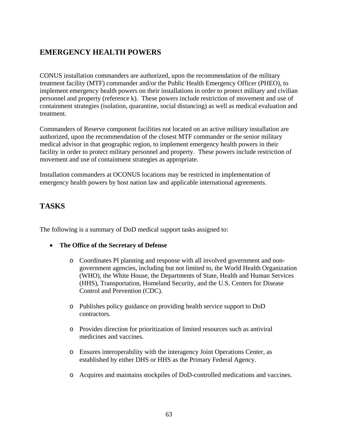# **EMERGENCY HEALTH POWERS**

CONUS installation commanders are authorized, upon the recommendation of the military treatment facility (MTF) commander and/or the Public Health Emergency Officer (PHEO), to implement emergency health powers on their installations in order to protect military and civilian personnel and property (reference k). These powers include restriction of movement and use of containment strategies (isolation, quarantine, social distancing) as well as medical evaluation and treatment.

Commanders of Reserve component facilities not located on an active military installation are authorized, upon the recommendation of the closest MTF commander or the senior military medical advisor in that geographic region, to implement emergency health powers in their facility in order to protect military personnel and property. These powers include restriction of movement and use of containment strategies as appropriate.

Installation commanders at OCONUS locations may be restricted in implementation of emergency health powers by host nation law and applicable international agreements.

### **TASKS**

The following is a summary of DoD medical support tasks assigned to:

- **The Office of the Secretary of Defense** 
	- o Coordinates PI planning and response with all involved government and nongovernment agencies, including but not limited to, the World Health Organization (WHO), the White House, the Departments of State, Health and Human Services (HHS), Transportation, Homeland Security, and the U.S. Centers for Disease Control and Prevention (CDC).
	- o Publishes policy guidance on providing health service support to DoD contractors.
	- o Provides direction for prioritization of limited resources such as antiviral medicines and vaccines.
	- o Ensures interoperability with the interagency Joint Operations Center, as established by either DHS or HHS as the Primary Federal Agency.
	- o Acquires and maintains stockpiles of DoD-controlled medications and vaccines.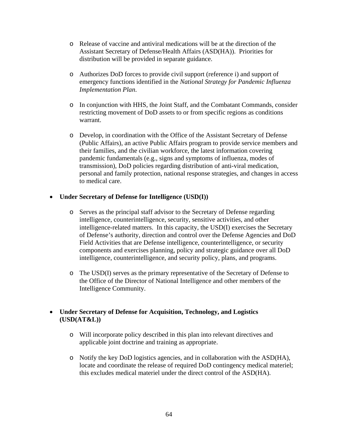- o Release of vaccine and antiviral medications will be at the direction of the Assistant Secretary of Defense/Health Affairs (ASD(HA)). Priorities for distribution will be provided in separate guidance.
- o Authorizes DoD forces to provide civil support (reference i) and support of emergency functions identified in the *National Strategy for Pandemic Influenza Implementation Plan*.
- o In conjunction with HHS, the Joint Staff, and the Combatant Commands, consider restricting movement of DoD assets to or from specific regions as conditions warrant.
- o Develop, in coordination with the Office of the Assistant Secretary of Defense (Public Affairs), an active Public Affairs program to provide service members and their families, and the civilian workforce, the latest information covering pandemic fundamentals (e.g., signs and symptoms of influenza, modes of transmission), DoD policies regarding distribution of anti-viral medication, personal and family protection, national response strategies, and changes in access to medical care.

#### • **Under Secretary of Defense for Intelligence (USD(I))**

- o Serves as the principal staff advisor to the Secretary of Defense regarding intelligence, counterintelligence, security, sensitive activities, and other intelligence-related matters. In this capacity, the USD(I) exercises the Secretary of Defense's authority, direction and control over the Defense Agencies and DoD Field Activities that are Defense intelligence, counterintelligence, or security components and exercises planning, policy and strategic guidance over all DoD intelligence, counterintelligence, and security policy, plans, and programs.
- o The USD(I) serves as the primary representative of the Secretary of Defense to the Office of the Director of National Intelligence and other members of the Intelligence Community.

### • **Under Secretary of Defense for Acquisition, Technology, and Logistics (USD(AT&L))**

- o Will incorporate policy described in this plan into relevant directives and applicable joint doctrine and training as appropriate.
- o Notify the key DoD logistics agencies, and in collaboration with the ASD(HA), locate and coordinate the release of required DoD contingency medical materiel; this excludes medical materiel under the direct control of the ASD(HA).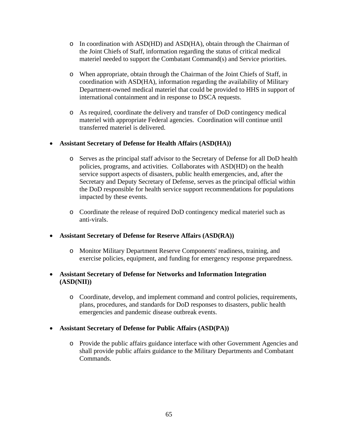- $\circ$  In coordination with ASD(HD) and ASD(HA), obtain through the Chairman of the Joint Chiefs of Staff, information regarding the status of critical medical materiel needed to support the Combatant Command(s) and Service priorities.
- o When appropriate, obtain through the Chairman of the Joint Chiefs of Staff, in coordination with ASD(HA), information regarding the availability of Military Department-owned medical materiel that could be provided to HHS in support of international containment and in response to DSCA requests.
- o As required, coordinate the delivery and transfer of DoD contingency medical materiel with appropriate Federal agencies. Coordination will continue until transferred materiel is delivered.

### • **Assistant Secretary of Defense for Health Affairs (ASD(HA))**

- o Serves as the principal staff advisor to the Secretary of Defense for all DoD health policies, programs, and activities. Collaborates with ASD(HD) on the health service support aspects of disasters, public health emergencies, and, after the Secretary and Deputy Secretary of Defense, serves as the principal official within the DoD responsible for health service support recommendations for populations impacted by these events.
- o Coordinate the release of required DoD contingency medical materiel such as anti-virals.

### • **Assistant Secretary of Defense for Reserve Affairs (ASD(RA))**

- o Monitor Military Department Reserve Components' readiness, training, and exercise policies, equipment, and funding for emergency response preparedness.
- **Assistant Secretary of Defense for Networks and Information Integration (ASD(NII))** 
	- o Coordinate, develop, and implement command and control policies, requirements, plans, procedures, and standards for DoD responses to disasters, public health emergencies and pandemic disease outbreak events.

### • **Assistant Secretary of Defense for Public Affairs (ASD(PA))**

o Provide the public affairs guidance interface with other Government Agencies and shall provide public affairs guidance to the Military Departments and Combatant Commands.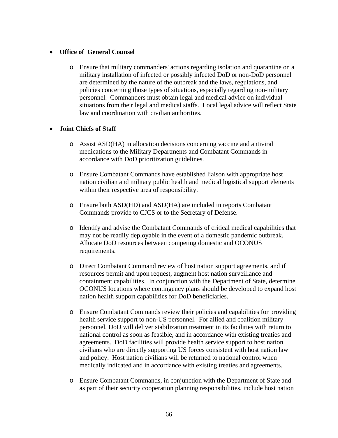#### • **Office of General Counsel**

o Ensure that military commanders' actions regarding isolation and quarantine on a military installation of infected or possibly infected DoD or non-DoD personnel are determined by the nature of the outbreak and the laws, regulations, and policies concerning those types of situations, especially regarding non-military personnel. Commanders must obtain legal and medical advice on individual situations from their legal and medical staffs. Local legal advice will reflect State law and coordination with civilian authorities.

#### • **Joint Chiefs of Staff**

- o Assist ASD(HA) in allocation decisions concerning vaccine and antiviral medications to the Military Departments and Combatant Commands in accordance with DoD prioritization guidelines.
- o Ensure Combatant Commands have established liaison with appropriate host nation civilian and military public health and medical logistical support elements within their respective area of responsibility.
- o Ensure both ASD(HD) and ASD(HA) are included in reports Combatant Commands provide to CJCS or to the Secretary of Defense.
- o Identify and advise the Combatant Commands of critical medical capabilities that may not be readily deployable in the event of a domestic pandemic outbreak. Allocate DoD resources between competing domestic and OCONUS requirements.
- o Direct Combatant Command review of host nation support agreements, and if resources permit and upon request, augment host nation surveillance and containment capabilities. In conjunction with the Department of State, determine OCONUS locations where contingency plans should be developed to expand host nation health support capabilities for DoD beneficiaries.
- o Ensure Combatant Commands review their policies and capabilities for providing health service support to non-US personnel. For allied and coalition military personnel, DoD will deliver stabilization treatment in its facilities with return to national control as soon as feasible, and in accordance with existing treaties and agreements. DoD facilities will provide health service support to host nation civilians who are directly supporting US forces consistent with host nation law and policy. Host nation civilians will be returned to national control when medically indicated and in accordance with existing treaties and agreements.
- o Ensure Combatant Commands, in conjunction with the Department of State and as part of their security cooperation planning responsibilities, include host nation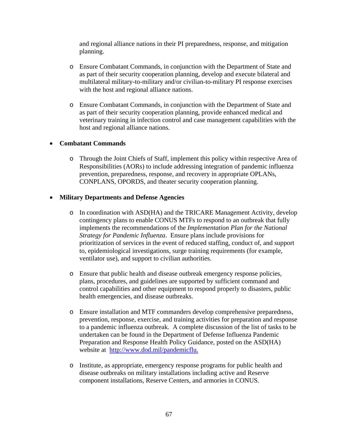and regional alliance nations in their PI preparedness, response, and mitigation planning.

- o Ensure Combatant Commands, in conjunction with the Department of State and as part of their security cooperation planning, develop and execute bilateral and multilateral military-to-military and/or civilian-to-military PI response exercises with the host and regional alliance nations.
- o Ensure Combatant Commands, in conjunction with the Department of State and as part of their security cooperation planning, provide enhanced medical and veterinary training in infection control and case management capabilities with the host and regional alliance nations.

#### • **Combatant Commands**

o Through the Joint Chiefs of Staff, implement this policy within respective Area of Responsibilities (AORs) to include addressing integration of pandemic influenza prevention, preparedness, response, and recovery in appropriate OPLANs, CONPLANS, OPORDS, and theater security cooperation planning.

#### • **Military Departments and Defense Agencies**

- o In coordination with ASD(HA) and the TRICARE Management Activity, develop contingency plans to enable CONUS MTFs to respond to an outbreak that fully implements the recommendations of the *Implementation Plan for the National Strategy for Pandemic Influenza*. Ensure plans include provisions for prioritization of services in the event of reduced staffing, conduct of, and support to, epidemiological investigations, surge training requirements (for example, ventilator use), and support to civilian authorities.
- o Ensure that public health and disease outbreak emergency response policies, plans, procedures, and guidelines are supported by sufficient command and control capabilities and other equipment to respond properly to disasters, public health emergencies, and disease outbreaks.
- o Ensure installation and MTF commanders develop comprehensive preparedness, prevention, response, exercise, and training activities for preparation and response to a pandemic influenza outbreak. A complete discussion of the list of tasks to be undertaken can be found in the Department of Defense Influenza Pandemic Preparation and Response Health Policy Guidance, posted on the ASD(HA) website at http://www.dod.mil/pandemicflu.
- o Institute, as appropriate, emergency response programs for public health and disease outbreaks on military installations including active and Reserve component installations, Reserve Centers, and armories in CONUS.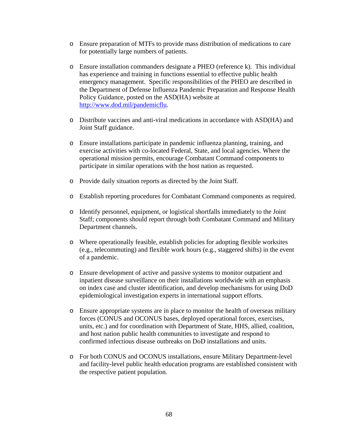- o Ensure preparation of MTFs to provide mass distribution of medications to care for potentially large numbers of patients.
- o Ensure installation commanders designate a PHEO (reference k). This individual has experience and training in functions essential to effective public health emergency management. Specific responsibilities of the PHEO are described in the Department of Defense Influenza Pandemic Preparation and Response Health Policy Guidance, posted on the ASD(HA) website at http://www.dod.mil/pandemicflu.
- o Distribute vaccines and anti-viral medications in accordance with ASD(HA) and Joint Staff guidance.
- o Ensure installations participate in pandemic influenza planning, training, and exercise activities with co-located Federal, State, and local agencies. Where the operational mission permits, encourage Combatant Command components to participate in similar operations with the host nation as requested.
- o Provide daily situation reports as directed by the Joint Staff.
- o Establish reporting procedures for Combatant Command components as required.
- o Identify personnel, equipment, or logistical shortfalls immediately to the Joint Staff; components should report through both Combatant Command and Military Department channels.
- o Where operationally feasible, establish policies for adopting flexible worksites (e.g., telecommuting) and flexible work hours (e.g., staggered shifts) in the event of a pandemic.
- o Ensure development of active and passive systems to monitor outpatient and inpatient disease surveillance on their installations worldwide with an emphasis on index case and cluster identification, and develop mechanisms for using DoD epidemiological investigation experts in international support efforts.
- o Ensure appropriate systems are in place to monitor the health of overseas military forces (CONUS and OCONUS bases, deployed operational forces, exercises, units, etc.) and for coordination with Department of State, HHS, allied, coalition, and host nation public health communities to investigate and respond to confirmed infectious disease outbreaks on DoD installations and units.
- o For both CONUS and OCONUS installations, ensure Military Department-level and facility-level public health education programs are established consistent with the respective patient population.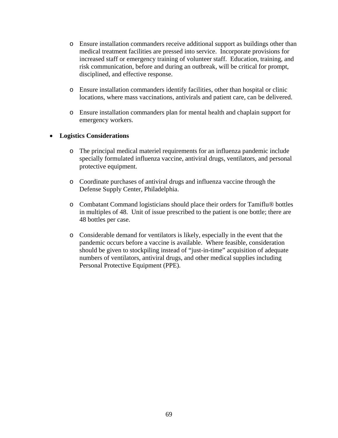- o Ensure installation commanders receive additional support as buildings other than medical treatment facilities are pressed into service. Incorporate provisions for increased staff or emergency training of volunteer staff. Education, training, and risk communication, before and during an outbreak, will be critical for prompt, disciplined, and effective response.
- o Ensure installation commanders identify facilities, other than hospital or clinic locations, where mass vaccinations, antivirals and patient care, can be delivered.
- o Ensure installation commanders plan for mental health and chaplain support for emergency workers.

#### • **Logistics Considerations**

- o The principal medical materiel requirements for an influenza pandemic include specially formulated influenza vaccine, antiviral drugs, ventilators, and personal protective equipment.
- o Coordinate purchases of antiviral drugs and influenza vaccine through the Defense Supply Center, Philadelphia.
- o Combatant Command logisticians should place their orders for Tamiflu® bottles in multiples of 48. Unit of issue prescribed to the patient is one bottle; there are 48 bottles per case.
- o Considerable demand for ventilators is likely, especially in the event that the pandemic occurs before a vaccine is available. Where feasible, consideration should be given to stockpiling instead of "just-in-time" acquisition of adequate numbers of ventilators, antiviral drugs, and other medical supplies including Personal Protective Equipment (PPE).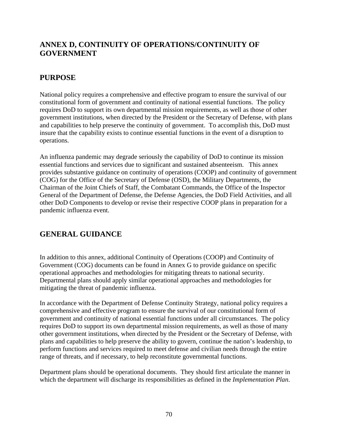# **ANNEX D, CONTINUITY OF OPERATIONS/CONTINUITY OF GOVERNMENT**

## **PURPOSE**

National policy requires a comprehensive and effective program to ensure the survival of our constitutional form of government and continuity of national essential functions. The policy requires DoD to support its own departmental mission requirements, as well as those of other government institutions, when directed by the President or the Secretary of Defense, with plans and capabilities to help preserve the continuity of government. To accomplish this, DoD must insure that the capability exists to continue essential functions in the event of a disruption to operations.

An influenza pandemic may degrade seriously the capability of DoD to continue its mission essential functions and services due to significant and sustained absenteeism. This annex provides substantive guidance on continuity of operations (COOP) and continuity of government (COG) for the Office of the Secretary of Defense (OSD), the Military Departments, the Chairman of the Joint Chiefs of Staff, the Combatant Commands, the Office of the Inspector General of the Department of Defense, the Defense Agencies, the DoD Field Activities, and all other DoD Components to develop or revise their respective COOP plans in preparation for a pandemic influenza event.

## **GENERAL GUIDANCE**

In addition to this annex, additional Continuity of Operations (COOP) and Continuity of Government (COG) documents can be found in Annex G to provide guidance on specific operational approaches and methodologies for mitigating threats to national security. Departmental plans should apply similar operational approaches and methodologies for mitigating the threat of pandemic influenza.

In accordance with the Department of Defense Continuity Strategy, national policy requires a comprehensive and effective program to ensure the survival of our constitutional form of government and continuity of national essential functions under all circumstances. The policy requires DoD to support its own departmental mission requirements, as well as those of many other government institutions, when directed by the President or the Secretary of Defense, with plans and capabilities to help preserve the ability to govern, continue the nation's leadership, to perform functions and services required to meet defense and civilian needs through the entire range of threats, and if necessary, to help reconstitute governmental functions.

Department plans should be operational documents. They should first articulate the manner in which the department will discharge its responsibilities as defined in the *Implementation Plan*.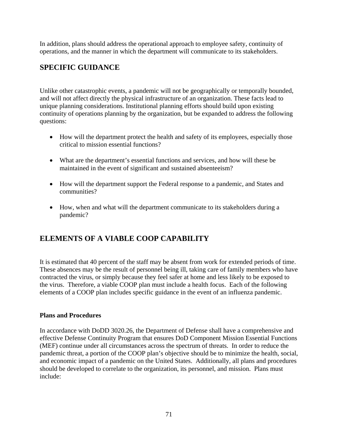In addition, plans should address the operational approach to employee safety, continuity of operations, and the manner in which the department will communicate to its stakeholders.

# **SPECIFIC GUIDANCE**

Unlike other catastrophic events, a pandemic will not be geographically or temporally bounded, and will not affect directly the physical infrastructure of an organization. These facts lead to unique planning considerations. Institutional planning efforts should build upon existing continuity of operations planning by the organization, but be expanded to address the following questions:

- How will the department protect the health and safety of its employees, especially those critical to mission essential functions?
- What are the department's essential functions and services, and how will these be maintained in the event of significant and sustained absenteeism?
- How will the department support the Federal response to a pandemic, and States and communities?
- How, when and what will the department communicate to its stakeholders during a pandemic?

# **ELEMENTS OF A VIABLE COOP CAPABILITY**

It is estimated that 40 percent of the staff may be absent from work for extended periods of time. These absences may be the result of personnel being ill, taking care of family members who have contracted the virus, or simply because they feel safer at home and less likely to be exposed to the virus. Therefore, a viable COOP plan must include a health focus. Each of the following elements of a COOP plan includes specific guidance in the event of an influenza pandemic.

### **Plans and Procedures**

In accordance with DoDD 3020.26, the Department of Defense shall have a comprehensive and effective Defense Continuity Program that ensures DoD Component Mission Essential Functions (MEF) continue under all circumstances across the spectrum of threats. In order to reduce the pandemic threat, a portion of the COOP plan's objective should be to minimize the health, social, and economic impact of a pandemic on the United States. Additionally, all plans and procedures should be developed to correlate to the organization, its personnel, and mission. Plans must include: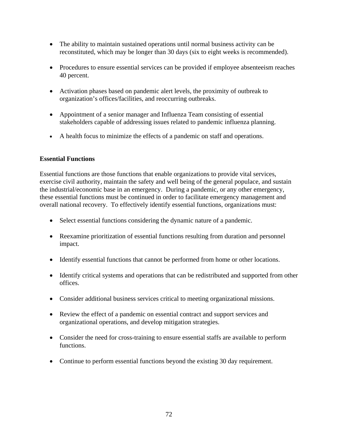- The ability to maintain sustained operations until normal business activity can be reconstituted, which may be longer than 30 days (six to eight weeks is recommended).
- Procedures to ensure essential services can be provided if employee absenteeism reaches 40 percent.
- Activation phases based on pandemic alert levels, the proximity of outbreak to organization's offices/facilities, and reoccurring outbreaks.
- Appointment of a senior manager and Influenza Team consisting of essential stakeholders capable of addressing issues related to pandemic influenza planning.
- A health focus to minimize the effects of a pandemic on staff and operations.

#### **Essential Functions**

Essential functions are those functions that enable organizations to provide vital services, exercise civil authority, maintain the safety and well being of the general populace, and sustain the industrial/economic base in an emergency. During a pandemic, or any other emergency, these essential functions must be continued in order to facilitate emergency management and overall national recovery. To effectively identify essential functions, organizations must:

- Select essential functions considering the dynamic nature of a pandemic.
- Reexamine prioritization of essential functions resulting from duration and personnel impact.
- Identify essential functions that cannot be performed from home or other locations.
- Identify critical systems and operations that can be redistributed and supported from other offices.
- Consider additional business services critical to meeting organizational missions.
- Review the effect of a pandemic on essential contract and support services and organizational operations, and develop mitigation strategies.
- Consider the need for cross-training to ensure essential staffs are available to perform functions.
- Continue to perform essential functions beyond the existing 30 day requirement.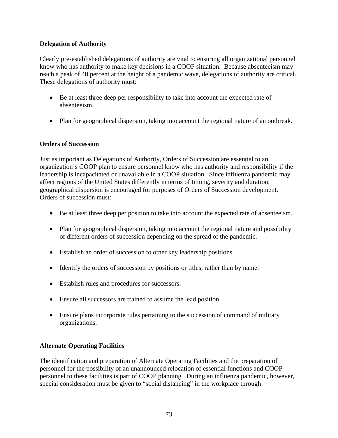# **Delegation of Authority**

Clearly pre-established delegations of authority are vital to ensuring all organizational personnel know who has authority to make key decisions in a COOP situation. Because absenteeism may reach a peak of 40 percent at the height of a pandemic wave, delegations of authority are critical. These delegations of authority must:

- Be at least three deep per responsibility to take into account the expected rate of absenteeism.
- Plan for geographical dispersion, taking into account the regional nature of an outbreak.

## **Orders of Succession**

Just as important as Delegations of Authority, Orders of Succession are essential to an organization's COOP plan to ensure personnel know who has authority and responsibility if the leadership is incapacitated or unavailable in a COOP situation. Since influenza pandemic may affect regions of the United States differently in terms of timing, severity and duration, geographical dispersion is encouraged for purposes of Orders of Succession development. Orders of succession must:

- Be at least three deep per position to take into account the expected rate of absenteeism.
- Plan for geographical dispersion, taking into account the regional nature and possibility of different orders of succession depending on the spread of the pandemic.
- Establish an order of succession to other key leadership positions.
- Identify the orders of succession by positions or titles, rather than by name.
- Establish rules and procedures for successors.
- Ensure all successors are trained to assume the lead position.
- Ensure plans incorporate rules pertaining to the succession of command of military organizations.

## **Alternate Operating Facilities**

The identification and preparation of Alternate Operating Facilities and the preparation of personnel for the possibility of an unannounced relocation of essential functions and COOP personnel to these facilities is part of COOP planning. During an influenza pandemic, however, special consideration must be given to "social distancing" in the workplace through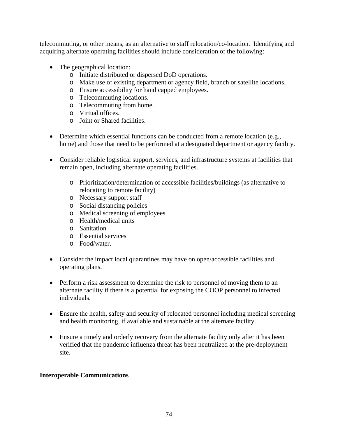telecommuting, or other means, as an alternative to staff relocation/co-location. Identifying and acquiring alternate operating facilities should include consideration of the following:

- The geographical location:
	- o Initiate distributed or dispersed DoD operations.
	- o Make use of existing department or agency field, branch or satellite locations.
	- o Ensure accessibility for handicapped employees.
	- o Telecommuting locations.
	- o Telecommuting from home.
	- o Virtual offices.
	- o Joint or Shared facilities.
- Determine which essential functions can be conducted from a remote location (e.g., home) and those that need to be performed at a designated department or agency facility.
- Consider reliable logistical support, services, and infrastructure systems at facilities that remain open, including alternate operating facilities.
	- o Prioritization/determination of accessible facilities/buildings (as alternative to relocating to remote facility)
	- o Necessary support staff
	- o Social distancing policies
	- o Medical screening of employees
	- o Health/medical units
	- o Sanitation
	- o Essential services
	- o Food/water.
- Consider the impact local quarantines may have on open/accessible facilities and operating plans.
- Perform a risk assessment to determine the risk to personnel of moving them to an alternate facility if there is a potential for exposing the COOP personnel to infected individuals.
- Ensure the health, safety and security of relocated personnel including medical screening and health monitoring, if available and sustainable at the alternate facility.
- Ensure a timely and orderly recovery from the alternate facility only after it has been verified that the pandemic influenza threat has been neutralized at the pre-deployment site.

## **Interoperable Communications**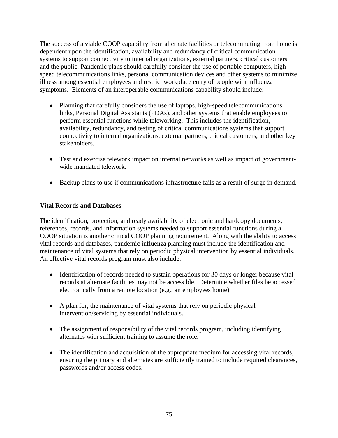The success of a viable COOP capability from alternate facilities or telecommuting from home is dependent upon the identification, availability and redundancy of critical communication systems to support connectivity to internal organizations, external partners, critical customers, and the public. Pandemic plans should carefully consider the use of portable computers, high speed telecommunications links, personal communication devices and other systems to minimize illness among essential employees and restrict workplace entry of people with influenza symptoms. Elements of an interoperable communications capability should include:

- Planning that carefully considers the use of laptops, high-speed telecommunications links, Personal Digital Assistants (PDAs), and other systems that enable employees to perform essential functions while teleworking. This includes the identification, availability, redundancy, and testing of critical communications systems that support connectivity to internal organizations, external partners, critical customers, and other key stakeholders.
- Test and exercise telework impact on internal networks as well as impact of governmentwide mandated telework.
- Backup plans to use if communications infrastructure fails as a result of surge in demand.

# **Vital Records and Databases**

The identification, protection, and ready availability of electronic and hardcopy documents, references, records, and information systems needed to support essential functions during a COOP situation is another critical COOP planning requirement. Along with the ability to access vital records and databases, pandemic influenza planning must include the identification and maintenance of vital systems that rely on periodic physical intervention by essential individuals. An effective vital records program must also include:

- Identification of records needed to sustain operations for 30 days or longer because vital records at alternate facilities may not be accessible. Determine whether files be accessed electronically from a remote location (e.g., an employees home).
- A plan for, the maintenance of vital systems that rely on periodic physical intervention/servicing by essential individuals.
- The assignment of responsibility of the vital records program, including identifying alternates with sufficient training to assume the role.
- The identification and acquisition of the appropriate medium for accessing vital records, ensuring the primary and alternates are sufficiently trained to include required clearances, passwords and/or access codes.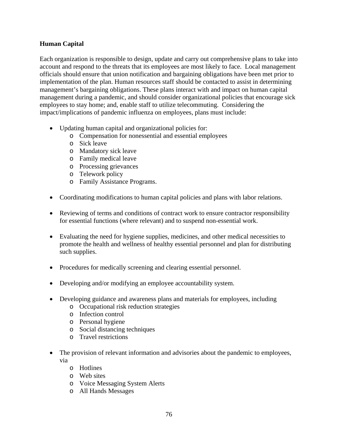## **Human Capital**

Each organization is responsible to design, update and carry out comprehensive plans to take into account and respond to the threats that its employees are most likely to face. Local management officials should ensure that union notification and bargaining obligations have been met prior to implementation of the plan. Human resources staff should be contacted to assist in determining management's bargaining obligations. These plans interact with and impact on human capital management during a pandemic, and should consider organizational policies that encourage sick employees to stay home; and, enable staff to utilize telecommuting. Considering the impact/implications of pandemic influenza on employees, plans must include:

- Updating human capital and organizational policies for:
	- o Compensation for nonessential and essential employees
	- o Sick leave
	- o Mandatory sick leave
	- o Family medical leave
	- o Processing grievances
	- o Telework policy
	- o Family Assistance Programs.
- Coordinating modifications to human capital policies and plans with labor relations.
- Reviewing of terms and conditions of contract work to ensure contractor responsibility for essential functions (where relevant) and to suspend non-essential work.
- Evaluating the need for hygiene supplies, medicines, and other medical necessities to promote the health and wellness of healthy essential personnel and plan for distributing such supplies.
- Procedures for medically screening and clearing essential personnel.
- Developing and/or modifying an employee accountability system.
- Developing guidance and awareness plans and materials for employees, including
	- o Occupational risk reduction strategies
	- o Infection control
	- o Personal hygiene
	- o Social distancing techniques
	- o Travel restrictions
- The provision of relevant information and advisories about the pandemic to employees, via
	- o Hotlines
	- o Web sites
	- o Voice Messaging System Alerts
	- o All Hands Messages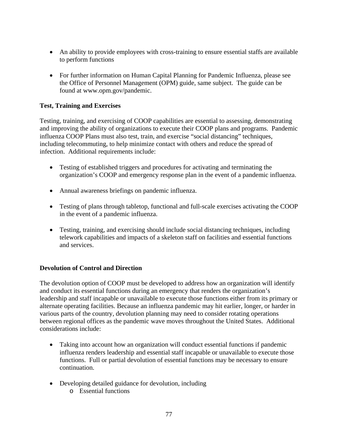- An ability to provide employees with cross-training to ensure essential staffs are available to perform functions
- For further information on Human Capital Planning for Pandemic Influenza, please see the Office of Personnel Management (OPM) guide, same subject. The guide can be found at www.opm.gov/pandemic.

# **Test, Training and Exercises**

Testing, training, and exercising of COOP capabilities are essential to assessing, demonstrating and improving the ability of organizations to execute their COOP plans and programs. Pandemic influenza COOP Plans must also test, train, and exercise "social distancing" techniques, including telecommuting, to help minimize contact with others and reduce the spread of infection. Additional requirements include:

- Testing of established triggers and procedures for activating and terminating the organization's COOP and emergency response plan in the event of a pandemic influenza.
- Annual awareness briefings on pandemic influenza.
- Testing of plans through tabletop, functional and full-scale exercises activating the COOP in the event of a pandemic influenza.
- Testing, training, and exercising should include social distancing techniques, including telework capabilities and impacts of a skeleton staff on facilities and essential functions and services.

## **Devolution of Control and Direction**

The devolution option of COOP must be developed to address how an organization will identify and conduct its essential functions during an emergency that renders the organization's leadership and staff incapable or unavailable to execute those functions either from its primary or alternate operating facilities. Because an influenza pandemic may hit earlier, longer, or harder in various parts of the country, devolution planning may need to consider rotating operations between regional offices as the pandemic wave moves throughout the United States. Additional considerations include:

- Taking into account how an organization will conduct essential functions if pandemic influenza renders leadership and essential staff incapable or unavailable to execute those functions. Full or partial devolution of essential functions may be necessary to ensure continuation.
- Developing detailed guidance for devolution, including
	- o Essential functions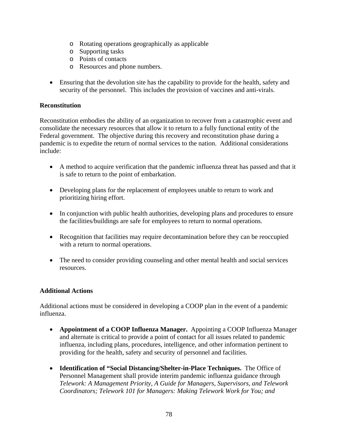- o Rotating operations geographically as applicable
- o Supporting tasks
- o Points of contacts
- o Resources and phone numbers.
- Ensuring that the devolution site has the capability to provide for the health, safety and security of the personnel. This includes the provision of vaccines and anti-virals.

# **Reconstitution**

Reconstitution embodies the ability of an organization to recover from a catastrophic event and consolidate the necessary resources that allow it to return to a fully functional entity of the Federal government. The objective during this recovery and reconstitution phase during a pandemic is to expedite the return of normal services to the nation. Additional considerations include:

- A method to acquire verification that the pandemic influenza threat has passed and that it is safe to return to the point of embarkation.
- Developing plans for the replacement of employees unable to return to work and prioritizing hiring effort.
- In conjunction with public health authorities, developing plans and procedures to ensure the facilities/buildings are safe for employees to return to normal operations.
- Recognition that facilities may require decontamination before they can be reoccupied with a return to normal operations.
- The need to consider providing counseling and other mental health and social services resources.

## **Additional Actions**

Additional actions must be considered in developing a COOP plan in the event of a pandemic influenza.

- **Appointment of a COOP Influenza Manager.** Appointing a COOP Influenza Manager and alternate is critical to provide a point of contact for all issues related to pandemic influenza, including plans, procedures, intelligence, and other information pertinent to providing for the health, safety and security of personnel and facilities.
- **Identification of "Social Distancing/Shelter-in-Place Techniques.** The Office of Personnel Management shall provide interim pandemic influenza guidance through *Telework: A Management Priority, A Guide for Managers, Supervisors, and Telework Coordinators; Telework 101 for Managers: Making Telework Work for You; and*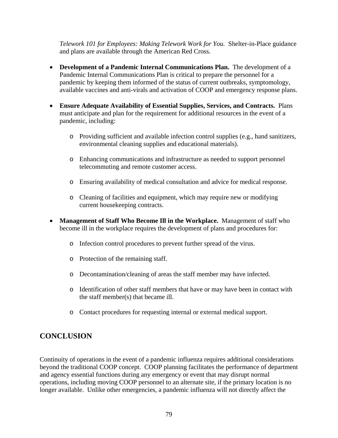*Telework 101 for Employees: Making Telework Work for You.* Shelter-in-Place guidance and plans are available through the American Red Cross.

- **Development of a Pandemic Internal Communications Plan.** The development of a Pandemic Internal Communications Plan is critical to prepare the personnel for a pandemic by keeping them informed of the status of current outbreaks, symptomology, available vaccines and anti-virals and activation of COOP and emergency response plans.
- **Ensure Adequate Availability of Essential Supplies, Services, and Contracts.** Plans must anticipate and plan for the requirement for additional resources in the event of a pandemic, including:
	- o Providing sufficient and available infection control supplies (e.g., hand sanitizers, environmental cleaning supplies and educational materials).
	- o Enhancing communications and infrastructure as needed to support personnel telecommuting and remote customer access.
	- o Ensuring availability of medical consultation and advice for medical response.
	- o Cleaning of facilities and equipment, which may require new or modifying current housekeeping contracts.
- **Management of Staff Who Become Ill in the Workplace.** Management of staff who become ill in the workplace requires the development of plans and procedures for:
	- o Infection control procedures to prevent further spread of the virus.
	- o Protection of the remaining staff.
	- o Decontamination/cleaning of areas the staff member may have infected.
	- o Identification of other staff members that have or may have been in contact with the staff member(s) that became ill.
	- o Contact procedures for requesting internal or external medical support.

# **CONCLUSION**

Continuity of operations in the event of a pandemic influenza requires additional considerations beyond the traditional COOP concept. COOP planning facilitates the performance of department and agency essential functions during any emergency or event that may disrupt normal operations, including moving COOP personnel to an alternate site, if the primary location is no longer available. Unlike other emergencies, a pandemic influenza will not directly affect the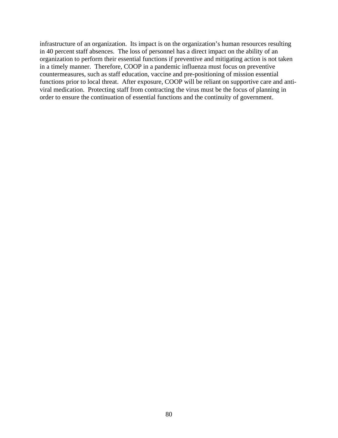infrastructure of an organization. Its impact is on the organization's human resources resulting in 40 percent staff absences. The loss of personnel has a direct impact on the ability of an organization to perform their essential functions if preventive and mitigating action is not taken in a timely manner. Therefore, COOP in a pandemic influenza must focus on preventive countermeasures, such as staff education, vaccine and pre-positioning of mission essential functions prior to local threat. After exposure, COOP will be reliant on supportive care and antiviral medication. Protecting staff from contracting the virus must be the focus of planning in order to ensure the continuation of essential functions and the continuity of government.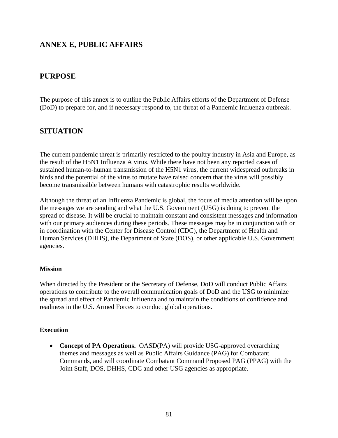# **ANNEX E, PUBLIC AFFAIRS**

# **PURPOSE**

The purpose of this annex is to outline the Public Affairs efforts of the Department of Defense (DoD) to prepare for, and if necessary respond to, the threat of a Pandemic Influenza outbreak.

# **SITUATION**

The current pandemic threat is primarily restricted to the poultry industry in Asia and Europe, as the result of the H5N1 Influenza A virus. While there have not been any reported cases of sustained human-to-human transmission of the H5N1 virus, the current widespread outbreaks in birds and the potential of the virus to mutate have raised concern that the virus will possibly become transmissible between humans with catastrophic results worldwide.

Although the threat of an Influenza Pandemic is global, the focus of media attention will be upon the messages we are sending and what the U.S. Government (USG) is doing to prevent the spread of disease. It will be crucial to maintain constant and consistent messages and information with our primary audiences during these periods. These messages may be in conjunction with or in coordination with the Center for Disease Control (CDC), the Department of Health and Human Services (DHHS), the Department of State (DOS), or other applicable U.S. Government agencies.

#### **Mission**

When directed by the President or the Secretary of Defense, DoD will conduct Public Affairs operations to contribute to the overall communication goals of DoD and the USG to minimize the spread and effect of Pandemic Influenza and to maintain the conditions of confidence and readiness in the U.S. Armed Forces to conduct global operations.

#### **Execution**

• **Concept of PA Operations.** OASD(PA) will provide USG-approved overarching themes and messages as well as Public Affairs Guidance (PAG) for Combatant Commands, and will coordinate Combatant Command Proposed PAG (PPAG) with the Joint Staff, DOS, DHHS, CDC and other USG agencies as appropriate.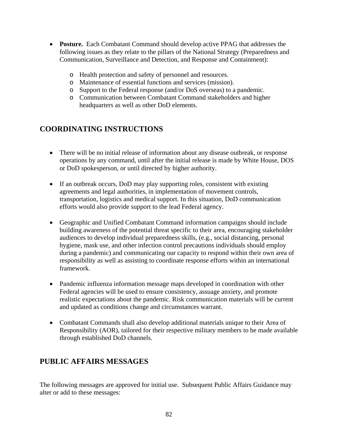- **Posture.** Each Combatant Command should develop active PPAG that addresses the following issues as they relate to the pillars of the National Strategy (Preparedness and Communication, Surveillance and Detection, and Response and Containment):
	- o Health protection and safety of personnel and resources.
	- o Maintenance of essential functions and services (mission).
	- o Support to the Federal response (and/or DoS overseas) to a pandemic.
	- o Communication between Combatant Command stakeholders and higher headquarters as well as other DoD elements.

# **COORDINATING INSTRUCTIONS**

- There will be no initial release of information about any disease outbreak, or response operations by any command, until after the initial release is made by White House, DOS or DoD spokesperson, or until directed by higher authority.
- If an outbreak occurs, DoD may play supporting roles, consistent with existing agreements and legal authorities, in implementation of movement controls, transportation, logistics and medical support. In this situation, DoD communication efforts would also provide support to the lead Federal agency.
- Geographic and Unified Combatant Command information campaigns should include building awareness of the potential threat specific to their area, encouraging stakeholder audiences to develop individual preparedness skills, (e.g., social distancing, personal hygiene, mask use, and other infection control precautions individuals should employ during a pandemic) and communicating our capacity to respond within their own area of responsibility as well as assisting to coordinate response efforts within an international framework.
- Pandemic influenza information message maps developed in coordination with other Federal agencies will be used to ensure consistency, assuage anxiety, and promote realistic expectations about the pandemic. Risk communication materials will be current and updated as conditions change and circumstances warrant.
- Combatant Commands shall also develop additional materials unique to their Area of Responsibility (AOR), tailored for their respective military members to be made available through established DoD channels.

# **PUBLIC AFFAIRS MESSAGES**

The following messages are approved for initial use. Subsequent Public Affairs Guidance may alter or add to these messages: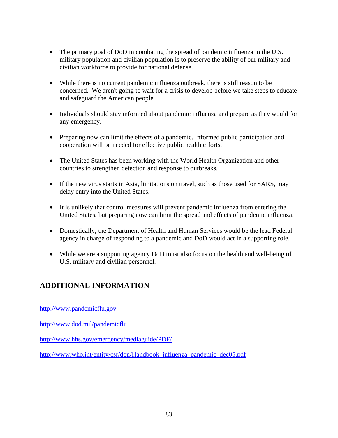- The primary goal of DoD in combating the spread of pandemic influenza in the U.S. military population and civilian population is to preserve the ability of our military and civilian workforce to provide for national defense.
- While there is no current pandemic influenza outbreak, there is still reason to be concerned. We aren't going to wait for a crisis to develop before we take steps to educate and safeguard the American people.
- Individuals should stay informed about pandemic influenza and prepare as they would for any emergency.
- Preparing now can limit the effects of a pandemic. Informed public participation and cooperation will be needed for effective public health efforts.
- The United States has been working with the World Health Organization and other countries to strengthen detection and response to outbreaks.
- If the new virus starts in Asia, limitations on travel, such as those used for SARS, may delay entry into the United States.
- It is unlikely that control measures will prevent pandemic influenza from entering the United States, but preparing now can limit the spread and effects of pandemic influenza.
- Domestically, the Department of Health and Human Services would be the lead Federal agency in charge of responding to a pandemic and DoD would act in a supporting role.
- While we are a supporting agency DoD must also focus on the health and well-being of U.S. military and civilian personnel.

# **ADDITIONAL INFORMATION**

http://www.pandemicflu.gov

http://www.dod.mil/pandemicflu

http://www.hhs.gov/emergency/mediaguide/PDF/

http://www.who.int/entity/csr/don/Handbook\_influenza\_pandemic\_dec05.pdf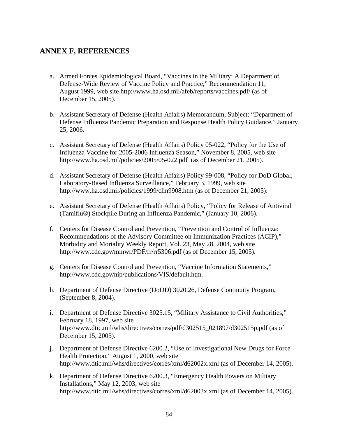# **ANNEX F, REFERENCES**

- a. Armed Forces Epidemiological Board, "Vaccines in the Military: A Department of Defense-Wide Review of Vaccine Policy and Practice," Recommendation 11, August 1999, web site http://www.ha.osd.mil/afeb/reports/vaccines.pdf/ (as of December 15, 2005).
- b. Assistant Secretary of Defense (Health Affairs) Memorandum, Subject: "Department of Defense Influenza Pandemic Preparation and Response Health Policy Guidance," January 25, 2006.
- c. Assistant Secretary of Defense (Health Affairs) Policy 05-022, "Policy for the Use of Influenza Vaccine for 2005-2006 Influenza Season," November 8, 2005, web site http://www.ha.osd.mil/policies/2005/05-022.pdf (as of December 21, 2005).
- d. Assistant Secretary of Defense (Health Affairs) Policy 99-008, "Policy for DoD Global, Laboratory-Based Influenza Surveillance," February 3, 1999, web site http://www.ha.osd.mil/policies/1999/clin9908.htm (as of December 21, 2005).
- e. Assistant Secretary of Defense (Health Affairs) Policy, "Policy for Release of Antiviral (Tamiflu®) Stockpile During an Influenza Pandemic," (January 10, 2006).
- f. Centers for Disease Control and Prevention, "Prevention and Control of Influenza: Recommendations of the Advisory Committee on Immunization Practices (ACIP)," Morbidity and Mortality Weekly Report, Vol. 23, May 28, 2004, web site http://www.cdc.gov/mmwr/PDF/rr/rr5306.pdf (as of December 15, 2005).
- g. Centers for Disease Control and Prevention, "Vaccine Information Statements," http://www.cdc.gov/nip/publications/VIS/default.htm.
- h. Department of Defense Directive (DoDD) 3020.26, Defense Continuity Program, (September 8, 2004).
- i. Department of Defense Directive 3025.15, "Military Assistance to Civil Authorities," February 18, 1997, web site http://www.dtic.mil/whs/directives/corres/pdf/d302515\_021897/d302515p.pdf (as of December 15, 2005).
- j. Department of Defense Directive 6200.2, "Use of Investigational New Drugs for Force Health Protection," August 1, 2000, web site http://www.dtic.mil/whs/directives/corres/xml/d62002x.xml (as of December 14, 2005).
- k. Department of Defense Directive 6200.3, "Emergency Health Powers on Military Installations," May 12, 2003, web site http://www.dtic.mil/whs/directives/corres/xml/d62003x.xml (as of December 14, 2005).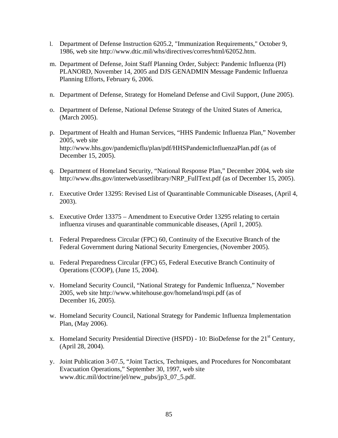- l. Department of Defense Instruction 6205.2, "Immunization Requirements," October 9, 1986, web site http://www.dtic.mil/whs/directives/corres/html/62052.htm.
- m. Department of Defense, Joint Staff Planning Order, Subject: Pandemic Influenza (PI) PLANORD, November 14, 2005 and DJS GENADMIN Message Pandemic Influenza Planning Efforts, February 6, 2006.
- n. Department of Defense, Strategy for Homeland Defense and Civil Support, (June 2005).
- o. Department of Defense, National Defense Strategy of the United States of America, (March 2005).
- p. Department of Health and Human Services, "HHS Pandemic Influenza Plan," November 2005, web site http://www.hhs.gov/pandemicflu/plan/pdf/HHSPandemicInfluenzaPlan.pdf (as of December 15, 2005).
- q. Department of Homeland Security, "National Response Plan," December 2004, web site http://www.dhs.gov/interweb/assetlibrary/NRP\_FullText.pdf (as of December 15, 2005).
- r. Executive Order 13295: Revised List of Quarantinable Communicable Diseases, (April 4, 2003).
- s. Executive Order 13375 Amendment to Executive Order 13295 relating to certain influenza viruses and quarantinable communicable diseases, (April 1, 2005).
- t. Federal Preparedness Circular (FPC) 60, Continuity of the Executive Branch of the Federal Government during National Security Emergencies, (November 2005).
- u. Federal Preparedness Circular (FPC) 65, Federal Executive Branch Continuity of Operations (COOP), (June 15, 2004).
- v. Homeland Security Council, "National Strategy for Pandemic Influenza," November 2005, web site http://www.whitehouse.gov/homeland/nspi.pdf (as of December 16, 2005).
- w. Homeland Security Council, National Strategy for Pandemic Influenza Implementation Plan, (May 2006).
- x. Homeland Security Presidential Directive (HSPD) 10: BioDefense for the  $21<sup>st</sup>$  Century, (April 28, 2004).
- y. Joint Publication 3-07.5, "Joint Tactics, Techniques, and Procedures for Noncombatant Evacuation Operations," September 30, 1997, web site www.dtic.mil/doctrine/jel/new\_pubs/jp3\_07\_5.pdf.